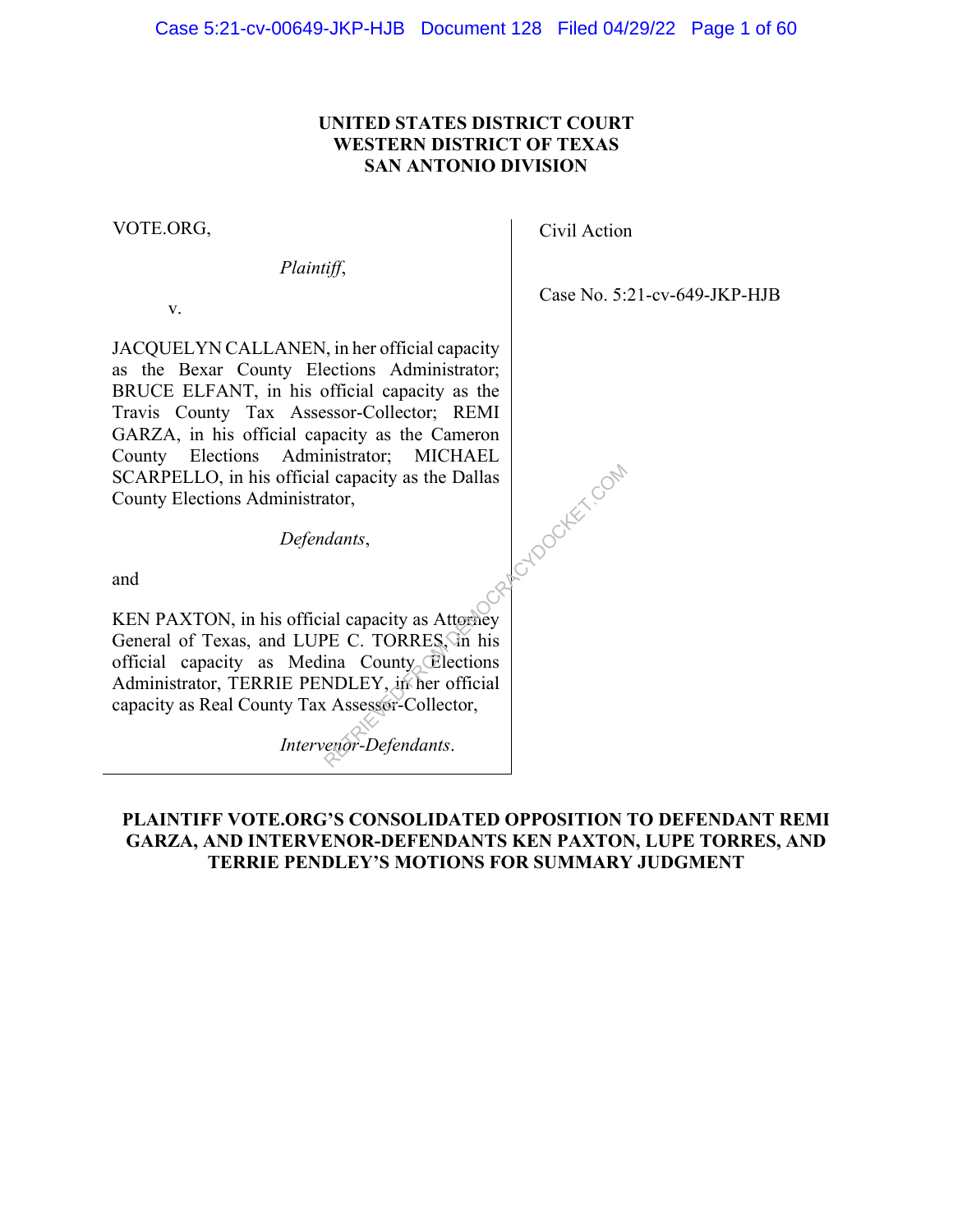## **UNITED STATES DISTRICT COURT WESTERN DISTRICT OF TEXAS SAN ANTONIO DIVISION**

VOTE.ORG,

*Plaintiff*,

v.

JACQUELYN CALLANEN, in her official capacity as the Bexar County Elections Administrator; BRUCE ELFANT, in his official capacity as the Travis County Tax Assessor-Collector; REMI GARZA, in his official capacity as the Cameron County Elections Administrator; MICHAEL SCARPELLO, in his official capacity as the Dallas County Elections Administrator, Acydocker.com

*Defendants*,

and

KEN PAXTON, in his official capacity as Attorney General of Texas, and LUPE C. TORRES, in his official capacity as Medina County Elections Administrator, TERRIE PENDLEY, in her official capacity as Real County Tax Assessor-Collector,

*Intervenor-Defendants*.

## **PLAINTIFF VOTE.ORG'S CONSOLIDATED OPPOSITION TO DEFENDANT REMI GARZA, AND INTERVENOR-DEFENDANTS KEN PAXTON, LUPE TORRES, AND TERRIE PENDLEY'S MOTIONS FOR SUMMARY JUDGMENT**

Civil Action

Case No. 5:21-cv-649-JKP-HJB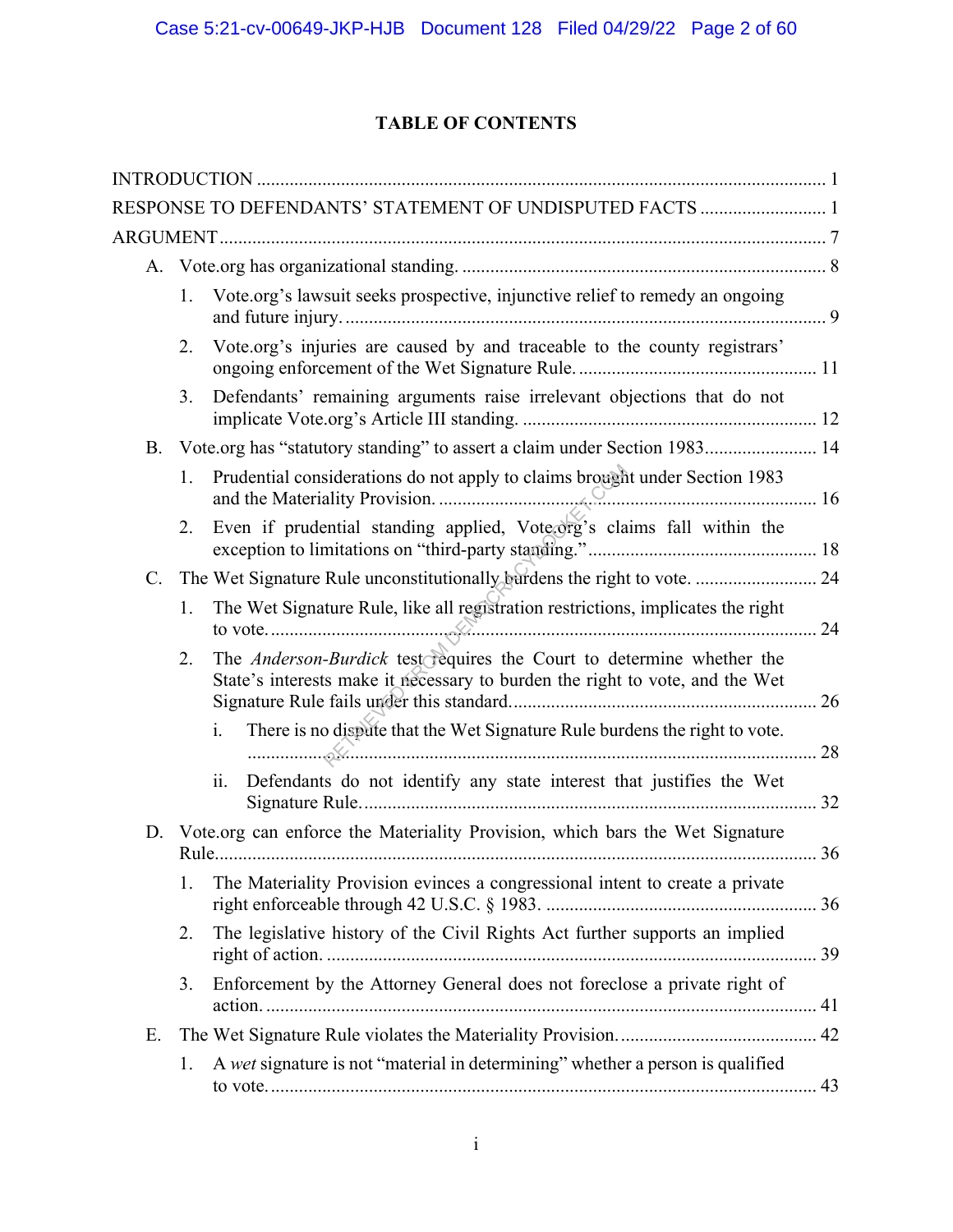## **TABLE OF CONTENTS**

|                 |    | RESPONSE TO DEFENDANTS' STATEMENT OF UNDISPUTED FACTS  1                                                                                              |  |
|-----------------|----|-------------------------------------------------------------------------------------------------------------------------------------------------------|--|
|                 |    |                                                                                                                                                       |  |
|                 |    |                                                                                                                                                       |  |
|                 | 1. | Vote.org's lawsuit seeks prospective, injunctive relief to remedy an ongoing                                                                          |  |
|                 | 2. | Vote.org's injuries are caused by and traceable to the county registrars'                                                                             |  |
|                 | 3. | Defendants' remaining arguments raise irrelevant objections that do not                                                                               |  |
|                 |    | B. Vote.org has "statutory standing" to assert a claim under Section 1983 14                                                                          |  |
|                 | 1. | Prudential considerations do not apply to claims brought under Section 1983                                                                           |  |
|                 | 2. | Even if prudential standing applied, Vote org's claims fall within the                                                                                |  |
| $\mathcal{C}$ . |    | The Wet Signature Rule unconstitutionally burdens the right to vote.  24                                                                              |  |
|                 | 1. | The Wet Signature Rule, like all registration restrictions, implicates the right                                                                      |  |
|                 | 2. | The Anderson-Burdick test requires the Court to determine whether the<br>State's interests make it necessary to burden the right to vote, and the Wet |  |
|                 |    | There is no dispute that the Wet Signature Rule burdens the right to vote.<br>$\mathbf{i}$ .                                                          |  |
|                 |    | Defendants do not identify any state interest that justifies the Wet<br>ii.                                                                           |  |
| D.              |    | Vote.org can enforce the Materiality Provision, which bars the Wet Signature                                                                          |  |
|                 | 1. | The Materiality Provision evinces a congressional intent to create a private                                                                          |  |
|                 | 2. | The legislative history of the Civil Rights Act further supports an implied                                                                           |  |
|                 | 3. | Enforcement by the Attorney General does not foreclose a private right of                                                                             |  |
| Ε.              |    |                                                                                                                                                       |  |
|                 | 1. | A wet signature is not "material in determining" whether a person is qualified                                                                        |  |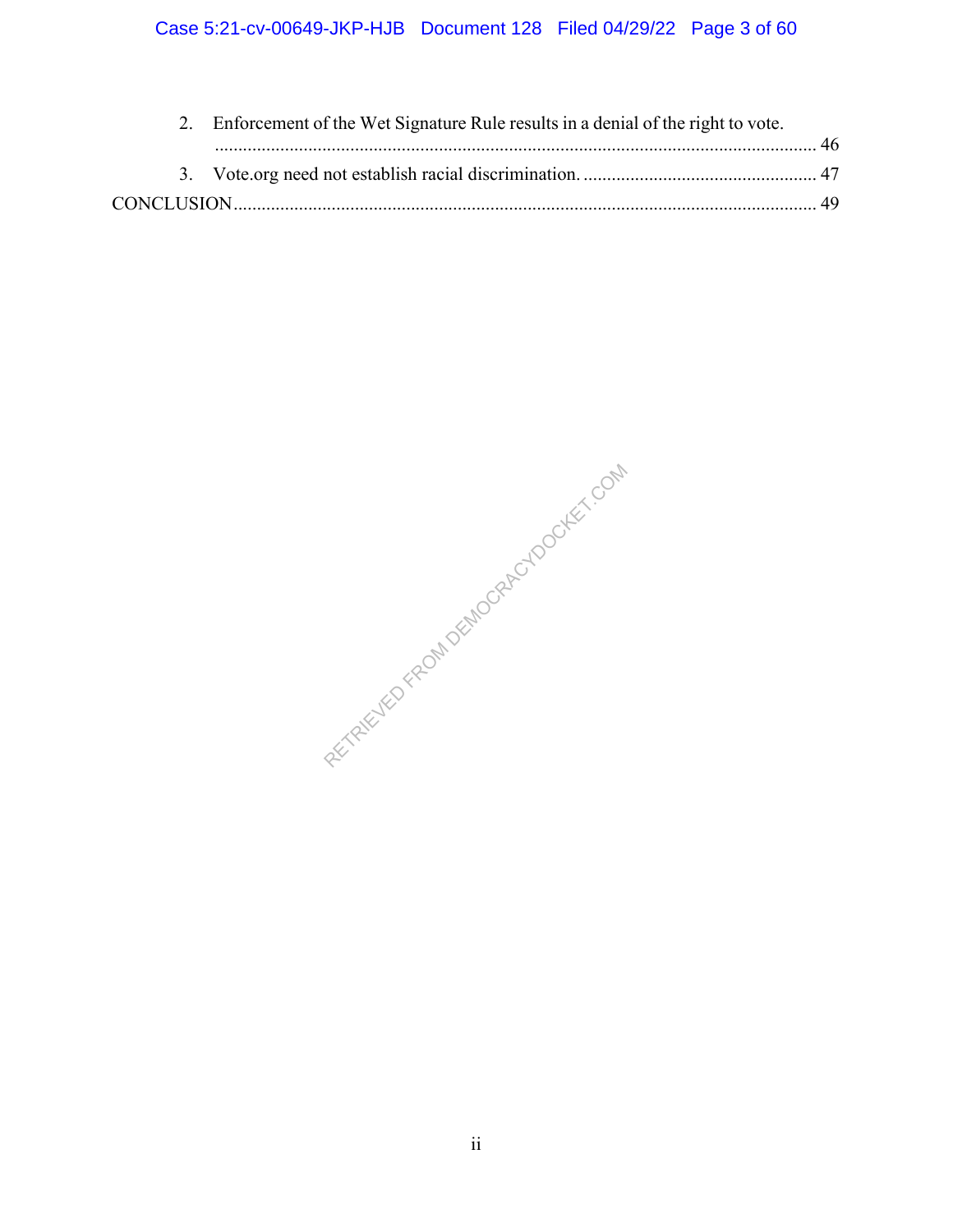|  | 2. Enforcement of the Wet Signature Rule results in a denial of the right to vote. |  |
|--|------------------------------------------------------------------------------------|--|
|  |                                                                                    |  |
|  |                                                                                    |  |
|  |                                                                                    |  |
|  |                                                                                    |  |

RETRIEVED FROM DEMOCRACYDOCKET.COM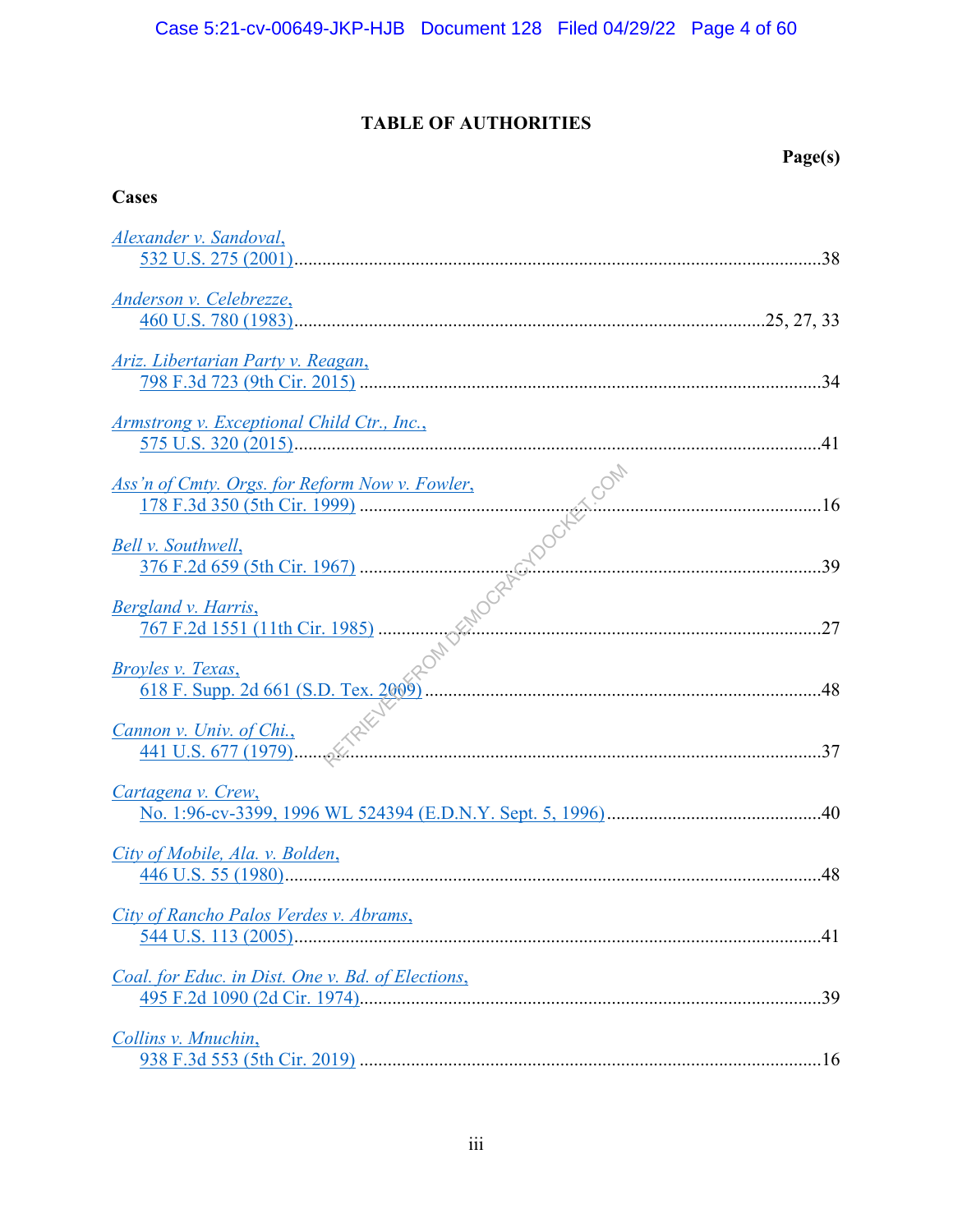## **TABLE OF AUTHORITIES**

## **Page(s)**

## **Cases**

| Alexander v. Sandoval,                                                                                    |     |
|-----------------------------------------------------------------------------------------------------------|-----|
| Anderson v. Celebrezze,                                                                                   |     |
| <u>Ariz. Libertarian Party v. Reagan,</u>                                                                 |     |
| Armstrong v. Exceptional Child Ctr., Inc.,                                                                |     |
| Ass'n of Cmty. Orgs. for Reform Now v. Fowler,                                                            |     |
| Bell v. Southwell,                                                                                        |     |
| Bergland v. Harris,                                                                                       |     |
| Broyles v. Texas,                                                                                         |     |
| $\frac{1000 \text{ v. Univ. of Chi.}}{441 \text{ U.S. } 677 (1979) \dots 37}$<br>Cannon v. Univ. of Chi., |     |
| Cartagena v. Crew,                                                                                        |     |
| City of Mobile, Ala. v. Bolden,                                                                           | .48 |
| City of Rancho Palos Verdes v. Abrams,                                                                    |     |
| Coal. for Educ. in Dist. One v. Bd. of Elections,                                                         |     |
| Collins v. Mnuchin,                                                                                       |     |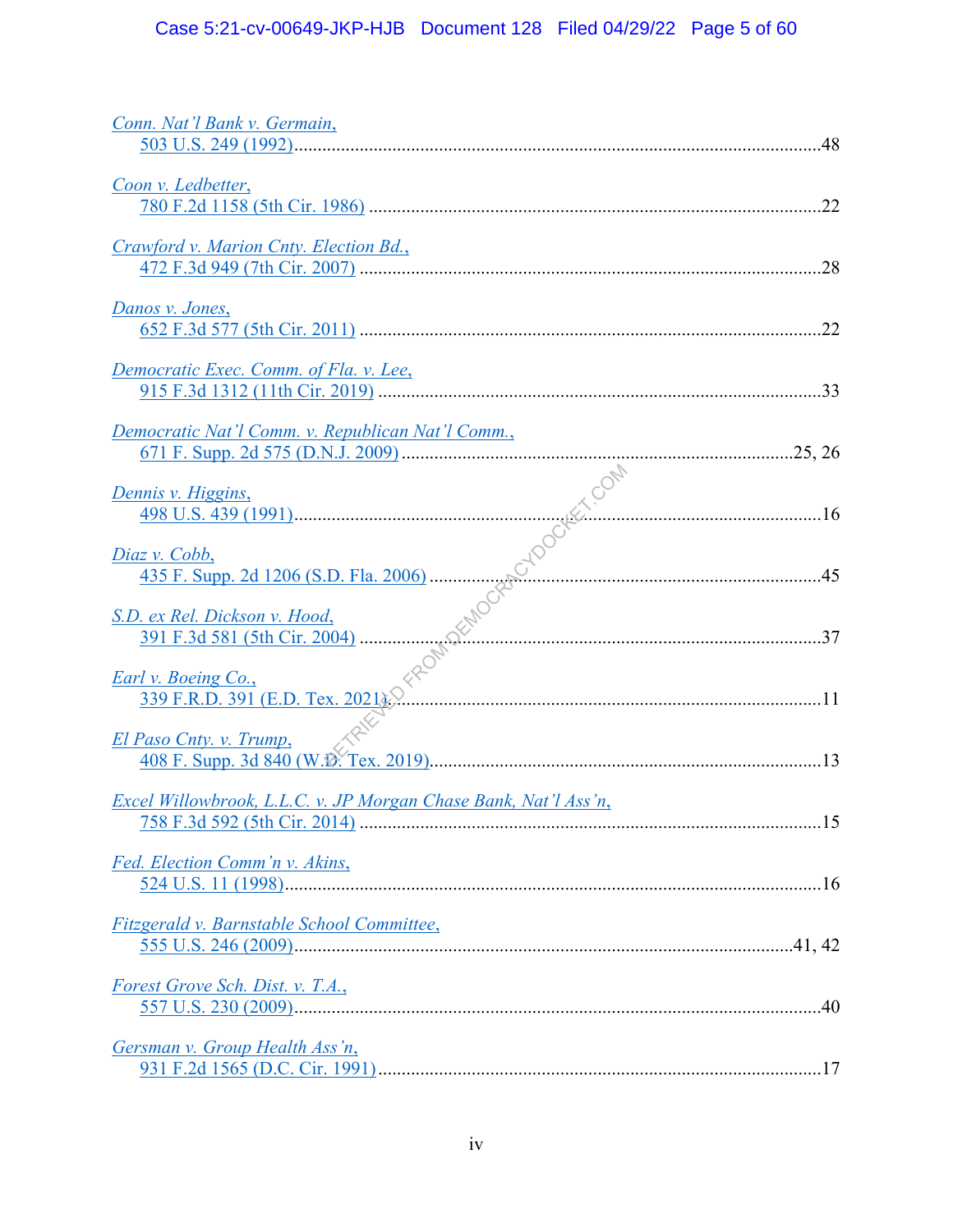| Conn. Nat'l Bank v. Germain,                                    |
|-----------------------------------------------------------------|
| Coon v. Ledbetter,                                              |
| Crawford v. Marion Cnty. Election Bd.,<br>.28                   |
| Danos v. Jones,                                                 |
| Democratic Exec. Comm. of Fla. v. Lee,                          |
| Democratic Nat'l Comm. v. Republican Nat'l Comm.,               |
| Dennis v. Higgins,                                              |
| Diaz v. Cobb,                                                   |
| S.D. ex Rel. Dickson v. Hood,                                   |
| Earl v. Boeing Co.,                                             |
| El Paso Cnty. v. Trump,                                         |
| Excel Willowbrook, L.L.C. v. JP Morgan Chase Bank, Nat'l Ass'n, |
| Fed. Election Comm'n v. Akins,                                  |
| Fitzgerald v. Barnstable School Committee,                      |
| Forest Grove Sch. Dist. v. T.A.,                                |
| Gersman v. Group Health Ass'n,                                  |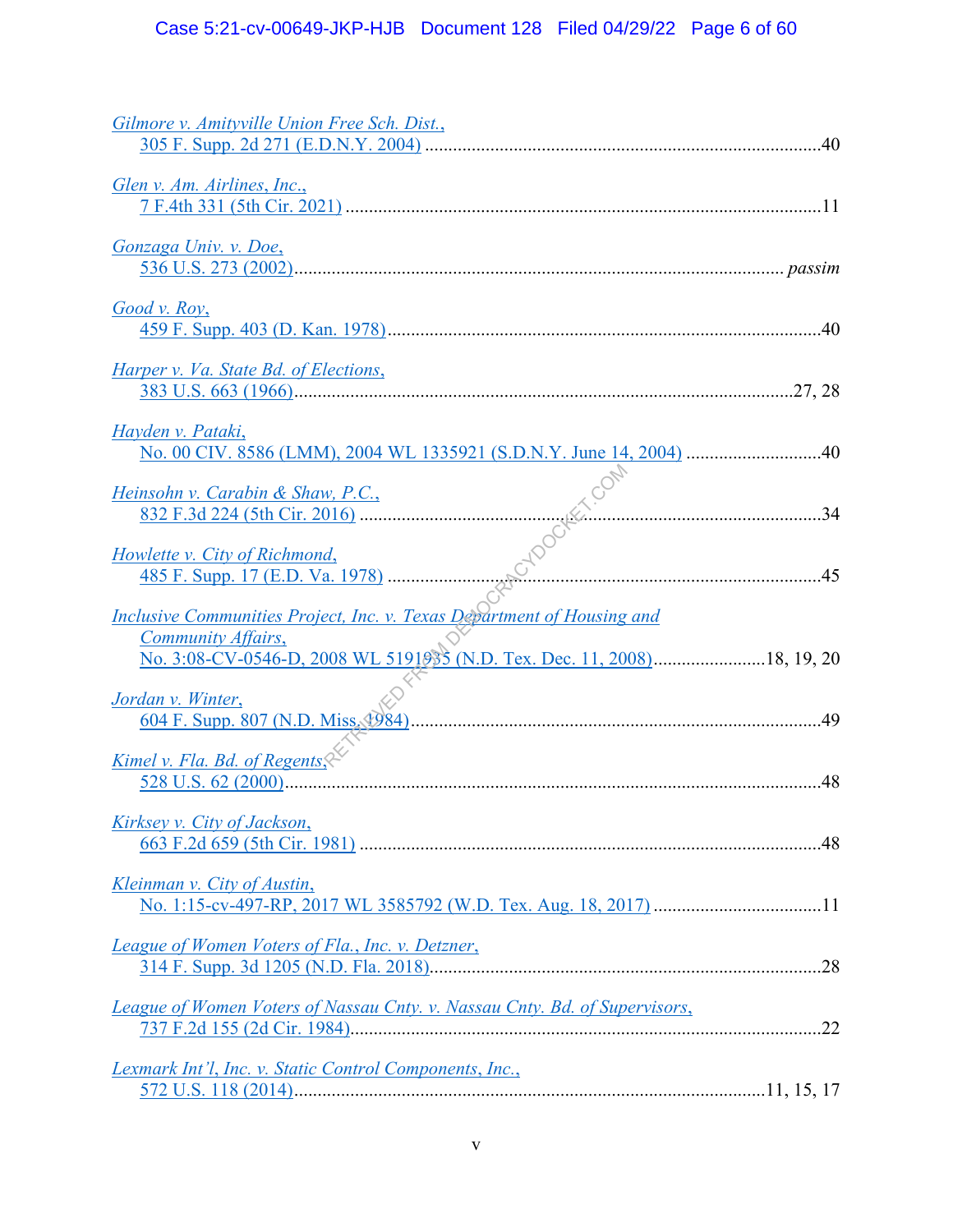| Gilmore v. Amityville Union Free Sch. Dist.,                                                                                                                                                                          |
|-----------------------------------------------------------------------------------------------------------------------------------------------------------------------------------------------------------------------|
| Glen v. Am. Airlines, Inc.,                                                                                                                                                                                           |
| Gonzaga Univ. v. Doe,                                                                                                                                                                                                 |
| Good v. Roy,                                                                                                                                                                                                          |
| Harper v. Va. State Bd. of Elections,                                                                                                                                                                                 |
| Hayden v. Pataki,                                                                                                                                                                                                     |
| Heinsohn v. Carabin & Shaw, P.C.,                                                                                                                                                                                     |
| $\frac{\text{insohn } v. \text{ Carabin & Shaw, P.C.}}{832 \text{ F.3d } 224 \text{ (5th Cir. } 2016) \dots}$ . 34<br>whette v. City of Richmond,<br>485 F. Supp. 17 (E.D. Va. 1978)<br>Howlette v. City of Richmond, |
| <b>Inclusive Communities Project, Inc. v. Texas Department of Housing and</b><br>Community Affairs,                                                                                                                   |
| No. 3:08-CV-0546-D, 2008 WL 5191035 (N.D. Tex. Dec. 11, 2008) 18, 19, 20                                                                                                                                              |
| Jordan v. Winter,                                                                                                                                                                                                     |
| Kimel v. Fla. Bd. of Regents.<br>.48                                                                                                                                                                                  |
| Kirksey v. City of Jackson,                                                                                                                                                                                           |
| Kleinman v. City of Austin,                                                                                                                                                                                           |
| League of Women Voters of Fla., Inc. v. Detzner,                                                                                                                                                                      |
| League of Women Voters of Nassau Cnty. v. Nassau Cnty. Bd. of Supervisors,                                                                                                                                            |
| <b>Lexmark Int'l, Inc. v. Static Control Components, Inc.,</b>                                                                                                                                                        |
|                                                                                                                                                                                                                       |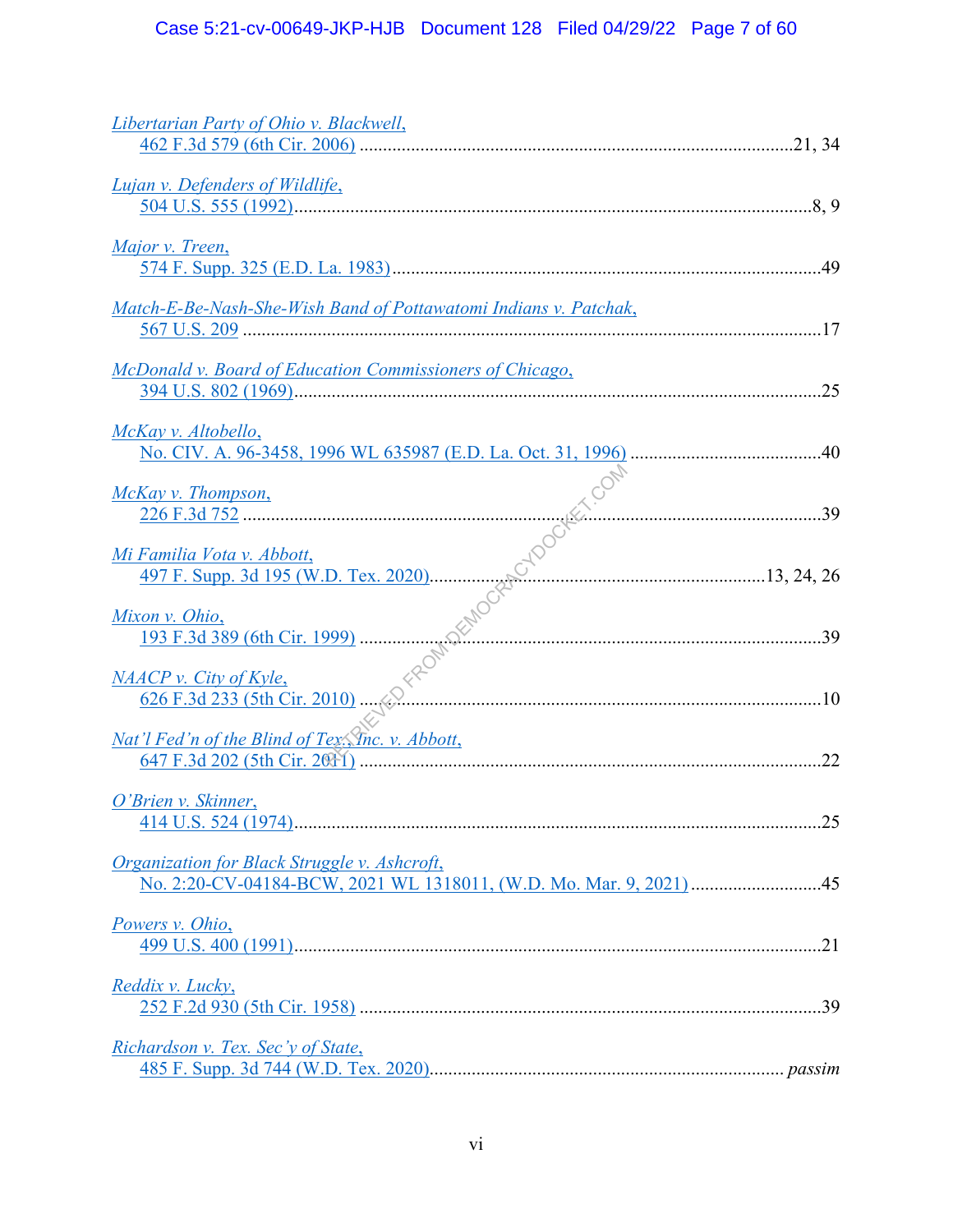| Libertarian Party of Ohio v. Blackwell,                                                                                   |
|---------------------------------------------------------------------------------------------------------------------------|
| <b>Lujan v. Defenders of Wildlife,</b><br>$\frac{504 \text{ U.S. } 555 (1992) \dots}{804 \text{ U.S. } 555 (1992) \dots}$ |
| Major v. Treen,                                                                                                           |
| Match-E-Be-Nash-She-Wish Band of Pottawatomi Indians v. Patchak,                                                          |
| McDonald v. Board of Education Commissioners of Chicago,                                                                  |
| McKay v. Altobello,                                                                                                       |
| McKay v. Thompson,                                                                                                        |
| Mi Familia Vota v. Abbott,                                                                                                |
| <u>Mixon v. Ohio,</u>                                                                                                     |
| NAACP v. City of Kyle,                                                                                                    |
| Nat'l Fed'n of the Blind of Tex. Thc. v. Abbott,                                                                          |
| O'Brien v. Skinner,                                                                                                       |
| Organization for Black Struggle v. Ashcroft,<br>No. 2:20-CV-04184-BCW, 2021 WL 1318011, (W.D. Mo. Mar. 9, 2021) 45        |
| Powers v. Ohio,                                                                                                           |
| Reddix v. Lucky,                                                                                                          |
| Richardson v. Tex. Sec'y of State,                                                                                        |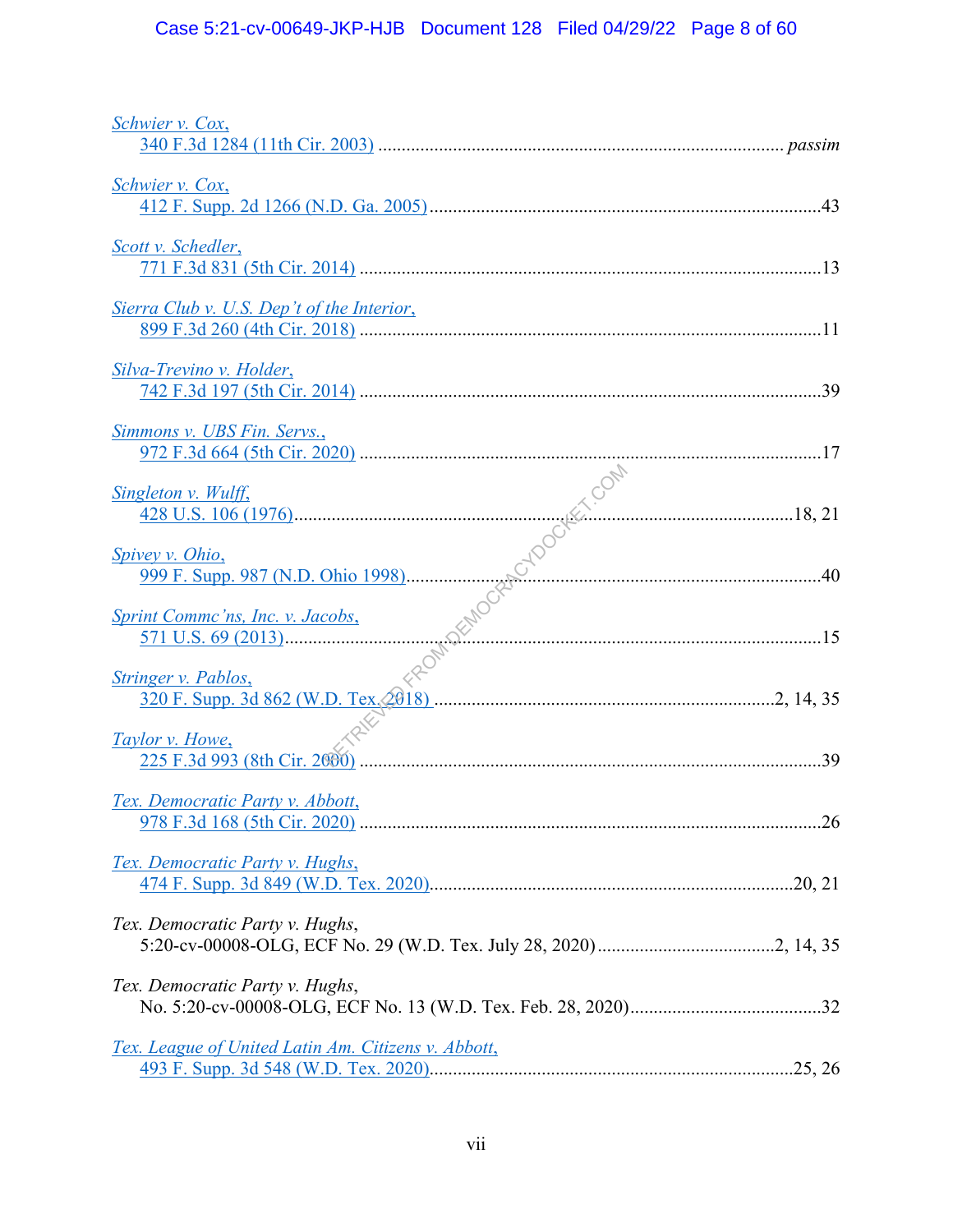# Case 5:21-cv-00649-JKP-HJB Document 128 Filed 04/29/22 Page 8 of 60

| Schwier v. Cox,                                            |     |
|------------------------------------------------------------|-----|
| Schwier v. Cox,                                            |     |
| Scott v. Schedler,                                         |     |
| <u>Sierra Club v. U.S. Dep't of the Interior,</u>          |     |
| Silva-Trevino v. Holder,                                   |     |
| Simmons v. UBS Fin. Servs.,                                |     |
| Singleton v. Wulff,                                        |     |
| <b>Spivey v. Ohio,</b>                                     |     |
| <b>Sprint Commc'ns, Inc. v. Jacobs,</b>                    |     |
| Stringer v. Pablos,                                        |     |
| Taylor v. Howe,                                            |     |
|                                                            | .39 |
| Tex. Democratic Party v. Abbott,                           |     |
| Tex. Democratic Party v. Hughs,                            |     |
| Tex. Democratic Party v. Hughs,                            |     |
| Tex. Democratic Party v. Hughs,                            |     |
| <u>Tex. League of United Latin Am. Citizens v. Abbott,</u> |     |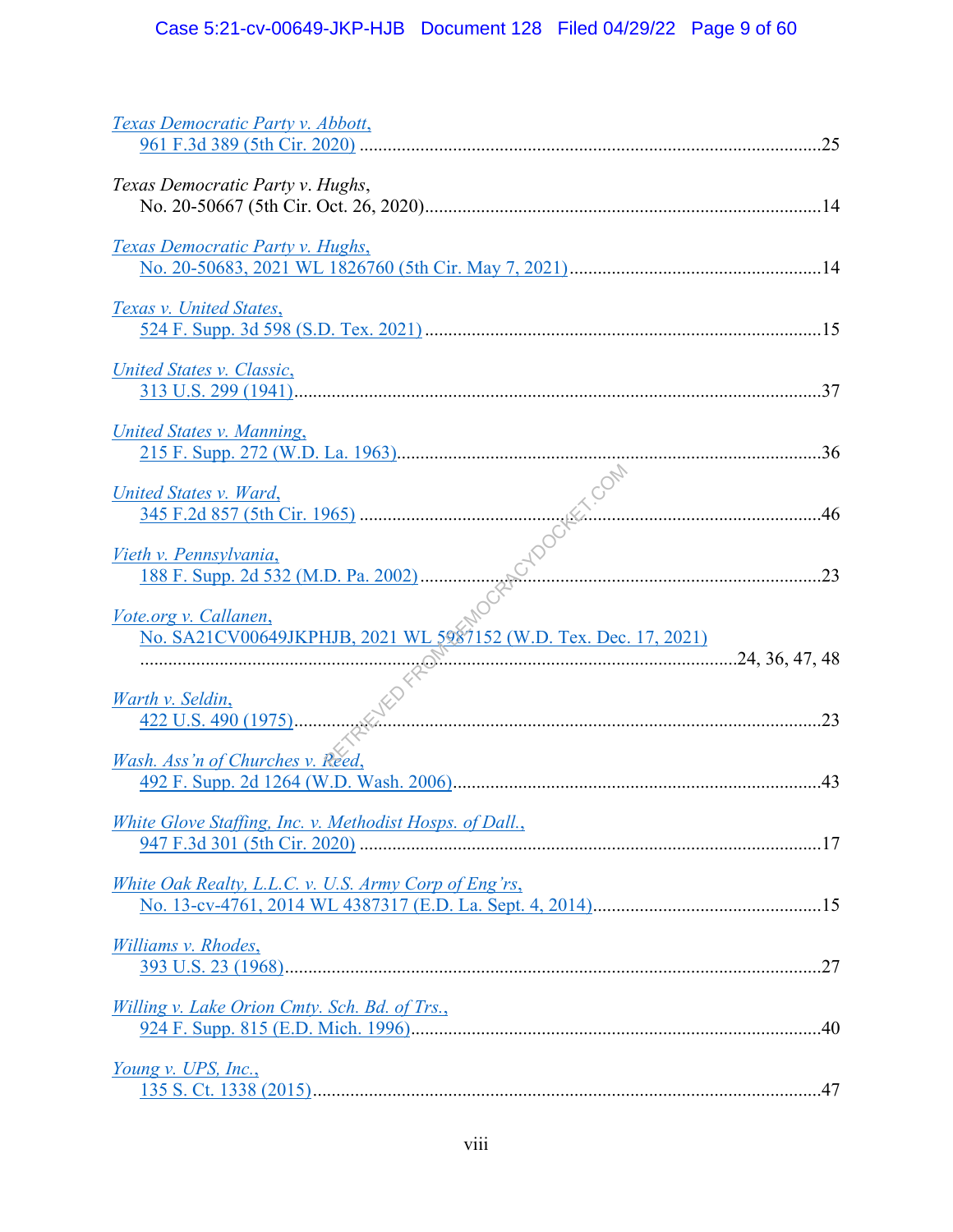| Texas Democratic Party v. Hughs,                                     |  |
|----------------------------------------------------------------------|--|
| <b>Texas Democratic Party v. Hughs,</b>                              |  |
| Texas v. United States,                                              |  |
| United States v. Classic,                                            |  |
| United States v. Manning,                                            |  |
| United States v. Ward,                                               |  |
| Vieth v. Pennsylvania,                                               |  |
| Vote.org v. Callanen,                                                |  |
|                                                                      |  |
| <u>Warth v. Seldin,</u>                                              |  |
|                                                                      |  |
| Wash. Ass'n of Churches v. Reed,                                     |  |
| White Glove Staffing, Inc. v. Methodist Hosps. of Dall.,             |  |
| White Oak Realty, L.L.C. v. U.S. Army Corp of Eng'rs,                |  |
| Williams v. Rhodes,                                                  |  |
| Willing v. Lake Orion Cmty. Sch. Bd. of Trs.,<br>Young v. UPS, Inc., |  |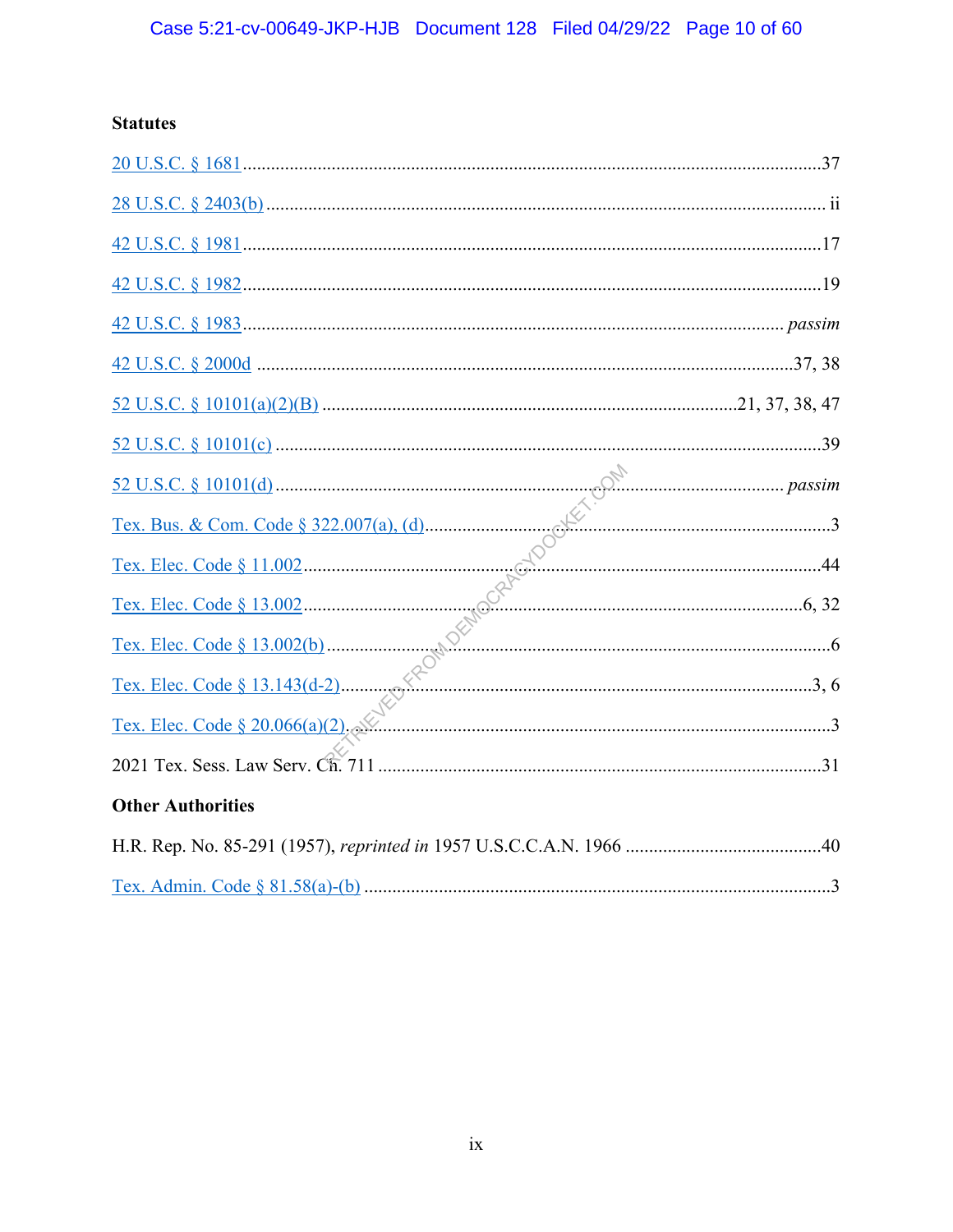## **Statutes**

| $\underline{52 U.S.C. \S 10101(c) \dots 39}$ |  |
|----------------------------------------------|--|
|                                              |  |
|                                              |  |
|                                              |  |
|                                              |  |
|                                              |  |
|                                              |  |
|                                              |  |
|                                              |  |
| <b>Other Authorities</b>                     |  |
|                                              |  |
|                                              |  |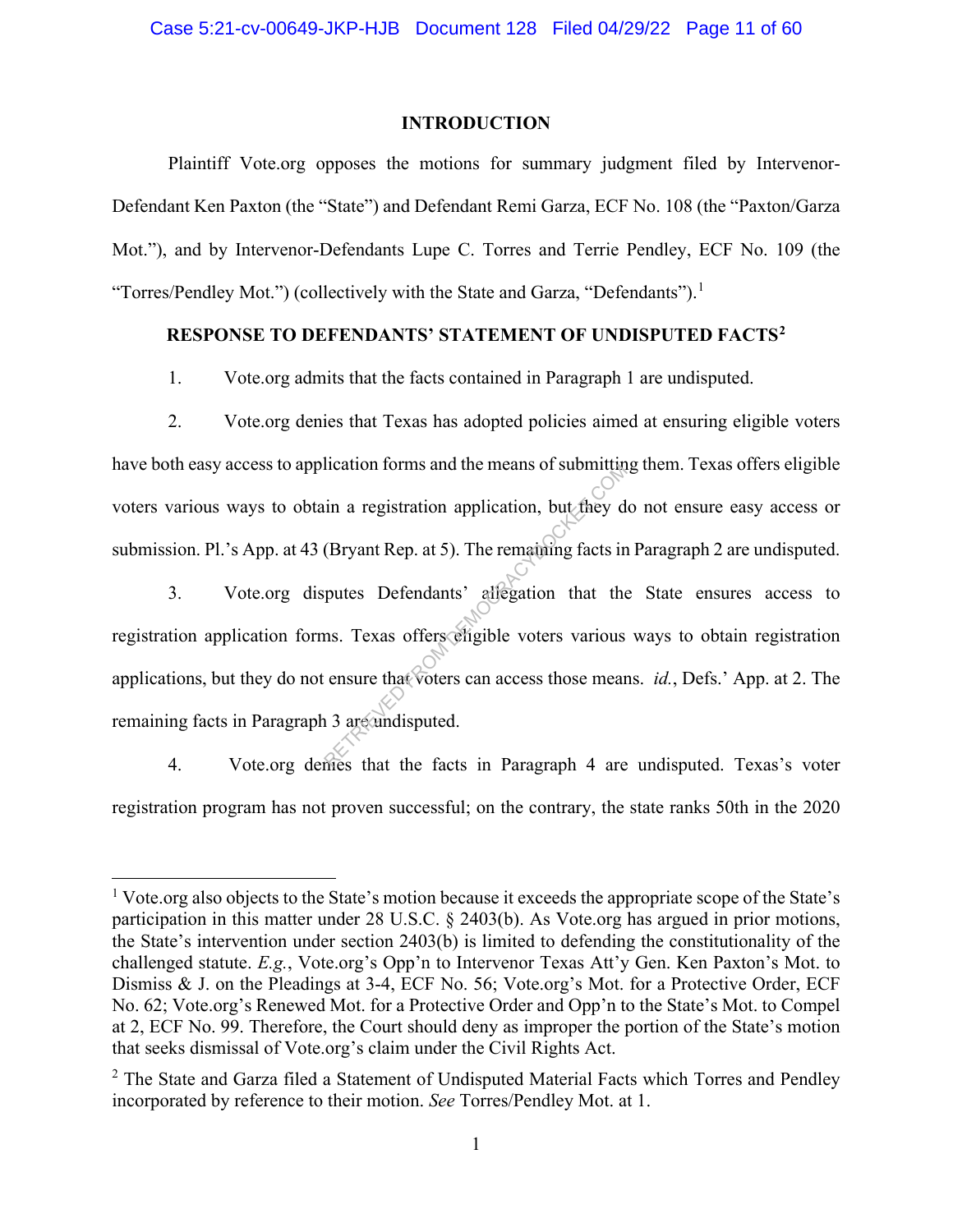#### **INTRODUCTION**

Plaintiff Vote.org opposes the motions for summary judgment filed by Intervenor-Defendant Ken Paxton (the "State") and Defendant Remi Garza, ECF No. 108 (the "Paxton/Garza Mot."), and by Intervenor-Defendants Lupe C. Torres and Terrie Pendley, ECF No. 109 (the "Torres/Pendley Mot.") (collectively with the State and Garza, "Defendants").<sup>1</sup>

### **RESPONSE TO DEFENDANTS' STATEMENT OF UNDISPUTED FACTS2**

1. Vote.org admits that the facts contained in Paragraph 1 are undisputed.

2. Vote.org denies that Texas has adopted policies aimed at ensuring eligible voters have both easy access to application forms and the means of submitting them. Texas offers eligible voters various ways to obtain a registration application, but they do not ensure easy access or submission. Pl.'s App. at 43 (Bryant Rep. at 5). The remaining facts in Paragraph 2 are undisputed.

3. Vote.org disputes Defendants' allegation that the State ensures access to registration application forms. Texas offers eligible voters various ways to obtain registration applications, but they do not ensure that voters can access those means. *id.*, Defs.' App. at 2. The remaining facts in Paragraph 3 are undisputed. The in a registration application, but they dependent a registration application, but they dependent as a puture Defendants' allegation that the ms. Texas offers eligible voters various ensure that voters can access those

4. Vote.org denies that the facts in Paragraph 4 are undisputed. Texas's voter registration program has not proven successful; on the contrary, the state ranks 50th in the 2020

<sup>1</sup> Vote.org also objects to the State's motion because it exceeds the appropriate scope of the State's participation in this matter under 28 U.S.C. § 2403(b). As Vote.org has argued in prior motions, the State's intervention under section 2403(b) is limited to defending the constitutionality of the challenged statute. *E.g.*, Vote.org's Opp'n to Intervenor Texas Att'y Gen. Ken Paxton's Mot. to Dismiss & J. on the Pleadings at 3-4, ECF No. 56; Vote.org's Mot. for a Protective Order, ECF No. 62; Vote.org's Renewed Mot. for a Protective Order and Opp'n to the State's Mot. to Compel at 2, ECF No. 99. Therefore, the Court should deny as improper the portion of the State's motion that seeks dismissal of Vote.org's claim under the Civil Rights Act.

 $2$  The State and Garza filed a Statement of Undisputed Material Facts which Torres and Pendley incorporated by reference to their motion. *See* Torres/Pendley Mot. at 1.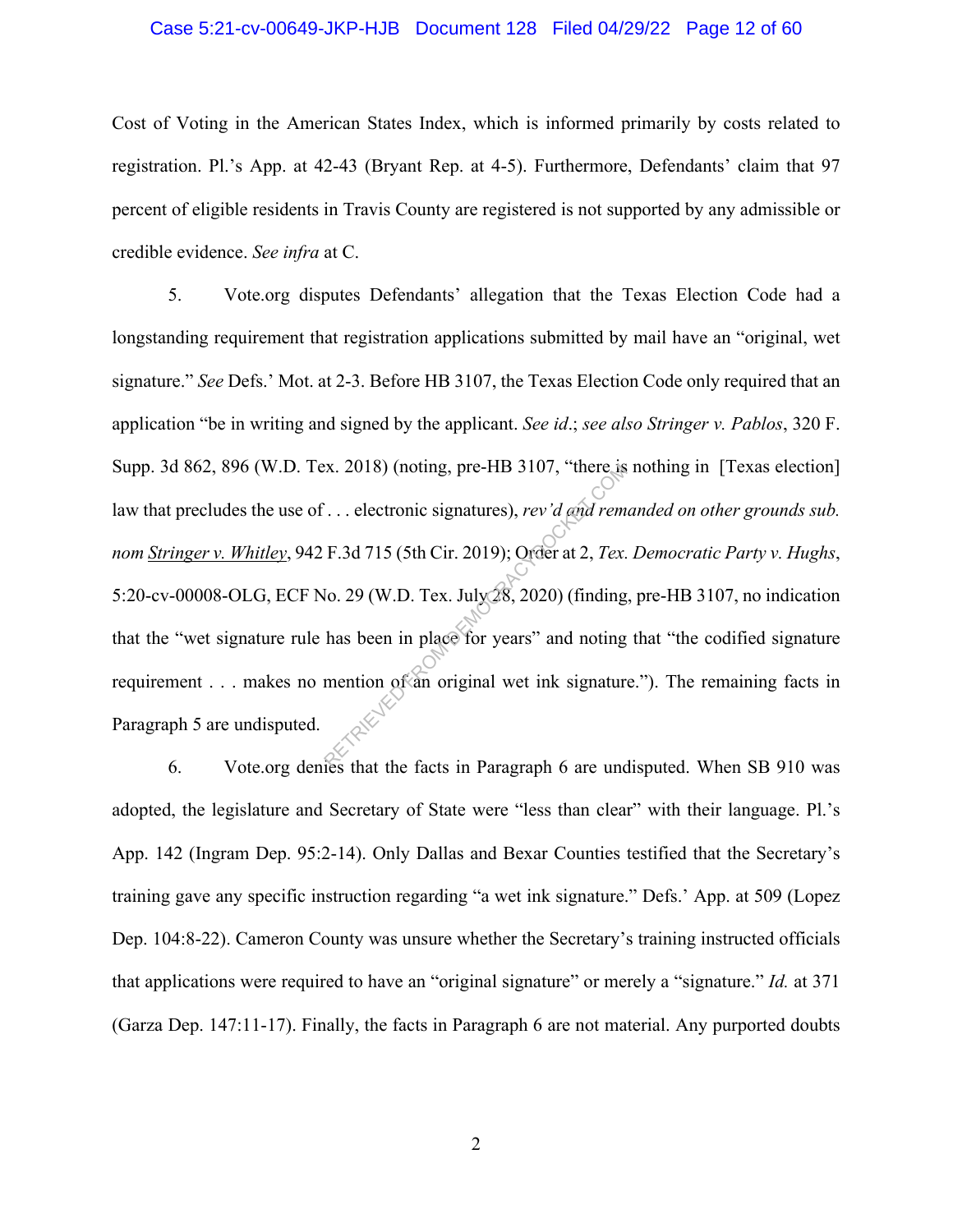#### Case 5:21-cv-00649-JKP-HJB Document 128 Filed 04/29/22 Page 12 of 60

Cost of Voting in the American States Index, which is informed primarily by costs related to registration. Pl.'s App. at 42-43 (Bryant Rep. at 4-5). Furthermore, Defendants' claim that 97 percent of eligible residents in Travis County are registered is not supported by any admissible or credible evidence. *See infra* at C.

5. Vote.org disputes Defendants' allegation that the Texas Election Code had a longstanding requirement that registration applications submitted by mail have an "original, wet signature." *See* Defs.' Mot. at 2-3. Before HB 3107, the Texas Election Code only required that an application "be in writing and signed by the applicant. *See id*.; *see also Stringer v. Pablos*, 320 F. Supp. 3d 862, 896 (W.D. Tex. 2018) (noting, pre-HB 3107, "there is nothing in [Texas election] law that precludes the use of . . . electronic signatures), *rev'd and remanded on other grounds sub. nom Stringer v. Whitley*, 942 F.3d 715 (5th Cir. 2019); Order at 2, *Tex. Democratic Party v. Hughs*, 5:20-cv-00008-OLG, ECF No. 29 (W.D. Tex. July 28, 2020) (finding, pre-HB 3107, no indication that the "wet signature rule has been in place for years" and noting that "the codified signature requirement . . . makes no mention of an original wet ink signature."). The remaining facts in Paragraph 5 are undisputed. Ex. 2018) (noting, pre-HB 3107, "there is<br>  $\therefore$  electronic signatures), rev'd and rem<br>
F.3d 715 (5th Cir. 2019); Order at 2, Tex.<br>
lo. 29 (W.D. Tex. July 28, 2020) (finding<br>
has been in place for years" and noting<br>
menti

6. Vote.org denies that the facts in Paragraph 6 are undisputed. When SB 910 was adopted, the legislature and Secretary of State were "less than clear" with their language. Pl.'s App. 142 (Ingram Dep. 95:2-14). Only Dallas and Bexar Counties testified that the Secretary's training gave any specific instruction regarding "a wet ink signature." Defs.' App. at 509 (Lopez Dep. 104:8-22). Cameron County was unsure whether the Secretary's training instructed officials that applications were required to have an "original signature" or merely a "signature." *Id.* at 371 (Garza Dep. 147:11-17). Finally, the facts in Paragraph 6 are not material. Any purported doubts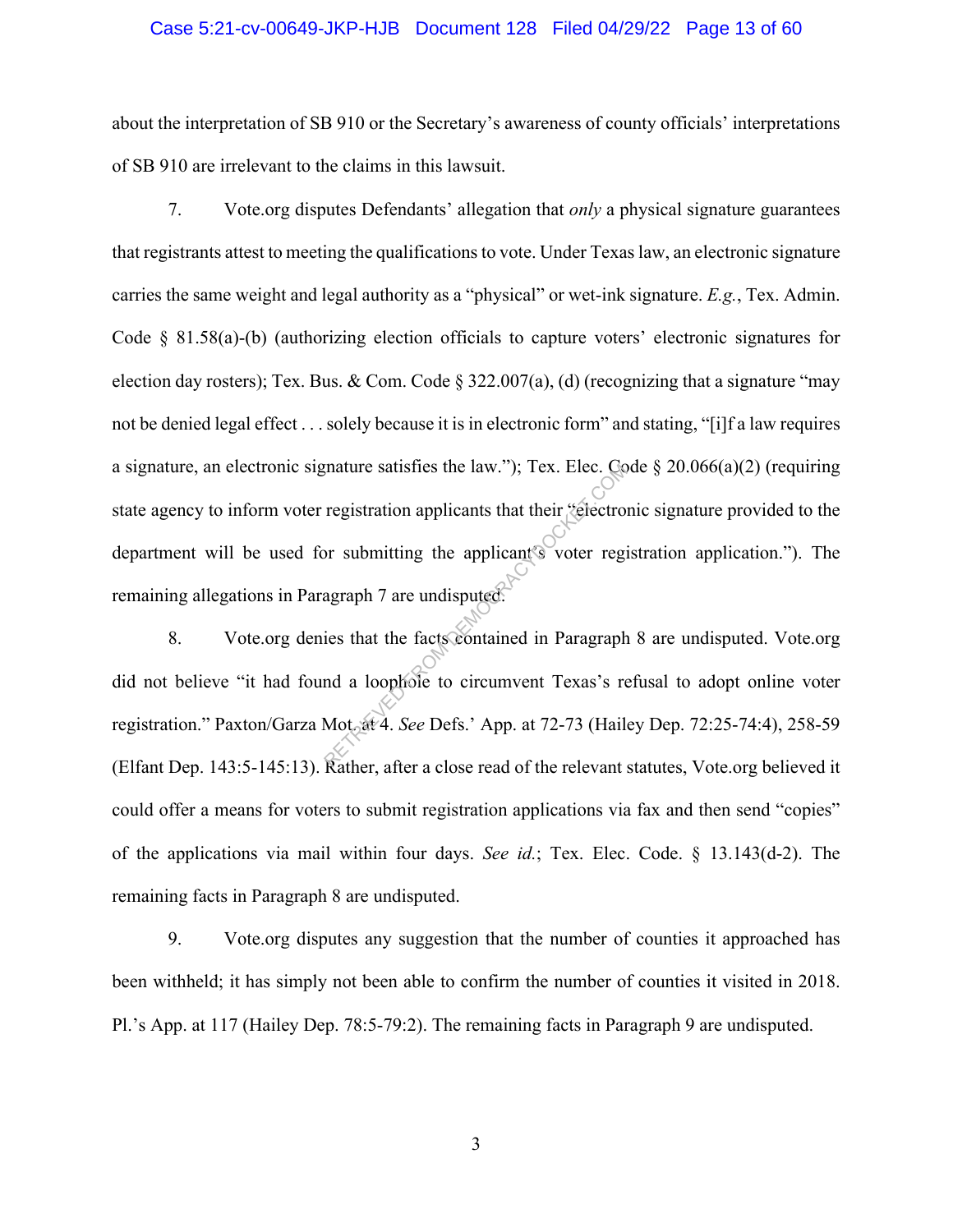#### Case 5:21-cv-00649-JKP-HJB Document 128 Filed 04/29/22 Page 13 of 60

about the interpretation of SB 910 or the Secretary's awareness of county officials' interpretations of SB 910 are irrelevant to the claims in this lawsuit.

7. Vote.org disputes Defendants' allegation that *only* a physical signature guarantees that registrants attest to meeting the qualifications to vote. Under Texas law, an electronic signature carries the same weight and legal authority as a "physical" or wet-ink signature. *E.g.*, Tex. Admin. Code § 81.58(a)-(b) (authorizing election officials to capture voters' electronic signatures for election day rosters); Tex. Bus. & Com. Code  $\S 322.007(a)$ , (d) (recognizing that a signature "may not be denied legal effect . . . solely because it is in electronic form" and stating, "[i]f a law requires a signature, an electronic signature satisfies the law."); Tex. Elec. Code § 20.066(a)(2) (requiring state agency to inform voter registration applicants that their "electronic signature provided to the department will be used for submitting the applicant's voter registration application."). The remaining allegations in Paragraph 7 are undisputed. mature satisfies the law."); Tex. Elec. Compared registration applicants that their "electron"<br>or submitting the applicant's voter registration 7 are undisputed.<br>ies that the facts contained in Paragraph<br>and a loophole to

8. Vote.org denies that the facts contained in Paragraph 8 are undisputed. Vote.org did not believe "it had found a loophole to circumvent Texas's refusal to adopt online voter registration." Paxton/Garza Mot. at 4. *See* Defs.' App. at 72-73 (Hailey Dep. 72:25-74:4), 258-59 (Elfant Dep. 143:5-145:13). Rather, after a close read of the relevant statutes, Vote.org believed it could offer a means for voters to submit registration applications via fax and then send "copies" of the applications via mail within four days. *See id.*; Tex. Elec. Code. § 13.143(d-2). The remaining facts in Paragraph 8 are undisputed.

9. Vote.org disputes any suggestion that the number of counties it approached has been withheld; it has simply not been able to confirm the number of counties it visited in 2018. Pl.'s App. at 117 (Hailey Dep. 78:5-79:2). The remaining facts in Paragraph 9 are undisputed.

3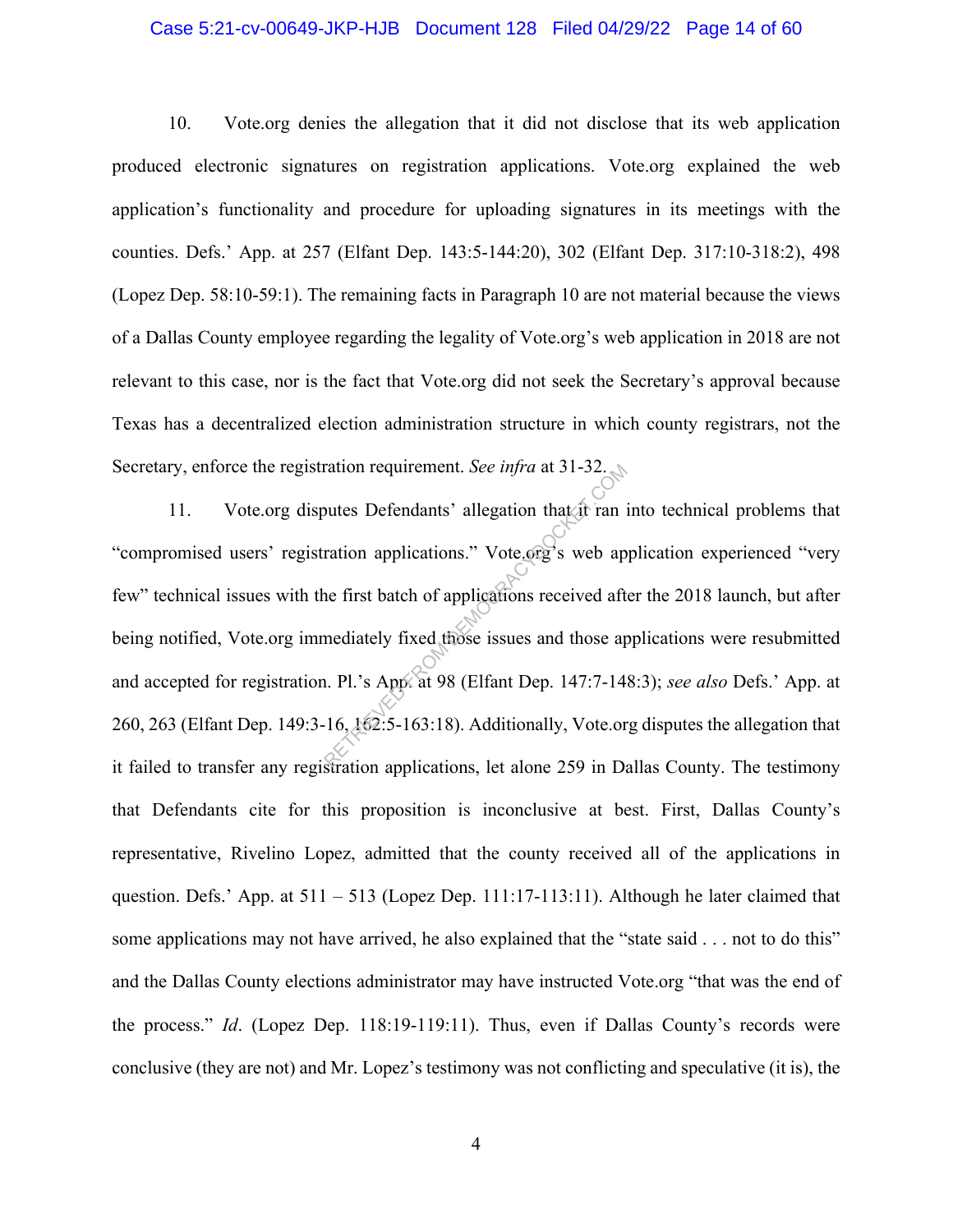#### Case 5:21-cv-00649-JKP-HJB Document 128 Filed 04/29/22 Page 14 of 60

10. Vote.org denies the allegation that it did not disclose that its web application produced electronic signatures on registration applications. Vote.org explained the web application's functionality and procedure for uploading signatures in its meetings with the counties. Defs.' App. at 257 (Elfant Dep. 143:5-144:20), 302 (Elfant Dep. 317:10-318:2), 498 (Lopez Dep. 58:10-59:1). The remaining facts in Paragraph 10 are not material because the views of a Dallas County employee regarding the legality of Vote.org's web application in 2018 are not relevant to this case, nor is the fact that Vote.org did not seek the Secretary's approval because Texas has a decentralized election administration structure in which county registrars, not the Secretary, enforce the registration requirement. *See infra* at 31-32.

11. Vote.org disputes Defendants' allegation that it ran into technical problems that "compromised users' registration applications." Vote.org's web application experienced "very few" technical issues with the first batch of applications received after the 2018 launch, but after being notified, Vote.org immediately fixed those issues and those applications were resubmitted and accepted for registration. Pl.'s App. at 98 (Elfant Dep. 147:7-148:3); *see also* Defs.' App. at 260, 263 (Elfant Dep. 149:3-16, 162:5-163:18). Additionally, Vote.org disputes the allegation that it failed to transfer any registration applications, let alone 259 in Dallas County. The testimony that Defendants cite for this proposition is inconclusive at best. First, Dallas County's representative, Rivelino Lopez, admitted that the county received all of the applications in question. Defs.' App. at  $511 - 513$  (Lopez Dep. 111:17-113:11). Although he later claimed that some applications may not have arrived, he also explained that the "state said . . . not to do this" and the Dallas County elections administrator may have instructed Vote.org "that was the end of the process." *Id*. (Lopez Dep. 118:19-119:11). Thus, even if Dallas County's records were conclusive (they are not) and Mr. Lopez's testimony was not conflicting and speculative (it is), the ration requirement. See *infra* at 31-32.<br>
butes Defendants' allegation that it ran is<br>
ration applications." Vote org's web ap<br>
ne first batch of applications received aft<br>
mediately fixed those issues and those ap<br>
n. Pl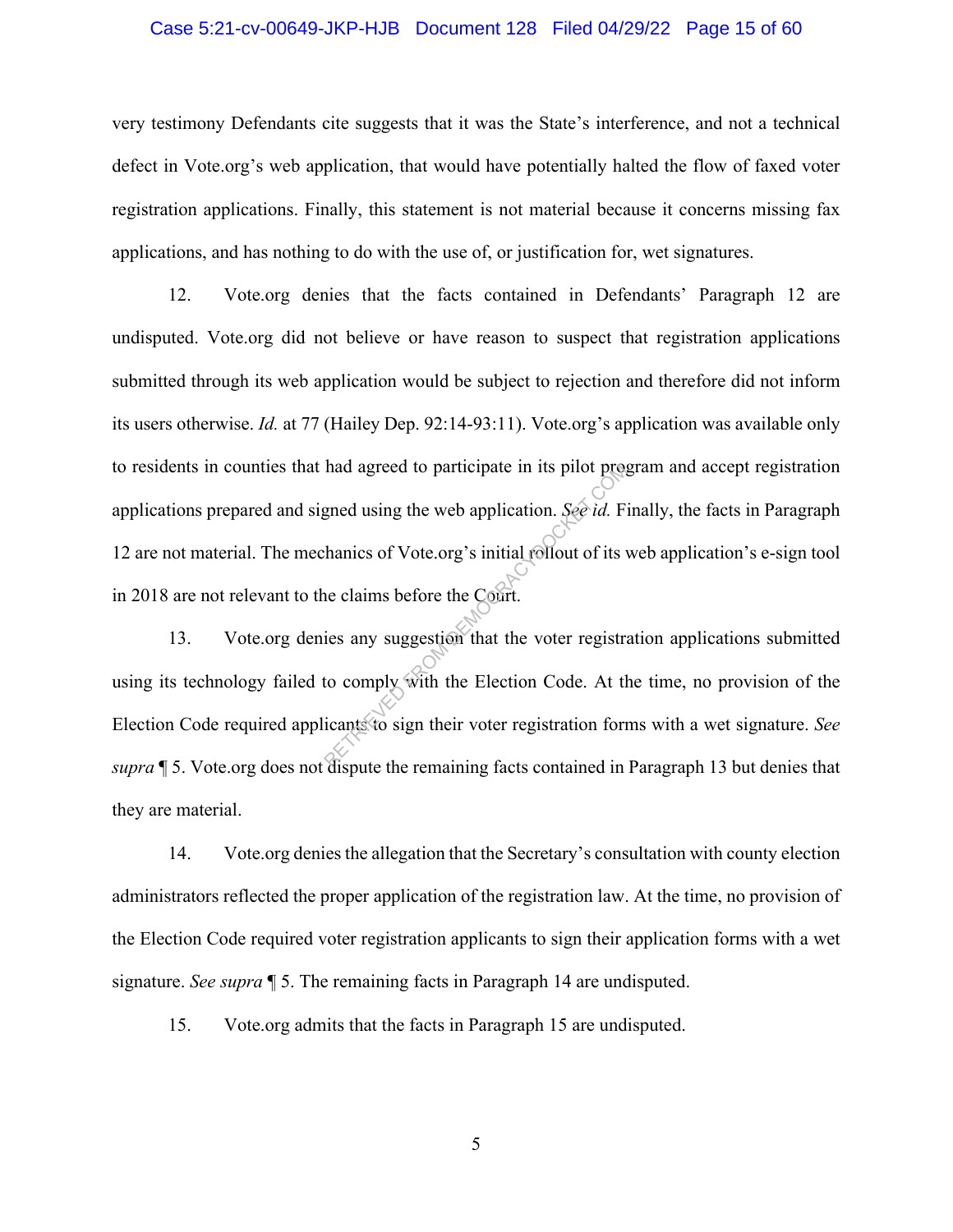#### Case 5:21-cv-00649-JKP-HJB Document 128 Filed 04/29/22 Page 15 of 60

very testimony Defendants cite suggests that it was the State's interference, and not a technical defect in Vote.org's web application, that would have potentially halted the flow of faxed voter registration applications. Finally, this statement is not material because it concerns missing fax applications, and has nothing to do with the use of, or justification for, wet signatures.

12. Vote.org denies that the facts contained in Defendants' Paragraph 12 are undisputed. Vote.org did not believe or have reason to suspect that registration applications submitted through its web application would be subject to rejection and therefore did not inform its users otherwise. *Id.* at 77 (Hailey Dep. 92:14-93:11). Vote.org's application was available only to residents in counties that had agreed to participate in its pilot program and accept registration applications prepared and signed using the web application. *See id.* Finally, the facts in Paragraph 12 are not material. The mechanics of Vote.org's initial rollout of its web application's e-sign tool in 2018 are not relevant to the claims before the Court. had agreed to participate in its pilot press<br>gned using the web application. See id. F<br>hanics of Vote.org's initial rollout of its<br>ne claims before the Court.<br>ies any suggestion that the voter registric<br>to comply with the

13. Vote.org denies any suggestion that the voter registration applications submitted using its technology failed to comply with the Election Code. At the time, no provision of the Election Code required applicants to sign their voter registration forms with a wet signature. *See supra* ¶ 5. Vote.org does not dispute the remaining facts contained in Paragraph 13 but denies that they are material.

14. Vote.org denies the allegation that the Secretary's consultation with county election administrators reflected the proper application of the registration law. At the time, no provision of the Election Code required voter registration applicants to sign their application forms with a wet signature. *See supra* ¶ 5. The remaining facts in Paragraph 14 are undisputed.

15. Vote.org admits that the facts in Paragraph 15 are undisputed.

5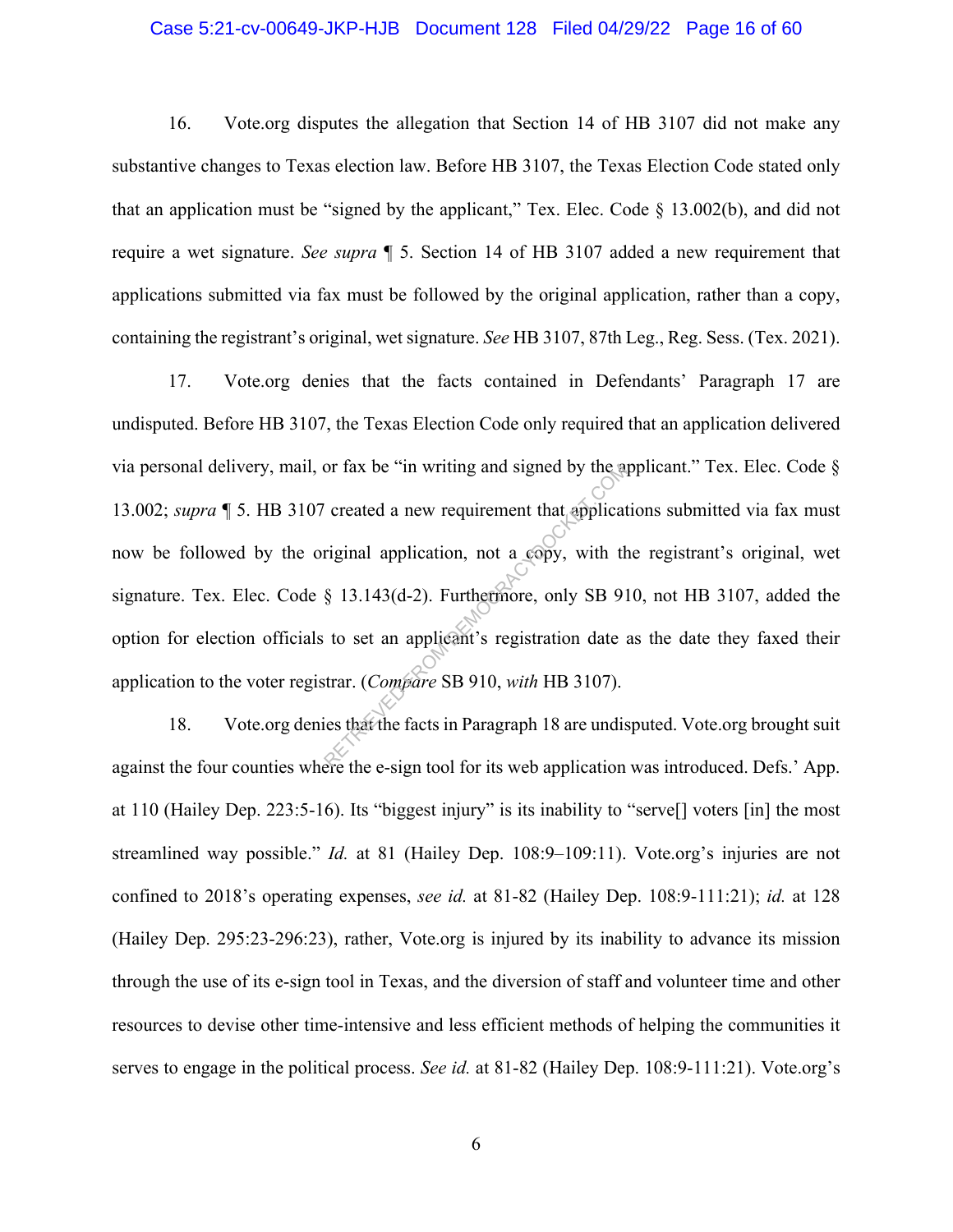#### Case 5:21-cv-00649-JKP-HJB Document 128 Filed 04/29/22 Page 16 of 60

16. Vote.org disputes the allegation that Section 14 of HB 3107 did not make any substantive changes to Texas election law. Before HB 3107, the Texas Election Code stated only that an application must be "signed by the applicant," Tex. Elec. Code  $\S$  13.002(b), and did not require a wet signature. *See supra* ¶ 5. Section 14 of HB 3107 added a new requirement that applications submitted via fax must be followed by the original application, rather than a copy, containing the registrant's original, wet signature. *See* HB 3107, 87th Leg., Reg. Sess. (Tex. 2021).

17. Vote.org denies that the facts contained in Defendants' Paragraph 17 are undisputed. Before HB 3107, the Texas Election Code only required that an application delivered via personal delivery, mail, or fax be "in writing and signed by the applicant." Tex. Elec. Code § 13.002; *supra* ¶ 5. HB 3107 created a new requirement that applications submitted via fax must now be followed by the original application, not a copy, with the registrant's original, wet signature. Tex. Elec. Code § 13.143(d-2). Furthermore, only SB 910, not HB 3107, added the option for election officials to set an applicant's registration date as the date they faxed their application to the voter registrar. (*Compare* SB 910, *with* HB 3107). or tax be "in writing and signed by the asternal contracted a new requirement that applicate riginal application, not a copy, with the  $\frac{8}{3}$  13.143(d-2). Furthermore, only SB 91 to set an applicant's registration date

18. Vote.org denies that the facts in Paragraph 18 are undisputed. Vote.org brought suit against the four counties where the e-sign tool for its web application was introduced. Defs.' App. at 110 (Hailey Dep. 223:5-16). Its "biggest injury" is its inability to "serve[] voters [in] the most streamlined way possible." *Id.* at 81 (Hailey Dep. 108:9–109:11). Vote.org's injuries are not confined to 2018's operating expenses, *see id.* at 81-82 (Hailey Dep. 108:9-111:21); *id.* at 128 (Hailey Dep. 295:23-296:23), rather, Vote.org is injured by its inability to advance its mission through the use of its e-sign tool in Texas, and the diversion of staff and volunteer time and other resources to devise other time-intensive and less efficient methods of helping the communities it serves to engage in the political process. *See id.* at 81-82 (Hailey Dep. 108:9-111:21). Vote.org's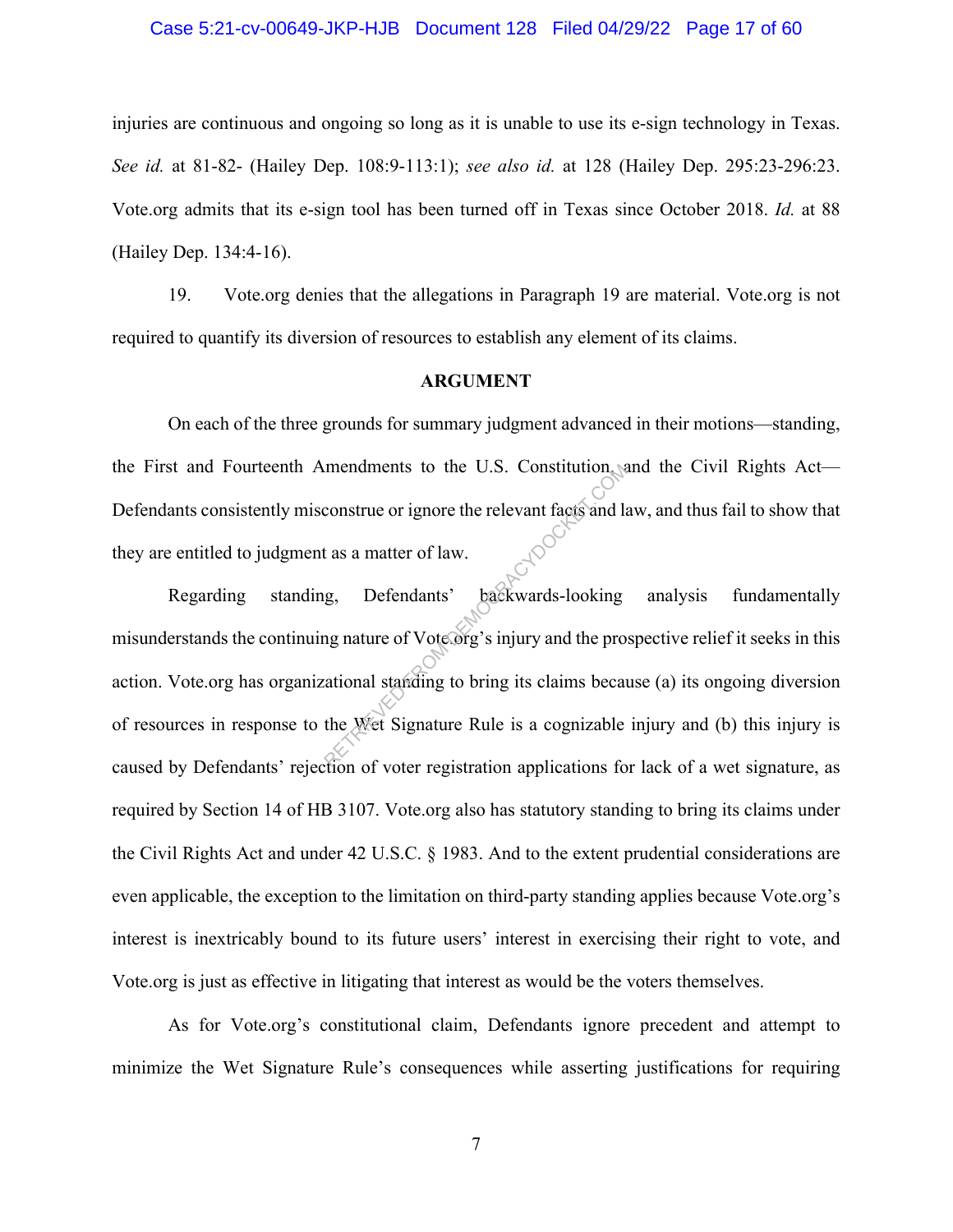#### Case 5:21-cv-00649-JKP-HJB Document 128 Filed 04/29/22 Page 17 of 60

injuries are continuous and ongoing so long as it is unable to use its e-sign technology in Texas. *See id.* at 81-82- (Hailey Dep. 108:9-113:1); *see also id.* at 128 (Hailey Dep. 295:23-296:23. Vote.org admits that its e-sign tool has been turned off in Texas since October 2018. *Id.* at 88 (Hailey Dep. 134:4-16).

19. Vote.org denies that the allegations in Paragraph 19 are material. Vote.org is not required to quantify its diversion of resources to establish any element of its claims.

#### **ARGUMENT**

On each of the three grounds for summary judgment advanced in their motions—standing, the First and Fourteenth Amendments to the U.S. Constitution, and the Civil Rights Act— Defendants consistently misconstrue or ignore the relevant facts and law, and thus fail to show that they are entitled to judgment as a matter of law.

Regarding standing, Defendants' backwards-looking analysis fundamentally misunderstands the continuing nature of Vote.org's injury and the prospective relief it seeks in this action. Vote.org has organizational standing to bring its claims because (a) its ongoing diversion of resources in response to the Wet Signature Rule is a cognizable injury and (b) this injury is caused by Defendants' rejection of voter registration applications for lack of a wet signature, as required by Section 14 of HB 3107. Vote.org also has statutory standing to bring its claims under the Civil Rights Act and under 42 U.S.C. § 1983. And to the extent prudential considerations are even applicable, the exception to the limitation on third-party standing applies because Vote.org's interest is inextricably bound to its future users' interest in exercising their right to vote, and Vote.org is just as effective in litigating that interest as would be the voters themselves. mendments to the U.S. Constitution<br>
construe or ignore the relevant facts and later<br>
as a matter of law.<br>
g, Defendants' backwards-looking<br>
ng nature of Vote.org's injury and the pro-<br>
cational standing to bring its claims

As for Vote.org's constitutional claim, Defendants ignore precedent and attempt to minimize the Wet Signature Rule's consequences while asserting justifications for requiring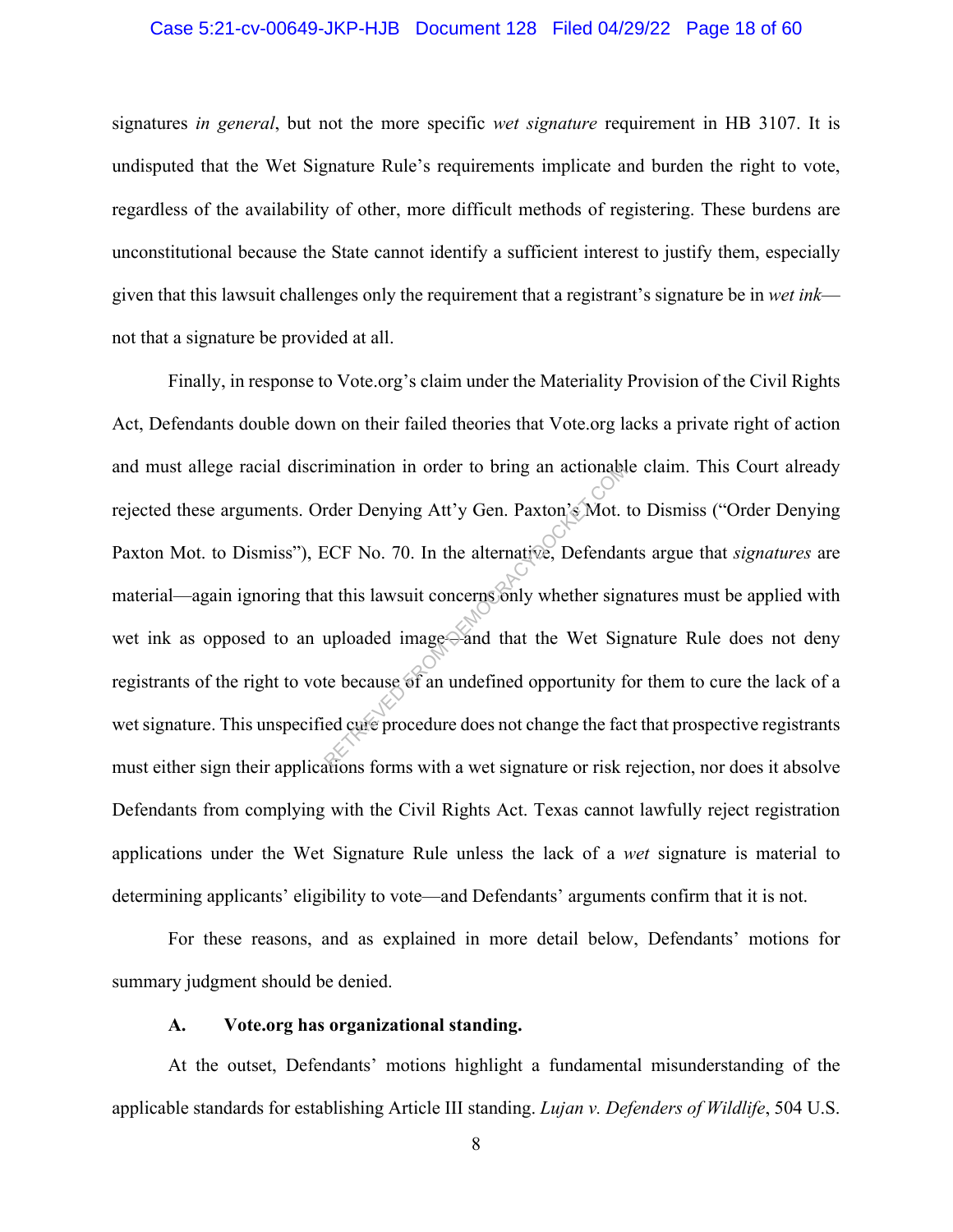#### Case 5:21-cv-00649-JKP-HJB Document 128 Filed 04/29/22 Page 18 of 60

signatures *in general*, but not the more specific *wet signature* requirement in HB 3107. It is undisputed that the Wet Signature Rule's requirements implicate and burden the right to vote, regardless of the availability of other, more difficult methods of registering. These burdens are unconstitutional because the State cannot identify a sufficient interest to justify them, especially given that this lawsuit challenges only the requirement that a registrant's signature be in *wet ink* not that a signature be provided at all.

Finally, in response to Vote.org's claim under the Materiality Provision of the Civil Rights Act, Defendants double down on their failed theories that Vote.org lacks a private right of action and must allege racial discrimination in order to bring an actionable claim. This Court already rejected these arguments. Order Denying Att'y Gen. Paxton's Mot. to Dismiss ("Order Denying Paxton Mot. to Dismiss"), ECF No. 70. In the alternative, Defendants argue that *signatures* are material—again ignoring that this lawsuit concerns only whether signatures must be applied with wet ink as opposed to an uploaded image—and that the Wet Signature Rule does not deny registrants of the right to vote because of an undefined opportunity for them to cure the lack of a wet signature. This unspecified cure procedure does not change the fact that prospective registrants must either sign their applications forms with a wet signature or risk rejection, nor does it absolve Defendants from complying with the Civil Rights Act. Texas cannot lawfully reject registration applications under the Wet Signature Rule unless the lack of a *wet* signature is material to determining applicants' eligibility to vote—and Defendants' arguments confirm that it is not. mination in order to bring an actional<br>rder Denying Att'y Gen. Paxton's Mot.<br>ECF No. 70. In the alternative, Defendant<br>this lawsuit concerns only whether sign<br>uploaded image and that the Wet Signed the Secause of an undefi

For these reasons, and as explained in more detail below, Defendants' motions for summary judgment should be denied.

#### **A. Vote.org has organizational standing.**

At the outset, Defendants' motions highlight a fundamental misunderstanding of the applicable standards for establishing Article III standing. *Lujan v. Defenders of Wildlife*, 504 U.S.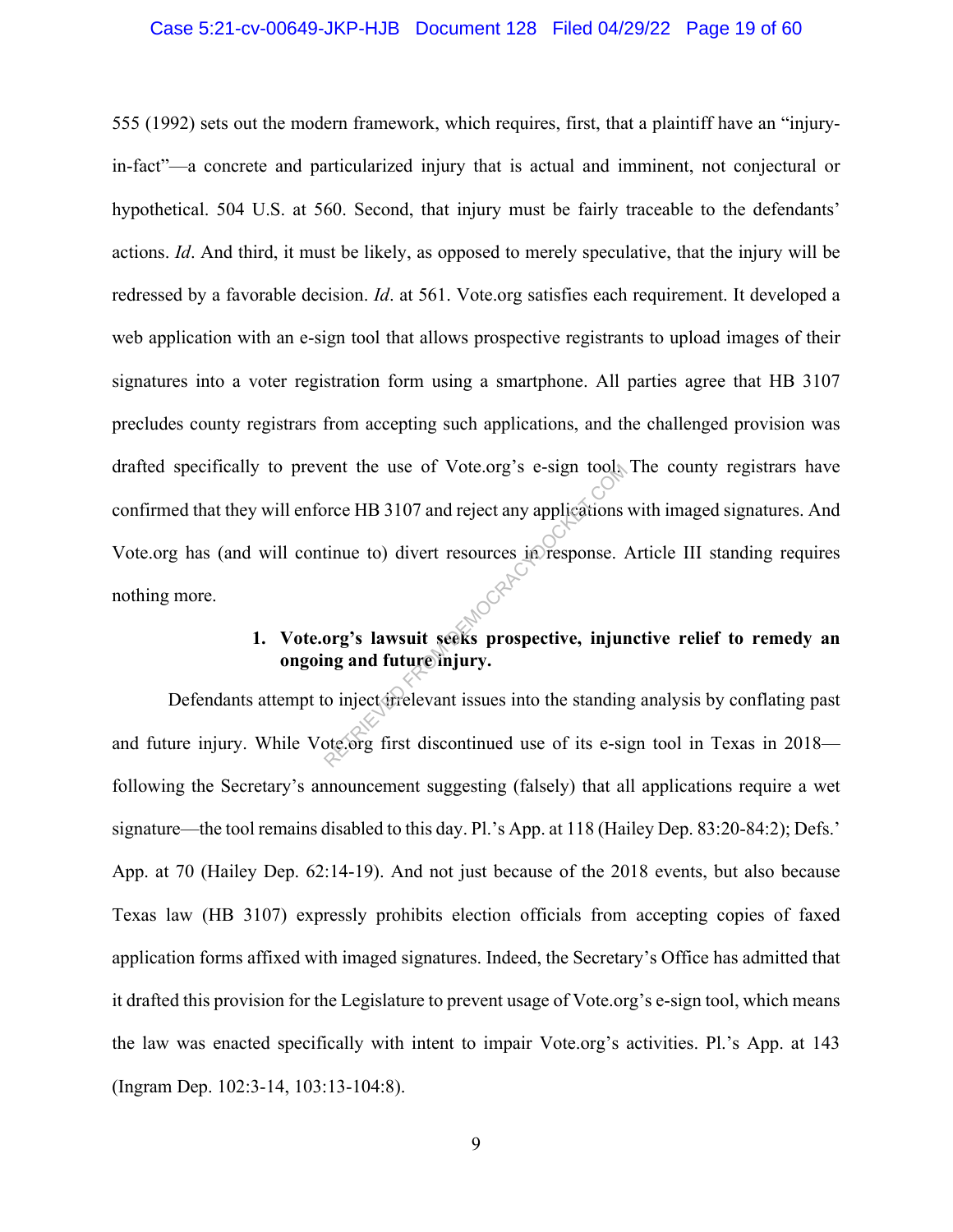#### Case 5:21-cv-00649-JKP-HJB Document 128 Filed 04/29/22 Page 19 of 60

555 (1992) sets out the modern framework, which requires, first, that a plaintiff have an "injuryin-fact"—a concrete and particularized injury that is actual and imminent, not conjectural or hypothetical. 504 U.S. at 560. Second, that injury must be fairly traceable to the defendants' actions. *Id*. And third, it must be likely, as opposed to merely speculative, that the injury will be redressed by a favorable decision. *Id*. at 561. Vote.org satisfies each requirement. It developed a web application with an e-sign tool that allows prospective registrants to upload images of their signatures into a voter registration form using a smartphone. All parties agree that HB 3107 precludes county registrars from accepting such applications, and the challenged provision was drafted specifically to prevent the use of Vote.org's e-sign tool. The county registrars have confirmed that they will enforce HB 3107 and reject any applications with imaged signatures. And Vote.org has (and will continue to) divert resources in response. Article III standing requires nothing more. The use of Vote.org's e-sign tools<br>
orce HB 3107 and reject any applications<br>
tinue to) divert resources in response.<br>
org's lawsuit seeks prospective, injur<br>
org's lawsuit seeks prospective, injur<br>
ng and future injury.<br>

## **1. Vote.org's lawsuit seeks prospective, injunctive relief to remedy an ongoing and future injury.**

Defendants attempt to inject trelevant issues into the standing analysis by conflating past and future injury. While Vote.org first discontinued use of its e-sign tool in Texas in 2018 following the Secretary's announcement suggesting (falsely) that all applications require a wet signature—the tool remains disabled to this day. Pl.'s App. at 118 (Hailey Dep. 83:20-84:2); Defs.' App. at 70 (Hailey Dep. 62:14-19). And not just because of the 2018 events, but also because Texas law (HB 3107) expressly prohibits election officials from accepting copies of faxed application forms affixed with imaged signatures. Indeed, the Secretary's Office has admitted that it drafted this provision for the Legislature to prevent usage of Vote.org's e-sign tool, which means the law was enacted specifically with intent to impair Vote.org's activities. Pl.'s App. at 143 (Ingram Dep. 102:3-14, 103:13-104:8).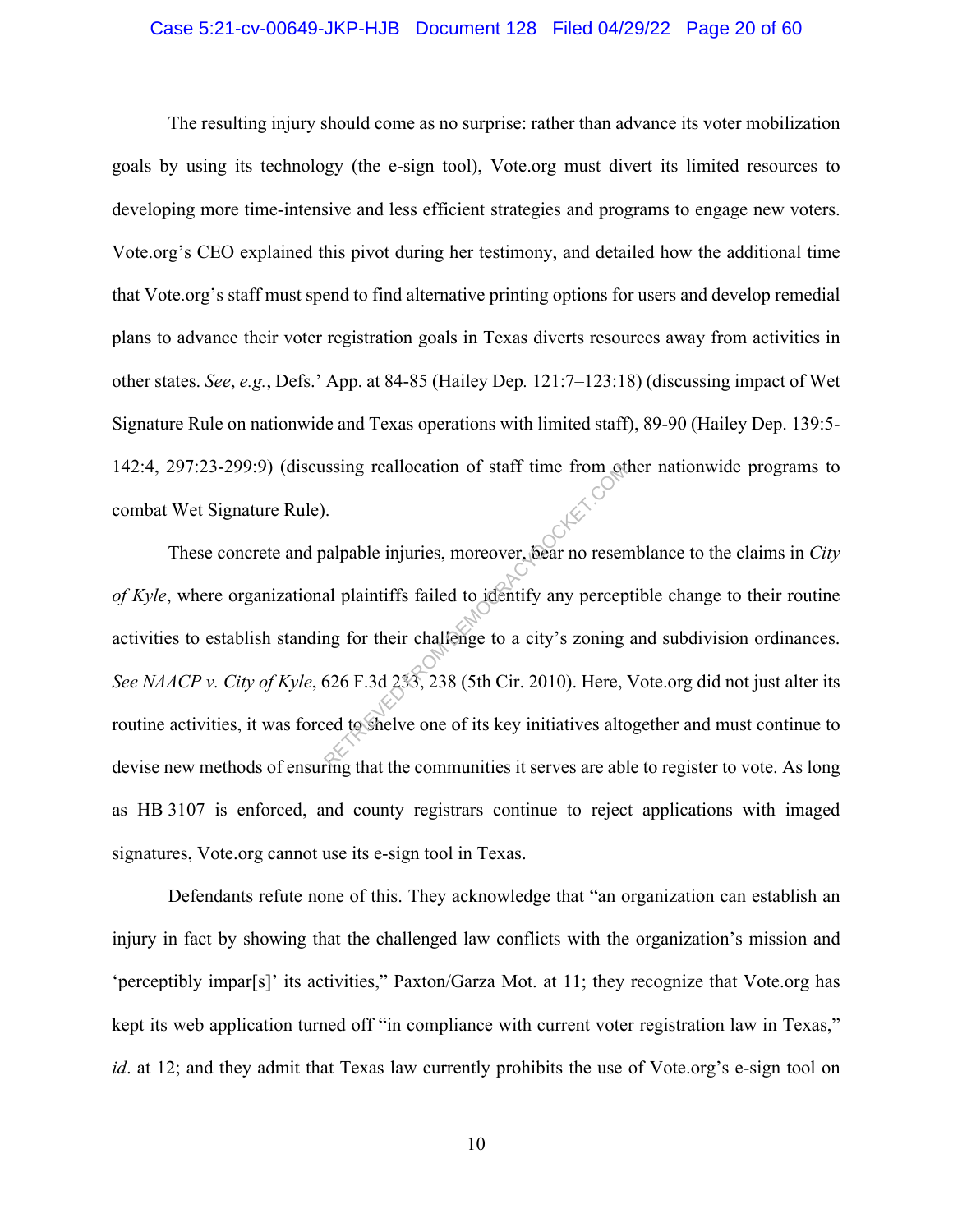#### Case 5:21-cv-00649-JKP-HJB Document 128 Filed 04/29/22 Page 20 of 60

The resulting injury should come as no surprise: rather than advance its voter mobilization goals by using its technology (the e-sign tool), Vote.org must divert its limited resources to developing more time-intensive and less efficient strategies and programs to engage new voters. Vote.org's CEO explained this pivot during her testimony, and detailed how the additional time that Vote.org's staff must spend to find alternative printing options for users and develop remedial plans to advance their voter registration goals in Texas diverts resources away from activities in other states. *See*, *e.g.*, Defs.' App. at 84-85 (Hailey Dep*.* 121:7–123:18) (discussing impact of Wet Signature Rule on nationwide and Texas operations with limited staff), 89-90 (Hailey Dep. 139:5- 142:4, 297:23-299:9) (discussing reallocation of staff time from other nationwide programs to combat Wet Signature Rule).

These concrete and palpable injuries, moreover, bear no resemblance to the claims in *City of Kyle*, where organizational plaintiffs failed to identify any perceptible change to their routine activities to establish standing for their challenge to a city's zoning and subdivision ordinances. *See NAACP v. City of Kyle*, 626 F.3d 233, 238 (5th Cir. 2010). Here, Vote.org did not just alter its routine activities, it was forced to shelve one of its key initiatives altogether and must continue to devise new methods of ensuring that the communities it serves are able to register to vote. As long as HB 3107 is enforced, and county registrars continue to reject applications with imaged signatures, Vote.org cannot use its e-sign tool in Texas. Example injuries, moreover, bear no reserved<br>al plaintiffs failed to identify any perception of their challenge to a city's zoning<br>626 F.3d 233, 238 (5th Cir. 2010). Here, each to shelve one of its key initiatives alto

Defendants refute none of this. They acknowledge that "an organization can establish an injury in fact by showing that the challenged law conflicts with the organization's mission and 'perceptibly impar[s]' its activities," Paxton/Garza Mot. at 11; they recognize that Vote.org has kept its web application turned off "in compliance with current voter registration law in Texas," *id*. at 12; and they admit that Texas law currently prohibits the use of Vote.org's e-sign tool on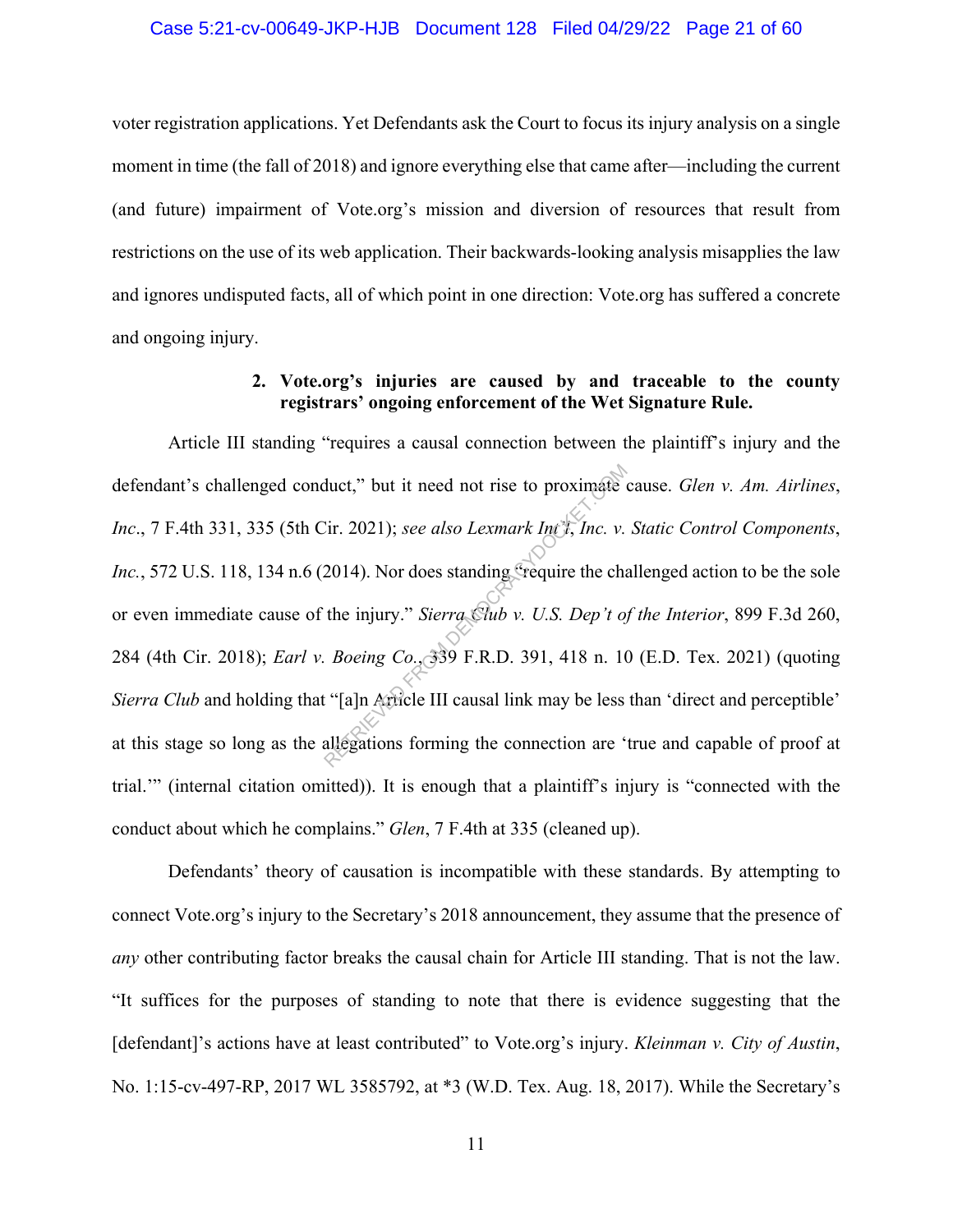#### Case 5:21-cv-00649-JKP-HJB Document 128 Filed 04/29/22 Page 21 of 60

voter registration applications. Yet Defendants ask the Court to focus its injury analysis on a single moment in time (the fall of 2018) and ignore everything else that came after—including the current (and future) impairment of Vote.org's mission and diversion of resources that result from restrictions on the use of its web application. Their backwards-looking analysis misapplies the law and ignores undisputed facts, all of which point in one direction: Vote.org has suffered a concrete and ongoing injury.

## **2. Vote.org's injuries are caused by and traceable to the county registrars' ongoing enforcement of the Wet Signature Rule.**

Article III standing "requires a causal connection between the plaintiff's injury and the defendant's challenged conduct," but it need not rise to proximate cause. *Glen v. Am. Airlines*, *Inc*., 7 F.4th 331, 335 (5th Cir. 2021); *see also Lexmark Int'l*, *Inc. v. Static Control Components*, *Inc.*, 572 U.S. 118, 134 n.6 (2014). Nor does standing "require the challenged action to be the sole or even immediate cause of the injury." *Sierra Club v. U.S. Dep't of the Interior*, 899 F.3d 260, 284 (4th Cir. 2018); *Earl v. Boeing Co.*, 339 F.R.D. 391, 418 n. 10 (E.D. Tex. 2021) (quoting *Sierra Club* and holding that "[a]n Article III causal link may be less than 'direct and perceptible' at this stage so long as the allegations forming the connection are 'true and capable of proof at trial.'" (internal citation omitted)). It is enough that a plaintiff's injury is "connected with the conduct about which he complains." *Glen*, 7 F.4th at 335 (cleaned up). duct," but it need not rise to proximate of<br>
Eir. 2021); see also Lexmark Int I, Inc. v.<br>
2014). Nor does standing "require the cha<br>
the injury." Sierra Club v. U.S. Dep't of<br>
Boeing Co. 39 F.R.D. 391, 418 n. 10<br>
"[a]n Art

Defendants' theory of causation is incompatible with these standards. By attempting to connect Vote.org's injury to the Secretary's 2018 announcement, they assume that the presence of *any* other contributing factor breaks the causal chain for Article III standing. That is not the law. "It suffices for the purposes of standing to note that there is evidence suggesting that the [defendant]'s actions have at least contributed" to Vote.org's injury. *Kleinman v. City of Austin*, No. 1:15-cv-497-RP, 2017 WL 3585792, at \*3 (W.D. Tex. Aug. 18, 2017). While the Secretary's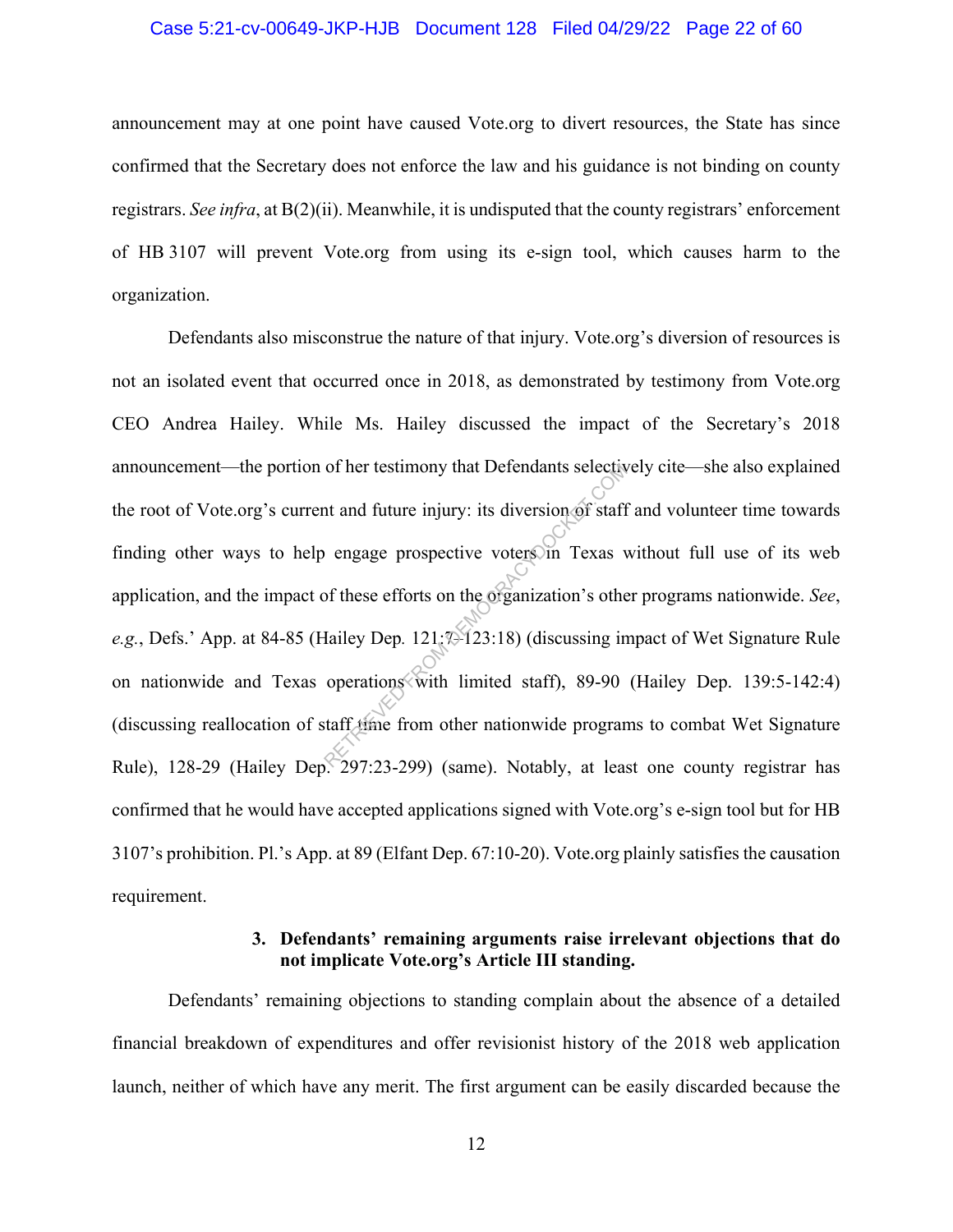#### Case 5:21-cv-00649-JKP-HJB Document 128 Filed 04/29/22 Page 22 of 60

announcement may at one point have caused Vote.org to divert resources, the State has since confirmed that the Secretary does not enforce the law and his guidance is not binding on county registrars. *See infra*, at B(2)(ii). Meanwhile, it is undisputed that the county registrars' enforcement of HB 3107 will prevent Vote.org from using its e-sign tool, which causes harm to the organization.

Defendants also misconstrue the nature of that injury. Vote.org's diversion of resources is not an isolated event that occurred once in 2018, as demonstrated by testimony from Vote.org CEO Andrea Hailey. While Ms. Hailey discussed the impact of the Secretary's 2018 announcement—the portion of her testimony that Defendants selectively cite—she also explained the root of Vote.org's current and future injury: its diversion of staff and volunteer time towards finding other ways to help engage prospective voters in Texas without full use of its web application, and the impact of these efforts on the organization's other programs nationwide. *See*, *e.g.*, Defs.' App. at 84-85 (Hailey Dep*.* 121:7–123:18) (discussing impact of Wet Signature Rule on nationwide and Texas operations with limited staff), 89-90 (Hailey Dep. 139:5-142:4) (discussing reallocation of staff time from other nationwide programs to combat Wet Signature Rule), 128-29 (Hailey Dep. 297:23-299) (same). Notably, at least one county registrar has confirmed that he would have accepted applications signed with Vote.org's e-sign tool but for HB 3107's prohibition. Pl.'s App. at 89 (Elfant Dep. 67:10-20). Vote.org plainly satisfies the causation requirement. of her testimony that Detendants selective<br>at and future injury: its diversion of staff<br>engage prospective voters in Texas<br>of these efforts on the organization's other<br>dialey Dep. 121;7-123:18) (discussing in<br>operations wi

## **3. Defendants' remaining arguments raise irrelevant objections that do not implicate Vote.org's Article III standing.**

Defendants' remaining objections to standing complain about the absence of a detailed financial breakdown of expenditures and offer revisionist history of the 2018 web application launch, neither of which have any merit. The first argument can be easily discarded because the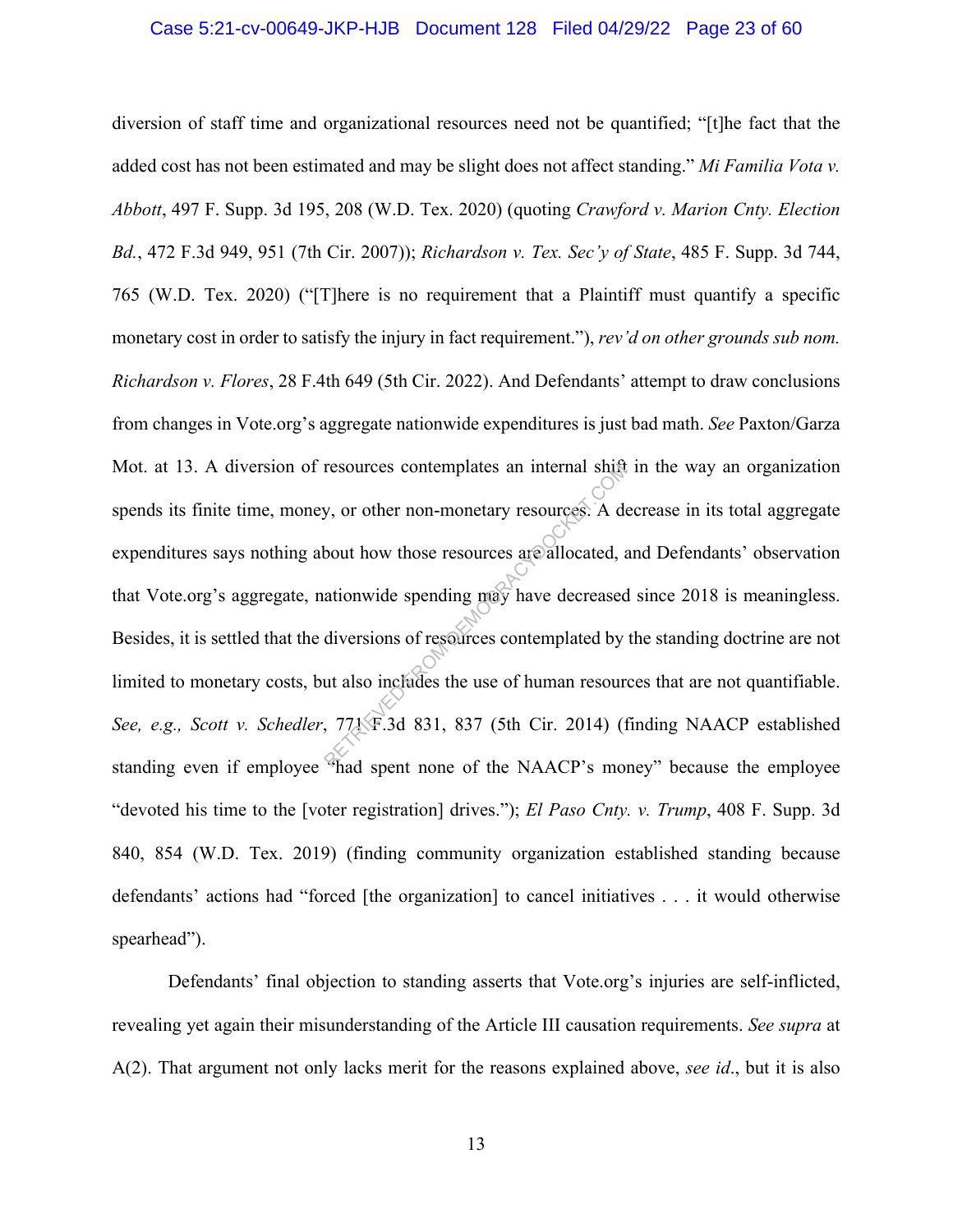#### Case 5:21-cv-00649-JKP-HJB Document 128 Filed 04/29/22 Page 23 of 60

diversion of staff time and organizational resources need not be quantified; "[t]he fact that the added cost has not been estimated and may be slight does not affect standing." *Mi Familia Vota v. Abbott*, 497 F. Supp. 3d 195, 208 (W.D. Tex. 2020) (quoting *Crawford v. Marion Cnty. Election Bd.*, 472 F.3d 949, 951 (7th Cir. 2007)); *Richardson v. Tex. Sec'y of State*, 485 F. Supp. 3d 744, 765 (W.D. Tex. 2020) ("[T]here is no requirement that a Plaintiff must quantify a specific monetary cost in order to satisfy the injury in fact requirement."), *rev'd on other grounds sub nom. Richardson v. Flores*, 28 F.4th 649 (5th Cir. 2022). And Defendants' attempt to draw conclusions from changes in Vote.org's aggregate nationwide expenditures is just bad math. *See* Paxton/Garza Mot. at 13. A diversion of resources contemplates an internal shift in the way an organization spends its finite time, money, or other non-monetary resources. A decrease in its total aggregate expenditures says nothing about how those resources are allocated, and Defendants' observation that Vote.org's aggregate, nationwide spending may have decreased since 2018 is meaningless. Besides, it is settled that the diversions of resources contemplated by the standing doctrine are not limited to monetary costs, but also includes the use of human resources that are not quantifiable. *See, e.g., Scott v. Schedler*, 771 F.3d 831, 837 (5th Cir. 2014) (finding NAACP established standing even if employee "had spent none of the NAACP's money" because the employee "devoted his time to the [voter registration] drives."); *El Paso Cnty. v. Trump*, 408 F. Supp. 3d 840, 854 (W.D. Tex. 2019) (finding community organization established standing because defendants' actions had "forced [the organization] to cancel initiatives . . . it would otherwise spearhead"). resources contemplates an internal shift<br>y, or other non-monetary resources. A debout how those resources are allocated, a<br>ationwide spending may have decreased<br>diversions of resources contemplated by<br>ut also includes the

Defendants' final objection to standing asserts that Vote.org's injuries are self-inflicted, revealing yet again their misunderstanding of the Article III causation requirements. *See supra* at A(2). That argument not only lacks merit for the reasons explained above, *see id*., but it is also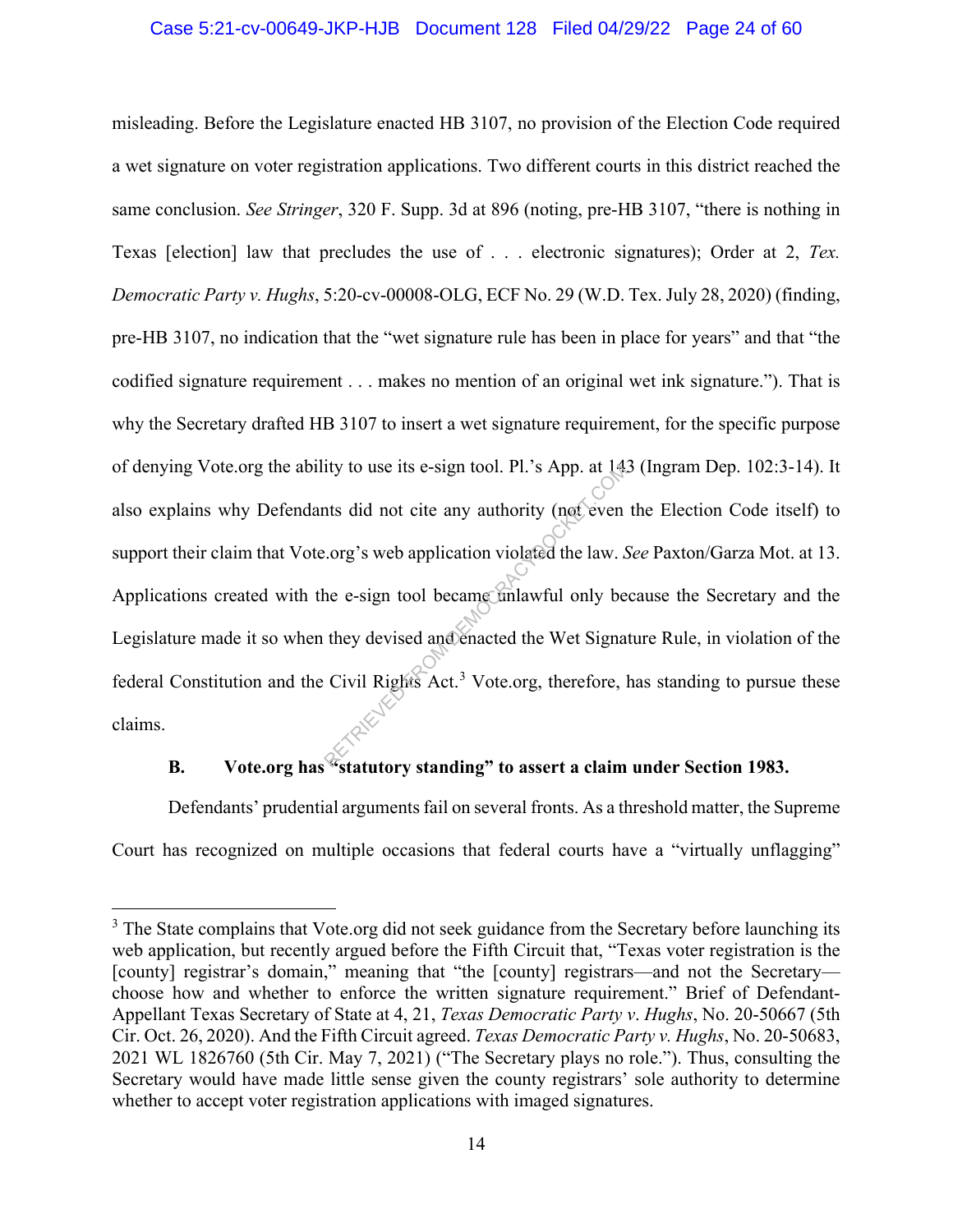#### Case 5:21-cv-00649-JKP-HJB Document 128 Filed 04/29/22 Page 24 of 60

misleading. Before the Legislature enacted HB 3107, no provision of the Election Code required a wet signature on voter registration applications. Two different courts in this district reached the same conclusion. *See Stringer*, 320 F. Supp. 3d at 896 (noting, pre-HB 3107, "there is nothing in Texas [election] law that precludes the use of . . . electronic signatures); Order at 2, *Tex. Democratic Party v. Hughs*, 5:20-cv-00008-OLG, ECF No. 29 (W.D. Tex. July 28, 2020) (finding, pre-HB 3107, no indication that the "wet signature rule has been in place for years" and that "the codified signature requirement . . . makes no mention of an original wet ink signature."). That is why the Secretary drafted HB 3107 to insert a wet signature requirement, for the specific purpose of denying Vote.org the ability to use its e-sign tool. Pl.'s App. at 143 (Ingram Dep. 102:3-14). It also explains why Defendants did not cite any authority (not even the Election Code itself) to support their claim that Vote.org's web application violated the law. *See* Paxton/Garza Mot. at 13. Applications created with the e-sign tool became unlawful only because the Secretary and the Legislature made it so when they devised and enacted the Wet Signature Rule, in violation of the federal Constitution and the Civil Rights Act.<sup>3</sup> Vote.org, therefore, has standing to pursue these claims. ity to use its e-sign tool. Pl.'s App. at 14.<br>
ts did not cite any authority (not even<br>
..org's web application violated the law. S<br>
he e-sign tool became unlawful only be<br>
they devised and enacted the Wet Signa<br>
Civil Rig

## **B. Vote.org has "statutory standing" to assert a claim under Section 1983.**

Defendants' prudential arguments fail on several fronts. As a threshold matter, the Supreme Court has recognized on multiple occasions that federal courts have a "virtually unflagging"

<sup>&</sup>lt;sup>3</sup> The State complains that Vote.org did not seek guidance from the Secretary before launching its web application, but recently argued before the Fifth Circuit that, "Texas voter registration is the [county] registrar's domain," meaning that "the [county] registrars—and not the Secretary choose how and whether to enforce the written signature requirement." Brief of Defendant-Appellant Texas Secretary of State at 4, 21, *Texas Democratic Party v*. *Hughs*, No. 20-50667 (5th Cir. Oct. 26, 2020). And the Fifth Circuit agreed. *Texas Democratic Party v. Hughs*, No. 20-50683, 2021 WL 1826760 (5th Cir. May 7, 2021) ("The Secretary plays no role."). Thus, consulting the Secretary would have made little sense given the county registrars' sole authority to determine whether to accept voter registration applications with imaged signatures.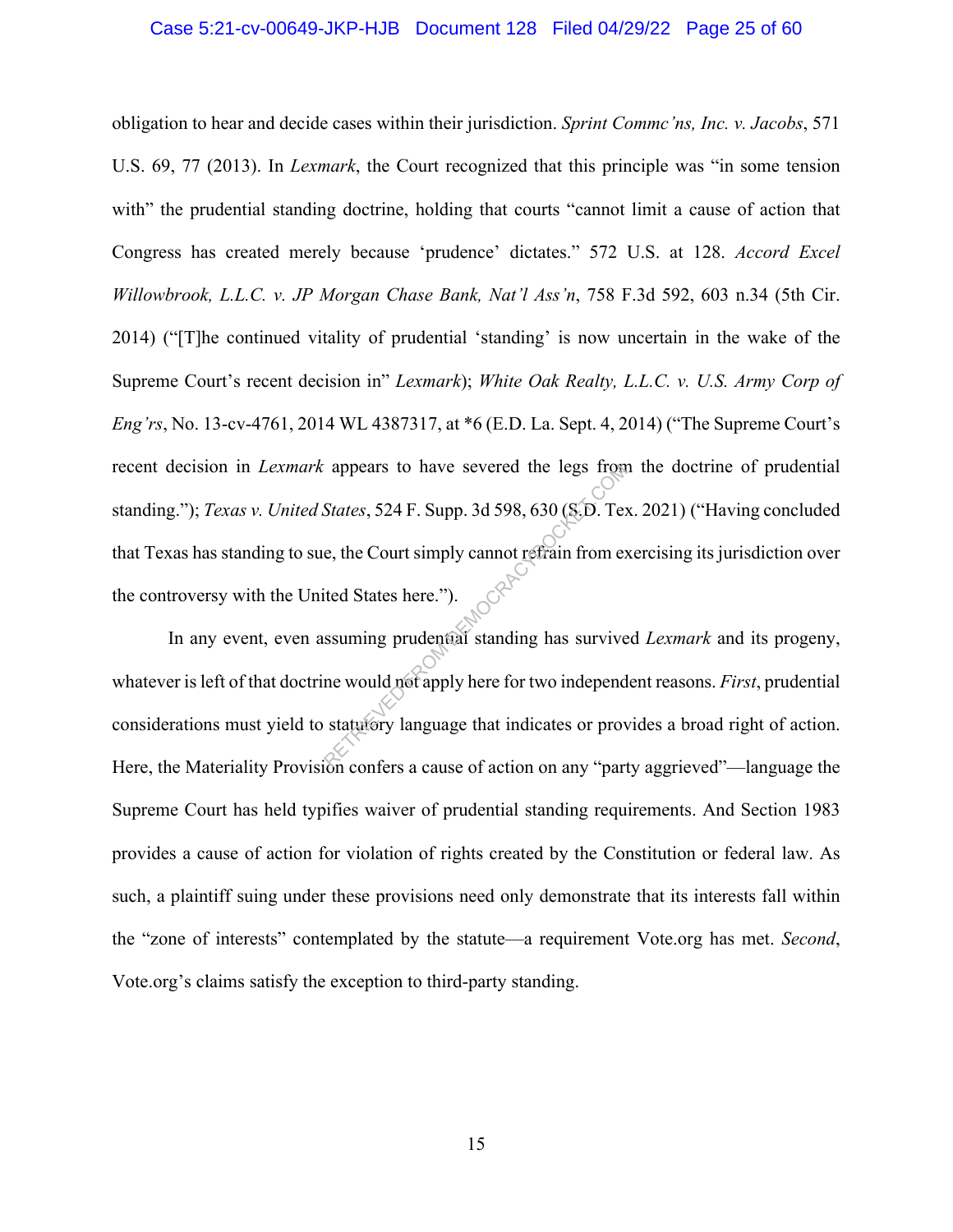#### Case 5:21-cv-00649-JKP-HJB Document 128 Filed 04/29/22 Page 25 of 60

obligation to hear and decide cases within their jurisdiction. *Sprint Commc'ns, Inc. v. Jacobs*, 571 U.S. 69, 77 (2013). In *Lexmark*, the Court recognized that this principle was "in some tension with" the prudential standing doctrine, holding that courts "cannot limit a cause of action that Congress has created merely because 'prudence' dictates." 572 U.S. at 128. *Accord Excel Willowbrook, L.L.C. v. JP Morgan Chase Bank, Nat'l Ass'n*, 758 F.3d 592, 603 n.34 (5th Cir. 2014) ("[T]he continued vitality of prudential 'standing' is now uncertain in the wake of the Supreme Court's recent decision in" *Lexmark*); *White Oak Realty, L.L.C. v. U.S. Army Corp of Eng'rs*, No. 13-cv-4761, 2014 WL 4387317, at \*6 (E.D. La. Sept. 4, 2014) ("The Supreme Court's recent decision in *Lexmark* appears to have severed the legs from the doctrine of prudential standing."); *Texas v. United States*, 524 F. Supp. 3d 598, 630 (S.D. Tex. 2021) ("Having concluded that Texas has standing to sue, the Court simply cannot refrain from exercising its jurisdiction over the controversy with the United States here."). appears to have severed the legs from<br>States, 524 F. Supp. 3d 598, 630 (S.D. Tex<br>e, the Court simply cannot refrain from ex<br>ited States here.").<br>ssuming prudential standing has survive<br>me would not apply here for two indep

In any event, even assuming prudential standing has survived *Lexmark* and its progeny, whatever is left of that doctrine would not apply here for two independent reasons. *First*, prudential considerations must yield to statutory language that indicates or provides a broad right of action. Here, the Materiality Provision confers a cause of action on any "party aggrieved"—language the Supreme Court has held typifies waiver of prudential standing requirements. And Section 1983 provides a cause of action for violation of rights created by the Constitution or federal law. As such, a plaintiff suing under these provisions need only demonstrate that its interests fall within the "zone of interests" contemplated by the statute—a requirement Vote.org has met. *Second*, Vote.org's claims satisfy the exception to third-party standing.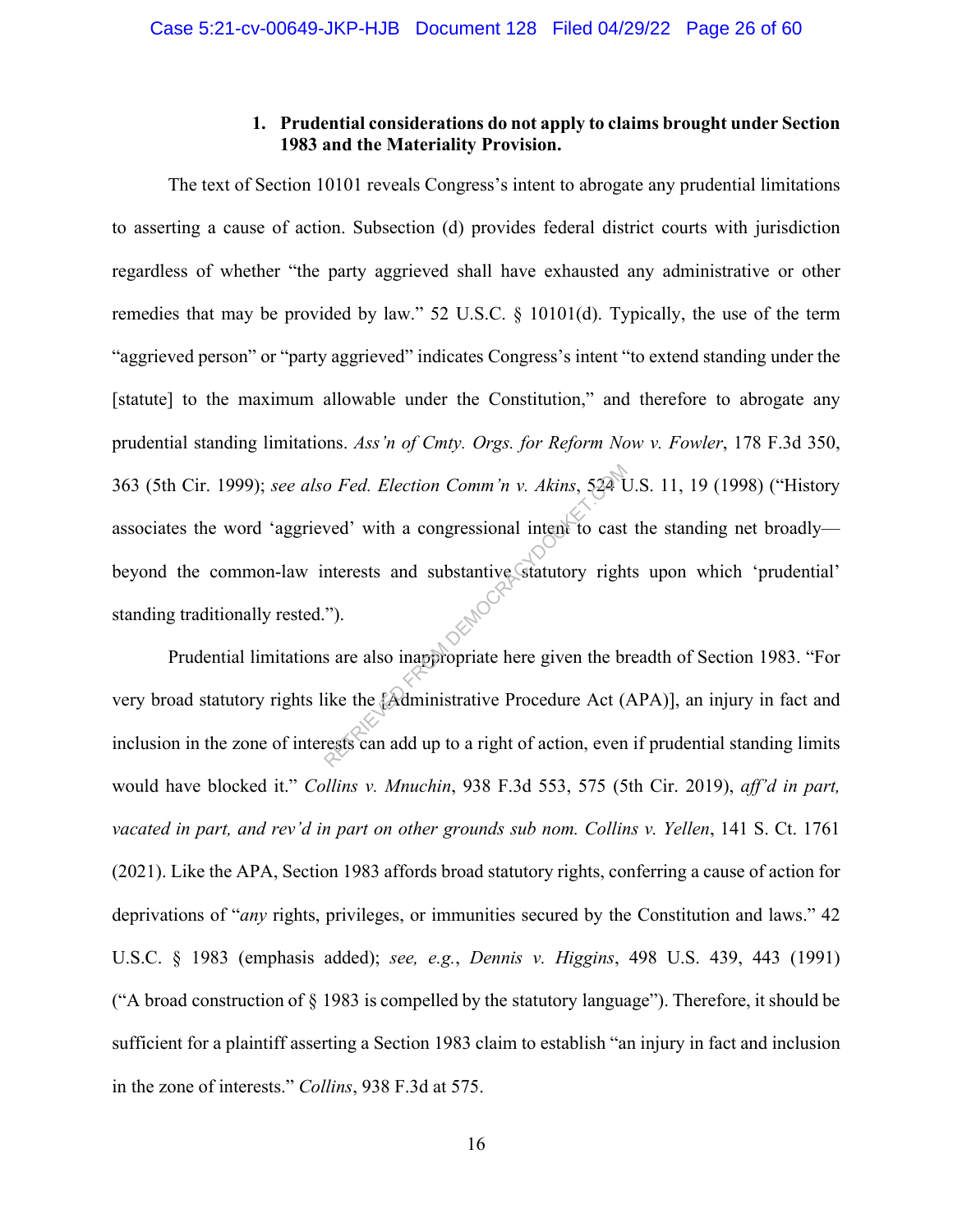## **1. Prudential considerations do not apply to claims brought under Section 1983 and the Materiality Provision.**

The text of Section 10101 reveals Congress's intent to abrogate any prudential limitations to asserting a cause of action. Subsection (d) provides federal district courts with jurisdiction regardless of whether "the party aggrieved shall have exhausted any administrative or other remedies that may be provided by law." 52 U.S.C. § 10101(d). Typically, the use of the term "aggrieved person" or "party aggrieved" indicates Congress's intent "to extend standing under the [statute] to the maximum allowable under the Constitution," and therefore to abrogate any prudential standing limitations. *Ass'n of Cmty. Orgs. for Reform Now v. Fowler*, 178 F.3d 350, 363 (5th Cir. 1999); *see also Fed. Election Comm'n v. Akins*, 524 U.S. 11, 19 (1998) ("History associates the word 'aggrieved' with a congressional intent to cast the standing net broadly beyond the common-law interests and substantive statutory rights upon which 'prudential' standing traditionally rested."). o Fed. Election Comm'n v. Akins, 524 to<br>
wed' with a congressional intent to cast<br>
nterests and substantive statutory righ<br>
").<br>
s are also inappropriate here given the b<br>
ike the [Administrative Procedure Act (<br>
rests can

Prudential limitations are also inappropriate here given the breadth of Section 1983. "For very broad statutory rights like the [Administrative Procedure Act (APA)], an injury in fact and inclusion in the zone of interests can add up to a right of action, even if prudential standing limits would have blocked it." *Collins v. Mnuchin*, 938 F.3d 553, 575 (5th Cir. 2019), *aff'd in part, vacated in part, and rev'd in part on other grounds sub nom. Collins v. Yellen*, 141 S. Ct. 1761 (2021). Like the APA, Section 1983 affords broad statutory rights, conferring a cause of action for deprivations of "*any* rights, privileges, or immunities secured by the Constitution and laws." 42 U.S.C. § 1983 (emphasis added); *see, e.g.*, *Dennis v. Higgins*, 498 U.S. 439, 443 (1991) ("A broad construction of § 1983 is compelled by the statutory language"). Therefore, it should be sufficient for a plaintiff asserting a Section 1983 claim to establish "an injury in fact and inclusion in the zone of interests." *Collins*, 938 F.3d at 575.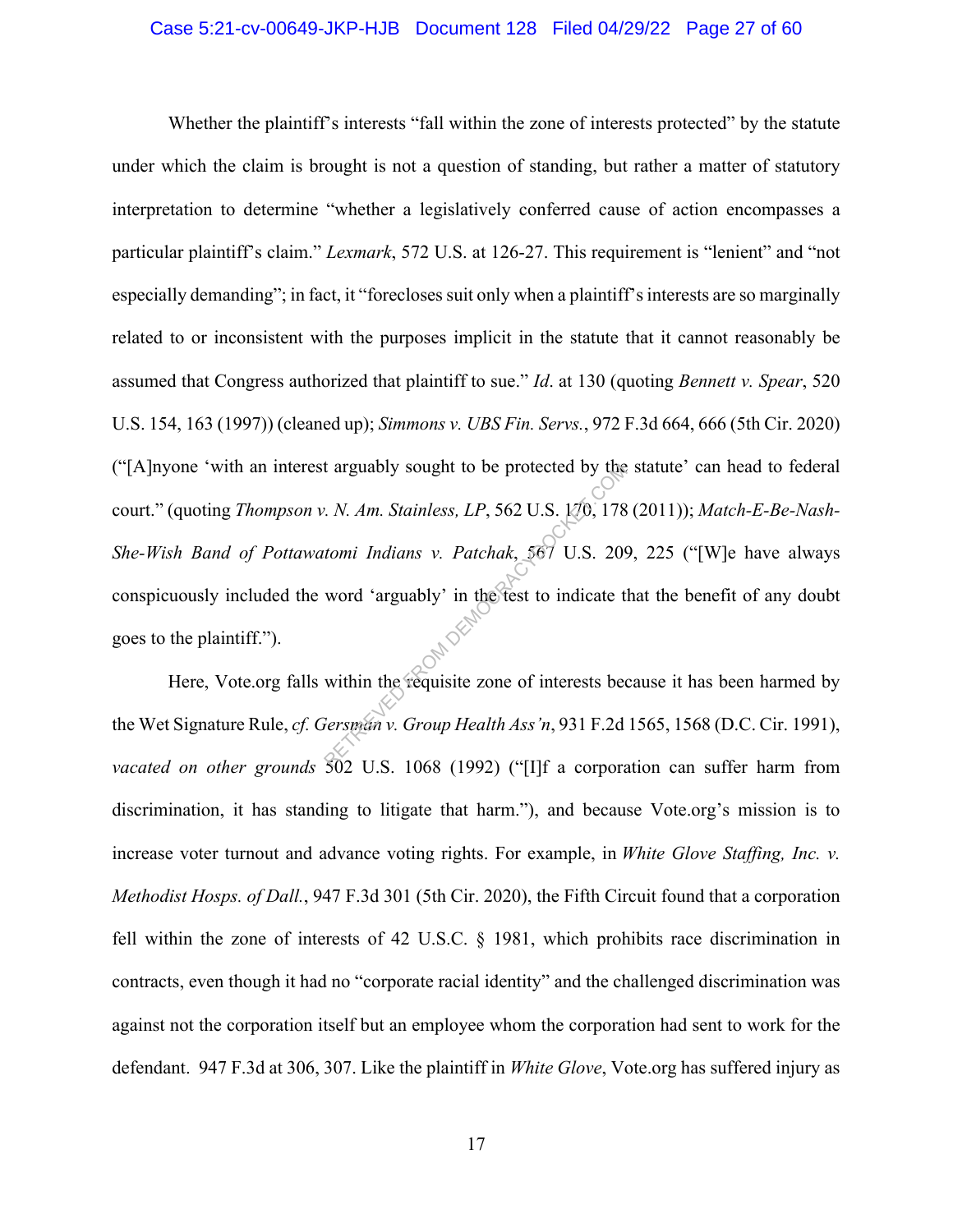#### Case 5:21-cv-00649-JKP-HJB Document 128 Filed 04/29/22 Page 27 of 60

Whether the plaintiff's interests "fall within the zone of interests protected" by the statute under which the claim is brought is not a question of standing, but rather a matter of statutory interpretation to determine "whether a legislatively conferred cause of action encompasses a particular plaintiff's claim." *Lexmark*, 572 U.S. at 126-27. This requirement is "lenient" and "not especially demanding"; in fact, it "forecloses suit only when a plaintiff's interests are so marginally related to or inconsistent with the purposes implicit in the statute that it cannot reasonably be assumed that Congress authorized that plaintiff to sue." *Id*. at 130 (quoting *Bennett v. Spear*, 520 U.S. 154, 163 (1997)) (cleaned up); *Simmons v. UBS Fin. Servs.*, 972 F.3d 664, 666 (5th Cir. 2020) ("[A]nyone 'with an interest arguably sought to be protected by the statute' can head to federal court." (quoting *Thompson v. N. Am. Stainless, LP*, 562 U.S. 170, 178 (2011)); *Match-E-Be-Nash-She-Wish Band of Pottawatomi Indians v. Patchak*, 567 U.S. 209, 225 ("[W]e have always conspicuously included the word 'arguably' in the test to indicate that the benefit of any doubt goes to the plaintiff."). Example 8 arguably sought to be protected by the<br>
2. N. Am. Stainless, LP, 562 U.S.  $1/0$ , 178<br>
178<br>
18 tomi Indians v. Patchak, 567 U.S. 209<br>
18 word 'arguably' in the fest to indicate the<br>
18 within the requisite zone o

Here, Vote.org falls within the requisite zone of interests because it has been harmed by the Wet Signature Rule, *cf. Gersman v. Group Health Ass'n*, 931 F.2d 1565, 1568 (D.C. Cir. 1991), *vacated on other grounds* 502 U.S. 1068 (1992) ("[I]f a corporation can suffer harm from discrimination, it has standing to litigate that harm."), and because Vote.org's mission is to increase voter turnout and advance voting rights. For example, in *White Glove Staffing, Inc. v. Methodist Hosps. of Dall.*, 947 F.3d 301 (5th Cir. 2020), the Fifth Circuit found that a corporation fell within the zone of interests of 42 U.S.C. § 1981, which prohibits race discrimination in contracts, even though it had no "corporate racial identity" and the challenged discrimination was against not the corporation itself but an employee whom the corporation had sent to work for the defendant. 947 F.3d at 306, 307. Like the plaintiff in *White Glove*, Vote.org has suffered injury as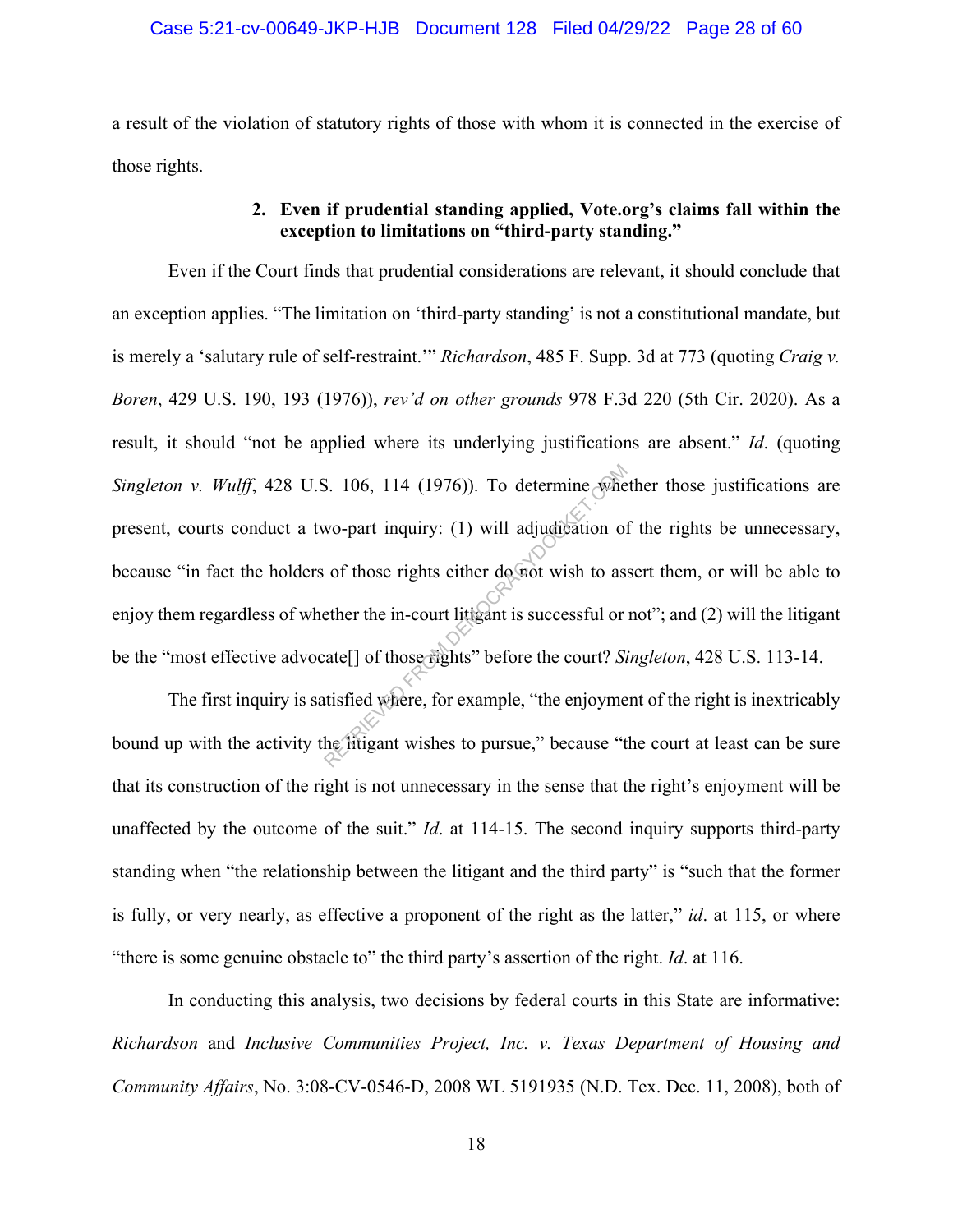#### Case 5:21-cv-00649-JKP-HJB Document 128 Filed 04/29/22 Page 28 of 60

a result of the violation of statutory rights of those with whom it is connected in the exercise of those rights.

## **2. Even if prudential standing applied, Vote.org's claims fall within the exception to limitations on "third-party standing."**

Even if the Court finds that prudential considerations are relevant, it should conclude that an exception applies. "The limitation on 'third-party standing' is not a constitutional mandate, but is merely a 'salutary rule of self-restraint.'" *Richardson*, 485 F. Supp. 3d at 773 (quoting *Craig v. Boren*, 429 U.S. 190, 193 (1976)), *rev'd on other grounds* 978 F.3d 220 (5th Cir. 2020). As a result, it should "not be applied where its underlying justifications are absent." *Id*. (quoting *Singleton v. Wulff*, 428 U.S. 106, 114 (1976)). To determine whether those justifications are present, courts conduct a two-part inquiry: (1) will adjudication of the rights be unnecessary, because "in fact the holders of those rights either do not wish to assert them, or will be able to enjoy them regardless of whether the in-court litigant is successful or not"; and (2) will the litigant be the "most effective advocate[] of those rights" before the court? *Singleton*, 428 U.S. 113-14. S. 106, 114 (1976)). To determine whe<br>wo-part inquiry: (1) will adjudication of<br>of those rights either do not wish to as<br>ether the in-court litigant is successful or<br>ate[] of those rights" before the court? Si<br>tisfied whe

The first inquiry is satisfied where, for example, "the enjoyment of the right is inextricably bound up with the activity the litigant wishes to pursue," because "the court at least can be sure that its construction of the right is not unnecessary in the sense that the right's enjoyment will be unaffected by the outcome of the suit." *Id*. at 114-15. The second inquiry supports third-party standing when "the relationship between the litigant and the third party" is "such that the former is fully, or very nearly, as effective a proponent of the right as the latter," *id*. at 115, or where "there is some genuine obstacle to" the third party's assertion of the right. *Id*. at 116.

In conducting this analysis, two decisions by federal courts in this State are informative: *Richardson* and *Inclusive Communities Project, Inc. v. Texas Department of Housing and Community Affairs*, No. 3:08-CV-0546-D, 2008 WL 5191935 (N.D. Tex. Dec. 11, 2008), both of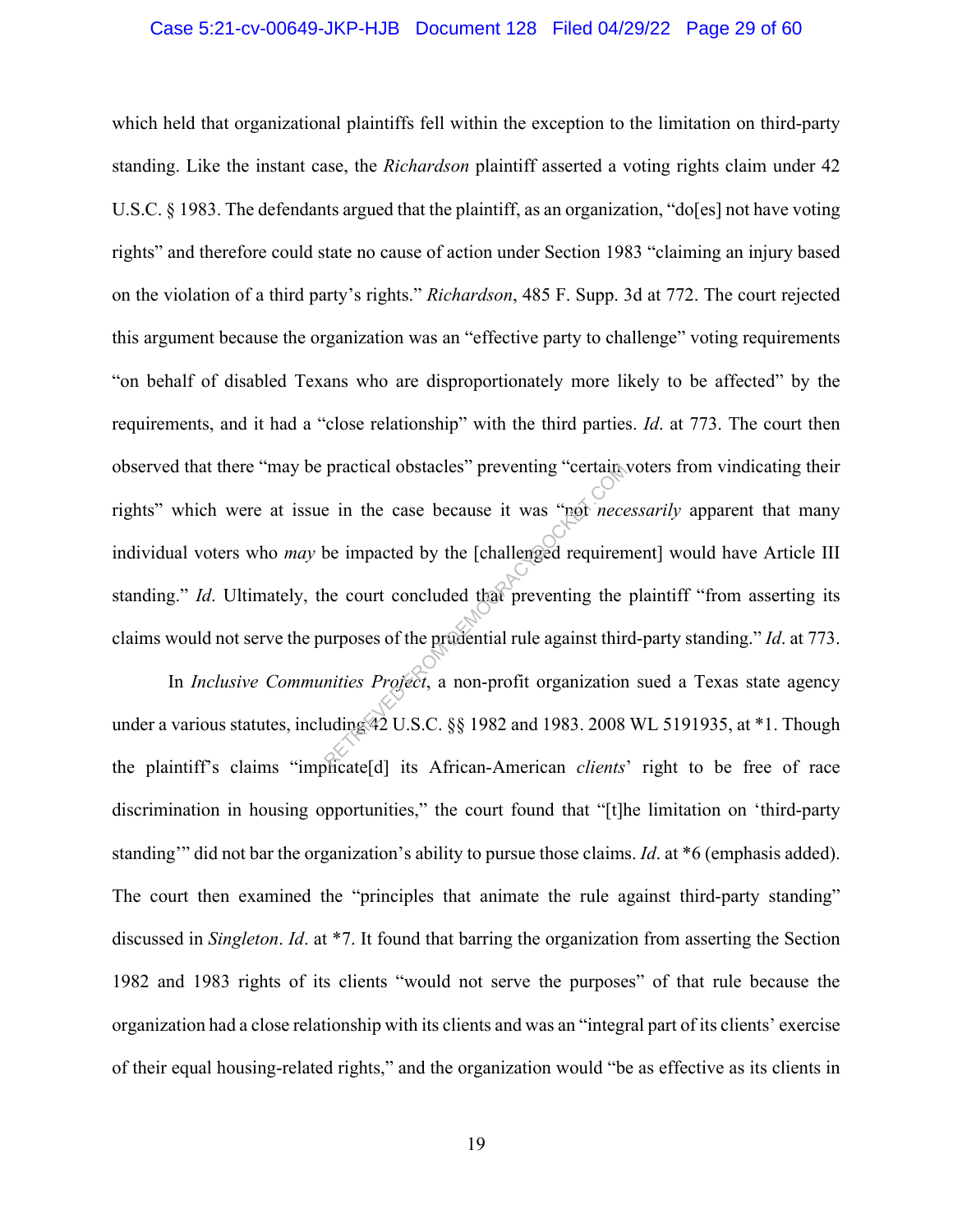#### Case 5:21-cv-00649-JKP-HJB Document 128 Filed 04/29/22 Page 29 of 60

which held that organizational plaintiffs fell within the exception to the limitation on third-party standing. Like the instant case, the *Richardson* plaintiff asserted a voting rights claim under 42 U.S.C. § 1983. The defendants argued that the plaintiff, as an organization, "do[es] not have voting rights" and therefore could state no cause of action under Section 1983 "claiming an injury based on the violation of a third party's rights." *Richardson*, 485 F. Supp. 3d at 772. The court rejected this argument because the organization was an "effective party to challenge" voting requirements "on behalf of disabled Texans who are disproportionately more likely to be affected" by the requirements, and it had a "close relationship" with the third parties. *Id*. at 773. The court then observed that there "may be practical obstacles" preventing "certain voters from vindicating their rights" which were at issue in the case because it was "not *necessarily* apparent that many individual voters who *may* be impacted by the [challenged requirement] would have Article III standing." *Id*. Ultimately, the court concluded that preventing the plaintiff "from asserting its claims would not serve the purposes of the prudential rule against third-party standing." *Id*. at 773. practical obstacles" preventing "certain."<br>
e in the case because it was "not *nece*<br>
be impacted by the [challenged requiren<br>
the court concluded that preventing the<br>
urposes of the prudential rule against thir<br>
mities *P* 

In *Inclusive Communities Project*, a non-profit organization sued a Texas state agency under a various statutes, including 42 U.S.C. §§ 1982 and 1983. 2008 WL 5191935, at \*1. Though the plaintiff's claims "implicate[d] its African-American *clients*' right to be free of race discrimination in housing opportunities," the court found that "[t]he limitation on 'third-party standing'" did not bar the organization's ability to pursue those claims. *Id*. at \*6 (emphasis added). The court then examined the "principles that animate the rule against third-party standing" discussed in *Singleton*. *Id*. at \*7. It found that barring the organization from asserting the Section 1982 and 1983 rights of its clients "would not serve the purposes" of that rule because the organization had a close relationship with its clients and was an "integral part of its clients' exercise of their equal housing-related rights," and the organization would "be as effective as its clients in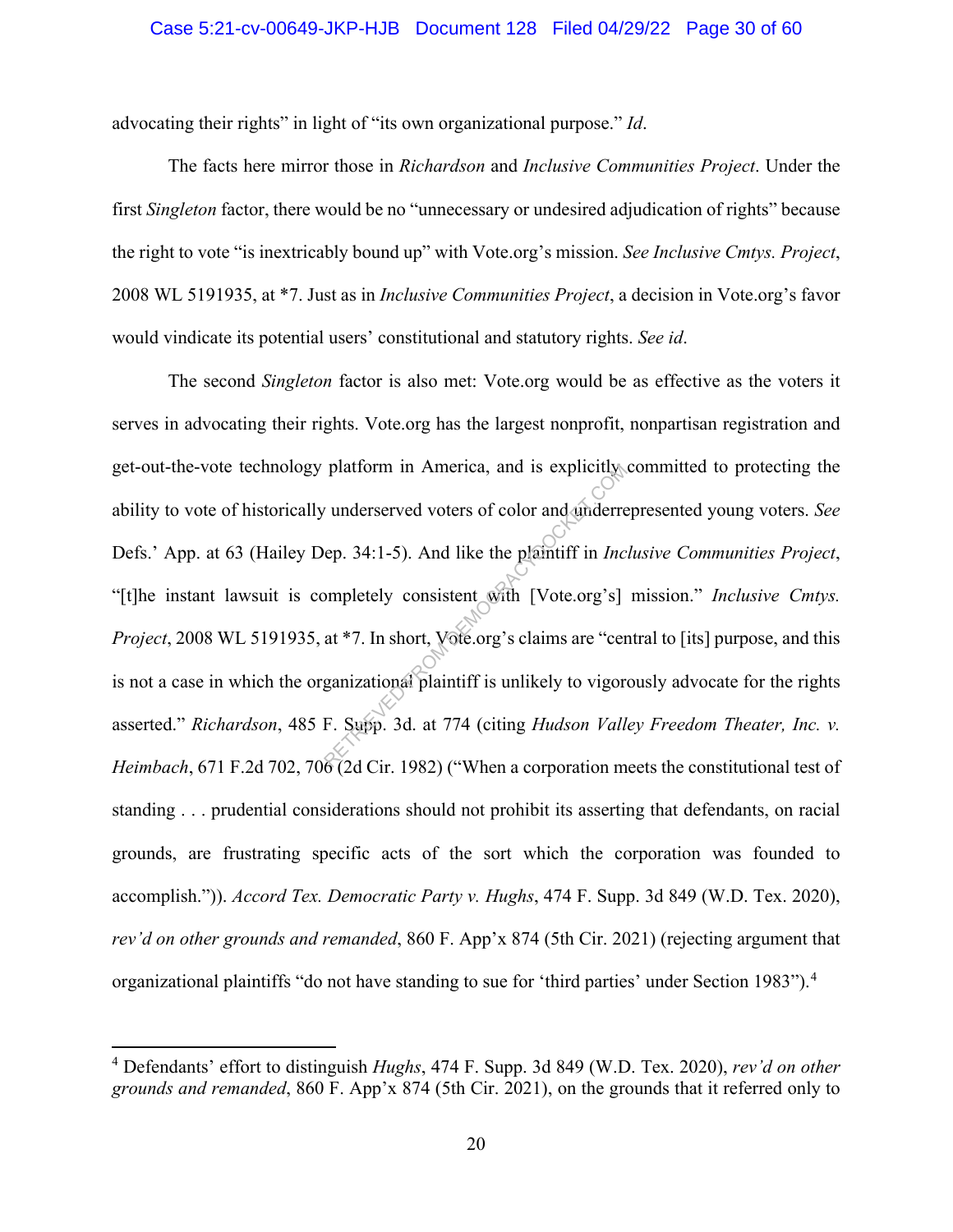#### Case 5:21-cv-00649-JKP-HJB Document 128 Filed 04/29/22 Page 30 of 60

advocating their rights" in light of "its own organizational purpose." *Id*.

The facts here mirror those in *Richardson* and *Inclusive Communities Project*. Under the first *Singleton* factor, there would be no "unnecessary or undesired adjudication of rights" because the right to vote "is inextricably bound up" with Vote.org's mission. *See Inclusive Cmtys. Project*, 2008 WL 5191935, at \*7. Just as in *Inclusive Communities Project*, a decision in Vote.org's favor would vindicate its potential users' constitutional and statutory rights. *See id*.

The second *Singleton* factor is also met: Vote.org would be as effective as the voters it serves in advocating their rights. Vote.org has the largest nonprofit, nonpartisan registration and get-out-the-vote technology platform in America, and is explicitly committed to protecting the ability to vote of historically underserved voters of color and underrepresented young voters. *See* Defs.' App. at 63 (Hailey Dep. 34:1-5). And like the plaintiff in *Inclusive Communities Project*, "[t]he instant lawsuit is completely consistent with [Vote.org's] mission." *Inclusive Cmtys. Project*, 2008 WL 5191935, at \*7. In short, Vote.org's claims are "central to [its] purpose, and this is not a case in which the organizational plaintiff is unlikely to vigorously advocate for the rights asserted." *Richardson*, 485 F. Supp. 3d. at 774 (citing *Hudson Valley Freedom Theater, Inc. v. Heimbach*, 671 F.2d 702, 706 (2d Cir. 1982) ("When a corporation meets the constitutional test of standing . . . prudential considerations should not prohibit its asserting that defendants, on racial grounds, are frustrating specific acts of the sort which the corporation was founded to accomplish.")). *Accord Tex. Democratic Party v. Hughs*, 474 F. Supp. 3d 849 (W.D. Tex. 2020), *rev'd on other grounds and remanded*, 860 F. App'x 874 (5th Cir. 2021) (rejecting argument that organizational plaintiffs "do not have standing to sue for 'third parties' under Section 1983").<sup>4</sup> platform in America, and is explicitly<br>
v underserved voters of color and underre<br>
ep. 34:1-5). And like the plaintiff in *Inc*<br>
ompletely consistent with [Vote.org's]<br>
at \*7. In short, Vote.org's claims are "cer<br>
ganizat

<sup>4</sup> Defendants' effort to distinguish *Hughs*, 474 F. Supp. 3d 849 (W.D. Tex. 2020), *rev'd on other grounds and remanded*, 860 F. App'x 874 (5th Cir. 2021), on the grounds that it referred only to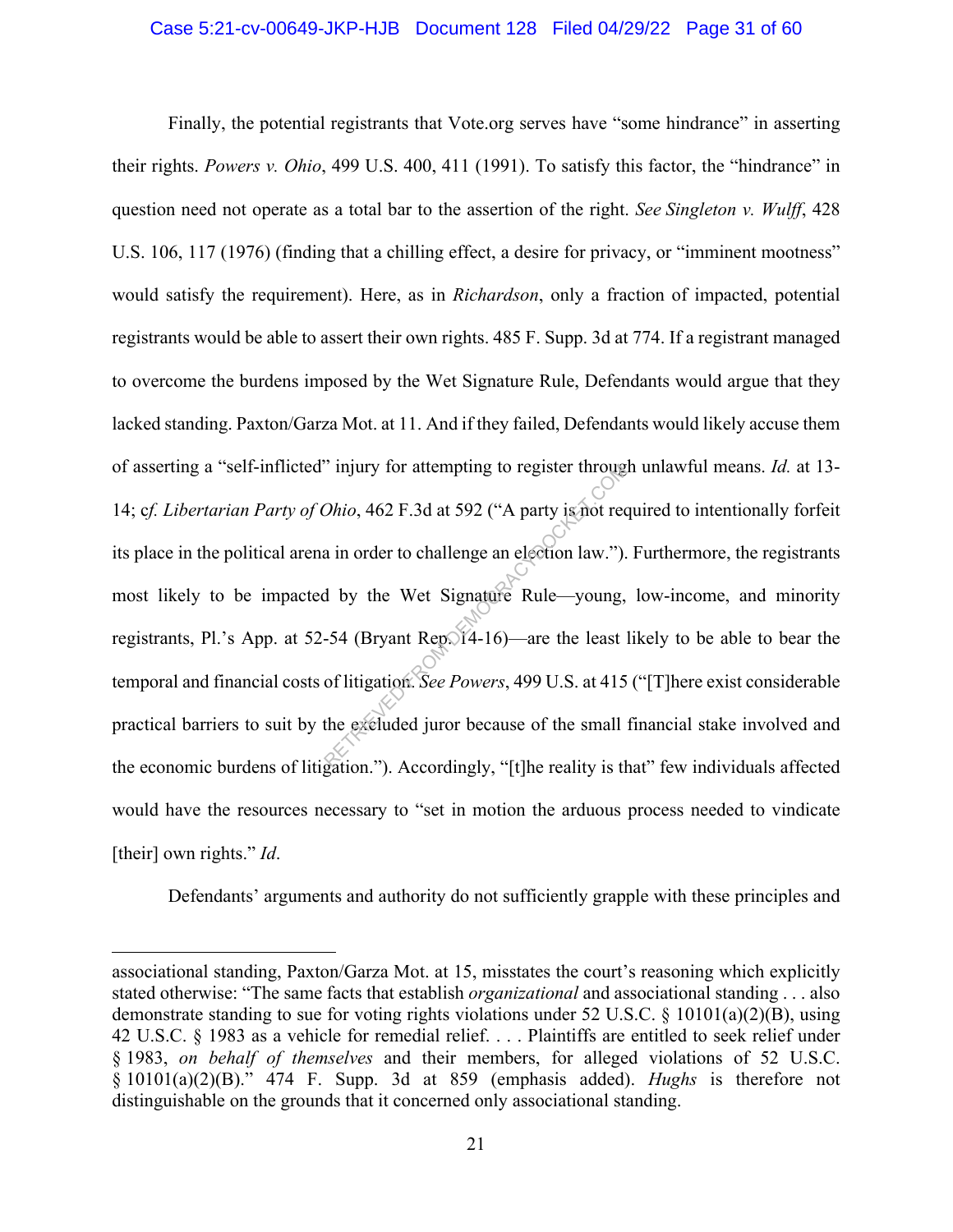#### Case 5:21-cv-00649-JKP-HJB Document 128 Filed 04/29/22 Page 31 of 60

Finally, the potential registrants that Vote.org serves have "some hindrance" in asserting their rights. *Powers v. Ohio*, 499 U.S. 400, 411 (1991). To satisfy this factor, the "hindrance" in question need not operate as a total bar to the assertion of the right. *See Singleton v. Wulff*, 428 U.S. 106, 117 (1976) (finding that a chilling effect, a desire for privacy, or "imminent mootness" would satisfy the requirement). Here, as in *Richardson*, only a fraction of impacted, potential registrants would be able to assert their own rights. 485 F. Supp. 3d at 774. If a registrant managed to overcome the burdens imposed by the Wet Signature Rule, Defendants would argue that they lacked standing. Paxton/Garza Mot. at 11. And if they failed, Defendants would likely accuse them of asserting a "self-inflicted" injury for attempting to register through unlawful means. *Id.* at 13- 14; c*f. Libertarian Party of Ohio*, 462 F.3d at 592 ("A party is not required to intentionally forfeit its place in the political arena in order to challenge an election law."). Furthermore, the registrants most likely to be impacted by the Wet Signature Rule—young, low-income, and minority registrants, Pl.'s App. at 52-54 (Bryant Rep. 14-16)—are the least likely to be able to bear the temporal and financial costs of litigation. *See Powers*, 499 U.S. at 415 ("[T]here exist considerable practical barriers to suit by the excluded juror because of the small financial stake involved and the economic burdens of litigation."). Accordingly, "[t]he reality is that" few individuals affected would have the resources necessary to "set in motion the arduous process needed to vindicate [their] own rights." *Id*. mury for attempting to register through<br>
Ohio, 462 F.3d at 592 ("A party is not recently<br>
a in order to challenge an election law.").<br>
d by the Wet Signature Rule—young,<br>
-54 (Bryant Rep. 14-16)—are the least of litigatio

Defendants' arguments and authority do not sufficiently grapple with these principles and

associational standing, Paxton/Garza Mot. at 15, misstates the court's reasoning which explicitly stated otherwise: "The same facts that establish *organizational* and associational standing . . . also demonstrate standing to sue for voting rights violations under 52 U.S.C. § 10101(a)(2)(B), using 42 U.S.C. § 1983 as a vehicle for remedial relief. . . . Plaintiffs are entitled to seek relief under § 1983, *on behalf of themselves* and their members, for alleged violations of 52 U.S.C. § 10101(a)(2)(B)." 474 F. Supp. 3d at 859 (emphasis added). *Hughs* is therefore not distinguishable on the grounds that it concerned only associational standing.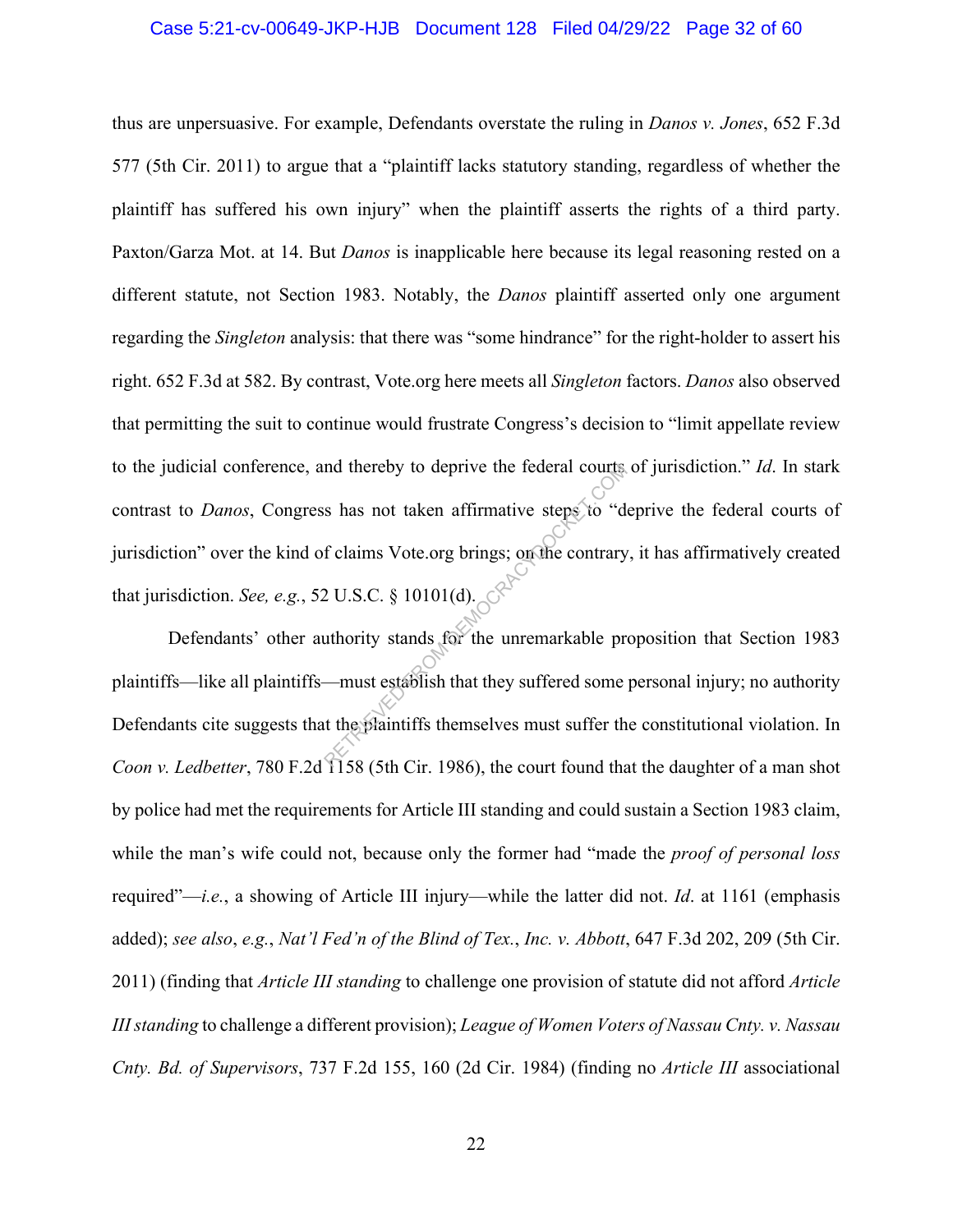#### Case 5:21-cv-00649-JKP-HJB Document 128 Filed 04/29/22 Page 32 of 60

thus are unpersuasive. For example, Defendants overstate the ruling in *Danos v. Jones*, 652 F.3d 577 (5th Cir. 2011) to argue that a "plaintiff lacks statutory standing, regardless of whether the plaintiff has suffered his own injury" when the plaintiff asserts the rights of a third party. Paxton/Garza Mot. at 14. But *Danos* is inapplicable here because its legal reasoning rested on a different statute, not Section 1983. Notably, the *Danos* plaintiff asserted only one argument regarding the *Singleton* analysis: that there was "some hindrance" for the right-holder to assert his right. 652 F.3d at 582. By contrast, Vote.org here meets all *Singleton* factors. *Danos* also observed that permitting the suit to continue would frustrate Congress's decision to "limit appellate review to the judicial conference, and thereby to deprive the federal courts of jurisdiction." *Id*. In stark contrast to *Danos*, Congress has not taken affirmative steps to "deprive the federal courts of jurisdiction" over the kind of claims Vote.org brings; on the contrary, it has affirmatively created that jurisdiction. *See, e.g.*, 52 U.S.C. § 10101(d). nd thereby to deprive the federal courts<br>
s has not taken affirmative steps to "d<br>
f claims Vote.org brings; on the contrary<br>
2 U.S.C. § 10101(d).<br>
uthority stands for the unremarkable pr<br>
—must establish that they suffere

Defendants' other authority stands for the unremarkable proposition that Section 1983 plaintiffs—like all plaintiffs—must establish that they suffered some personal injury; no authority Defendants cite suggests that the plaintiffs themselves must suffer the constitutional violation. In *Coon v. Ledbetter*, 780 F.2d 1158 (5th Cir. 1986), the court found that the daughter of a man shot by police had met the requirements for Article III standing and could sustain a Section 1983 claim, while the man's wife could not, because only the former had "made the *proof of personal loss* required"—*i.e.*, a showing of Article III injury—while the latter did not. *Id*. at 1161 (emphasis added); *see also*, *e.g.*, *Nat'l Fed'n of the Blind of Tex.*, *Inc. v. Abbott*, 647 F.3d 202, 209 (5th Cir. 2011) (finding that *Article III standing* to challenge one provision of statute did not afford *Article III standing* to challenge a different provision); *League of Women Voters of Nassau Cnty. v. Nassau Cnty. Bd. of Supervisors*, 737 F.2d 155, 160 (2d Cir. 1984) (finding no *Article III* associational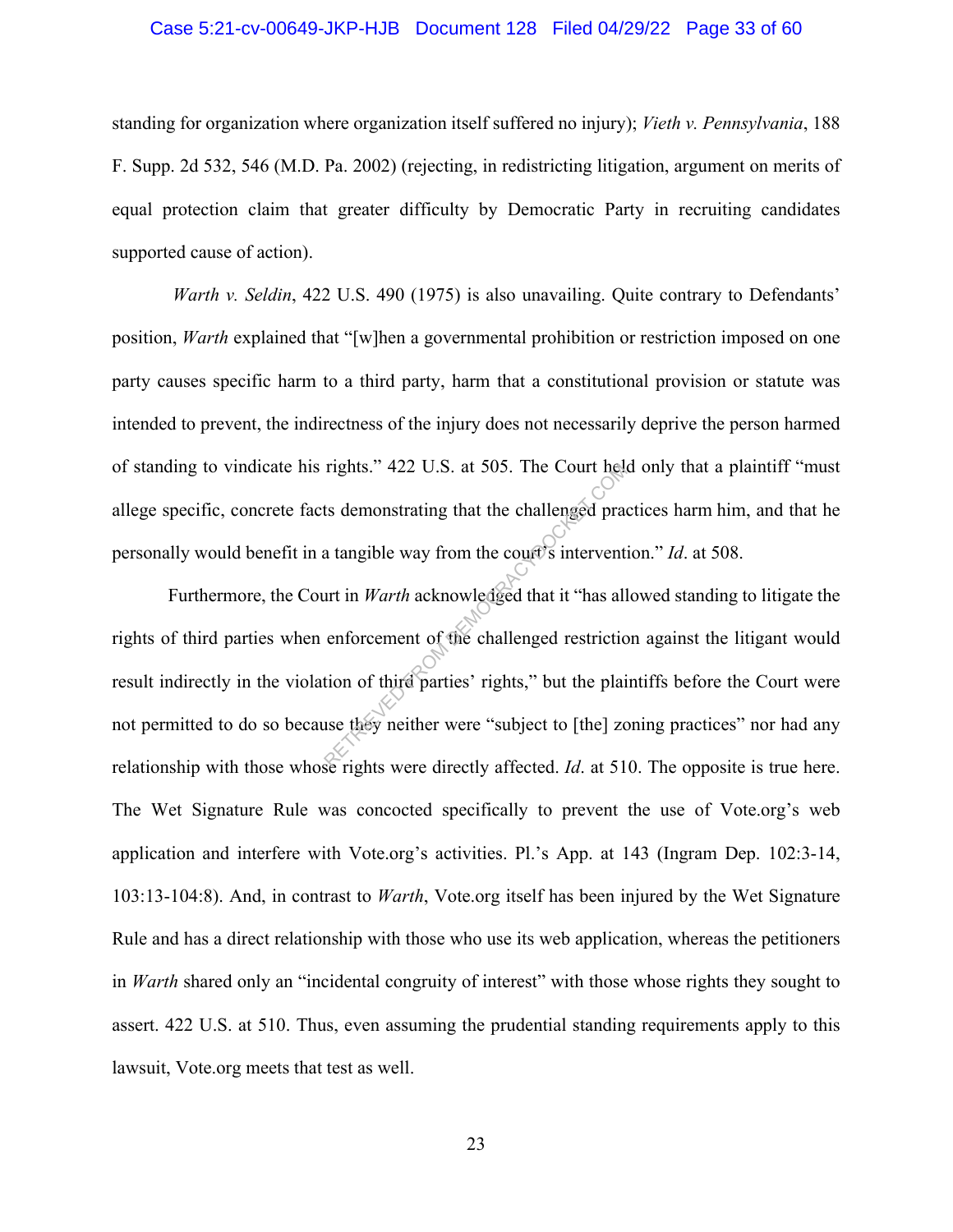#### Case 5:21-cv-00649-JKP-HJB Document 128 Filed 04/29/22 Page 33 of 60

standing for organization where organization itself suffered no injury); *Vieth v. Pennsylvania*, 188 F. Supp. 2d 532, 546 (M.D. Pa. 2002) (rejecting, in redistricting litigation, argument on merits of equal protection claim that greater difficulty by Democratic Party in recruiting candidates supported cause of action).

*Warth v. Seldin,* 422 U.S. 490 (1975) is also unavailing. Quite contrary to Defendants' position, *Warth* explained that "[w]hen a governmental prohibition or restriction imposed on one party causes specific harm to a third party, harm that a constitutional provision or statute was intended to prevent, the indirectness of the injury does not necessarily deprive the person harmed of standing to vindicate his rights." 422 U.S. at 505. The Court held only that a plaintiff "must allege specific, concrete facts demonstrating that the challenged practices harm him, and that he personally would benefit in a tangible way from the court's intervention." *Id*. at 508.

Furthermore, the Court in *Warth* acknowledged that it "has allowed standing to litigate the rights of third parties when enforcement of the challenged restriction against the litigant would result indirectly in the violation of third parties' rights," but the plaintiffs before the Court were not permitted to do so because they neither were "subject to [the] zoning practices" nor had any relationship with those whose rights were directly affected. *Id*. at 510. The opposite is true here. The Wet Signature Rule was concocted specifically to prevent the use of Vote.org's web application and interfere with Vote.org's activities. Pl.'s App. at 143 (Ingram Dep. 102:3-14, 103:13-104:8). And, in contrast to *Warth*, Vote.org itself has been injured by the Wet Signature Rule and has a direct relationship with those who use its web application, whereas the petitioners in *Warth* shared only an "incidental congruity of interest" with those whose rights they sought to assert. 422 U.S. at 510. Thus, even assuming the prudential standing requirements apply to this lawsuit, Vote.org meets that test as well. rights." 422 U.S. at 505. The Court held<br>ts demonstrating that the challenged practice<br>at a tangible way from the court is intervent<br>art in *Warth* acknowledged that it "has all<br>enforcement of the challenged restrictice<br>t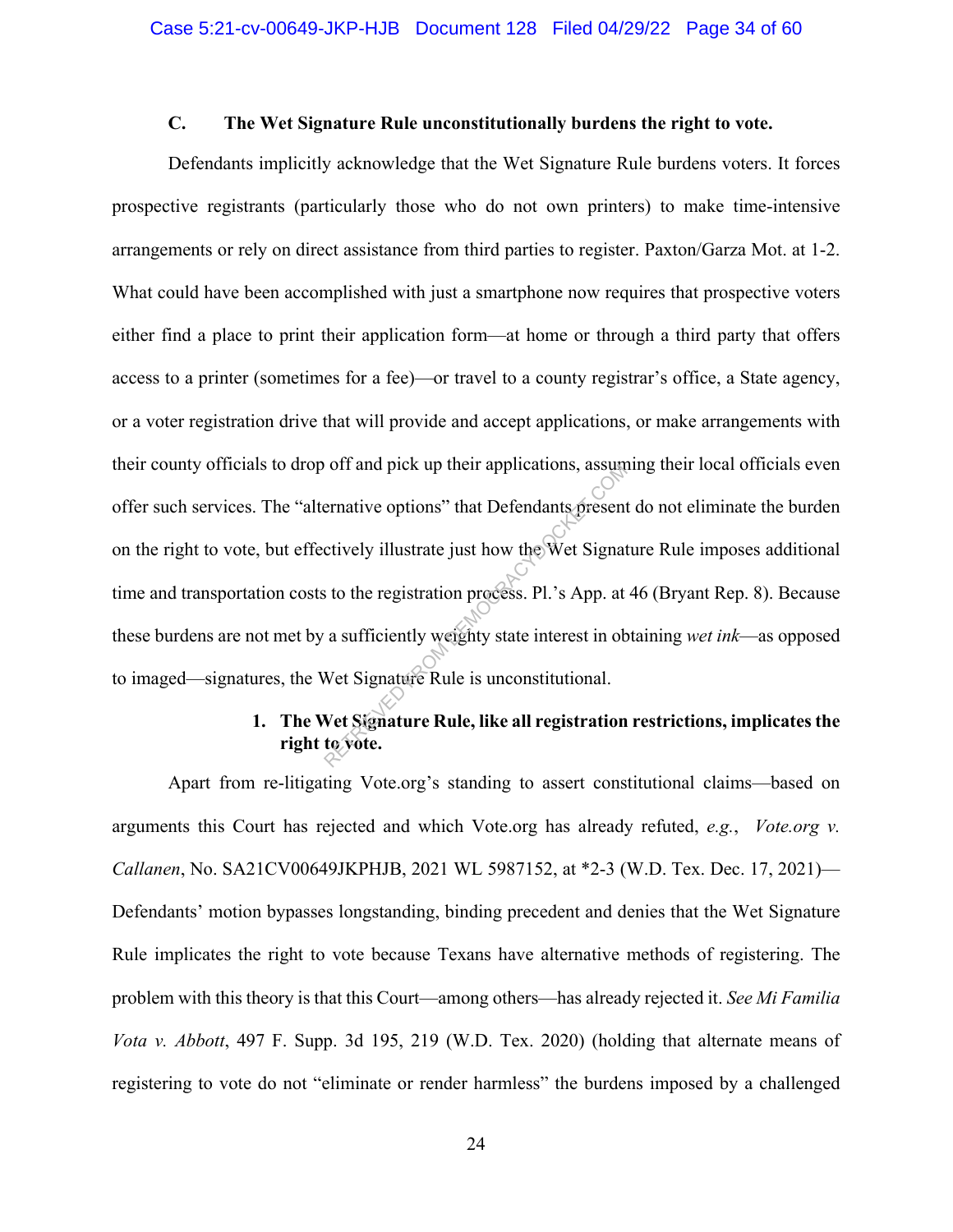## **C. The Wet Signature Rule unconstitutionally burdens the right to vote.**

Defendants implicitly acknowledge that the Wet Signature Rule burdens voters. It forces prospective registrants (particularly those who do not own printers) to make time-intensive arrangements or rely on direct assistance from third parties to register. Paxton/Garza Mot. at 1-2. What could have been accomplished with just a smartphone now requires that prospective voters either find a place to print their application form—at home or through a third party that offers access to a printer (sometimes for a fee)—or travel to a county registrar's office, a State agency, or a voter registration drive that will provide and accept applications, or make arrangements with their county officials to drop off and pick up their applications, assuming their local officials even offer such services. The "alternative options" that Defendants present do not eliminate the burden on the right to vote, but effectively illustrate just how the Wet Signature Rule imposes additional time and transportation costs to the registration process. Pl.'s App. at 46 (Bryant Rep. 8). Because these burdens are not met by a sufficiently weighty state interest in obtaining *wet ink*—as opposed to imaged—signatures, the Wet Signature Rule is unconstitutional. Francive options" that Defendants present<br>ernative options" that Defendants present<br>ctively illustrate just how the Wet Signat<br>s to the registration process. Pl.'s App. at<br>a sufficiently weighty state interest in ob<br>Net Si

## **1. The Wet Signature Rule, like all registration restrictions, implicates the right to vote.**

Apart from re-litigating Vote.org's standing to assert constitutional claims—based on arguments this Court has rejected and which Vote.org has already refuted, *e.g.*, *Vote.org v. Callanen*, No. SA21CV00649JKPHJB, 2021 WL 5987152, at \*2-3 (W.D. Tex. Dec. 17, 2021)— Defendants' motion bypasses longstanding, binding precedent and denies that the Wet Signature Rule implicates the right to vote because Texans have alternative methods of registering. The problem with this theory is that this Court—among others—has already rejected it. *See Mi Familia Vota v. Abbott*, 497 F. Supp. 3d 195, 219 (W.D. Tex. 2020) (holding that alternate means of registering to vote do not "eliminate or render harmless" the burdens imposed by a challenged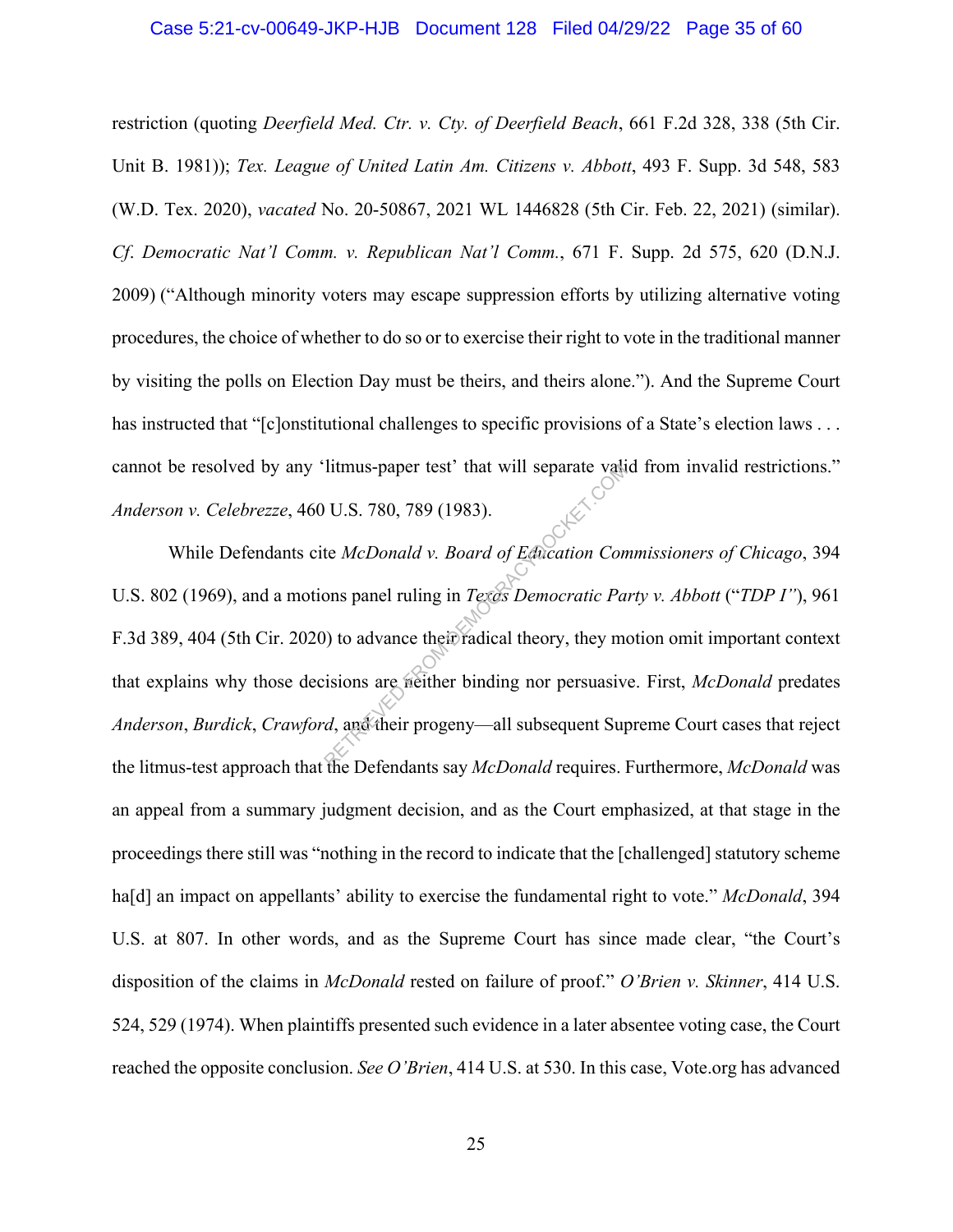#### Case 5:21-cv-00649-JKP-HJB Document 128 Filed 04/29/22 Page 35 of 60

restriction (quoting *Deerfield Med. Ctr. v. Cty. of Deerfield Beach*, 661 F.2d 328, 338 (5th Cir. Unit B. 1981)); *Tex. League of United Latin Am. Citizens v. Abbott*, 493 F. Supp. 3d 548, 583 (W.D. Tex. 2020), *vacated* No. 20-50867, 2021 WL 1446828 (5th Cir. Feb. 22, 2021) (similar). *Cf*. *Democratic Nat'l Comm. v. Republican Nat'l Comm.*, 671 F. Supp. 2d 575, 620 (D.N.J. 2009) ("Although minority voters may escape suppression efforts by utilizing alternative voting procedures, the choice of whether to do so or to exercise their right to vote in the traditional manner by visiting the polls on Election Day must be theirs, and theirs alone."). And the Supreme Court has instructed that "[c]onstitutional challenges to specific provisions of a State's election laws . . . cannot be resolved by any 'litmus-paper test' that will separate valid from invalid restrictions." *Anderson v. Celebrezze*, 460 U.S. 780, 789 (1983).

While Defendants cite *McDonald v. Board of Education Commissioners of Chicago*, 394 U.S. 802 (1969), and a motions panel ruling in *Texas Democratic Party v. Abbott* ("*TDP I"*), 961 F.3d 389, 404 (5th Cir. 2020) to advance their radical theory, they motion omit important context that explains why those decisions are neither binding nor persuasive. First, *McDonald* predates *Anderson*, *Burdick*, *Crawford*, and their progeny—all subsequent Supreme Court cases that reject the litmus-test approach that the Defendants say *McDonald* requires. Furthermore, *McDonald* was an appeal from a summary judgment decision, and as the Court emphasized, at that stage in the proceedings there still was "nothing in the record to indicate that the [challenged] statutory scheme ha[d] an impact on appellants' ability to exercise the fundamental right to vote." *McDonald*, 394 U.S. at 807. In other words, and as the Supreme Court has since made clear, "the Court's disposition of the claims in *McDonald* rested on failure of proof." *O'Brien v. Skinner*, 414 U.S. 524, 529 (1974). When plaintiffs presented such evidence in a later absentee voting case, the Court reached the opposite conclusion. *See O'Brien*, 414 U.S. at 530. In this case, Vote.org has advanced It mus-paper test' that will separate values<br>
U.S. 780, 789 (1983).<br>
te McDonald v. Board of Education Conors panel ruling in Texas Democratic Pa<br>
(b) to advance their radical theory, they me<br>
isions are weither binding n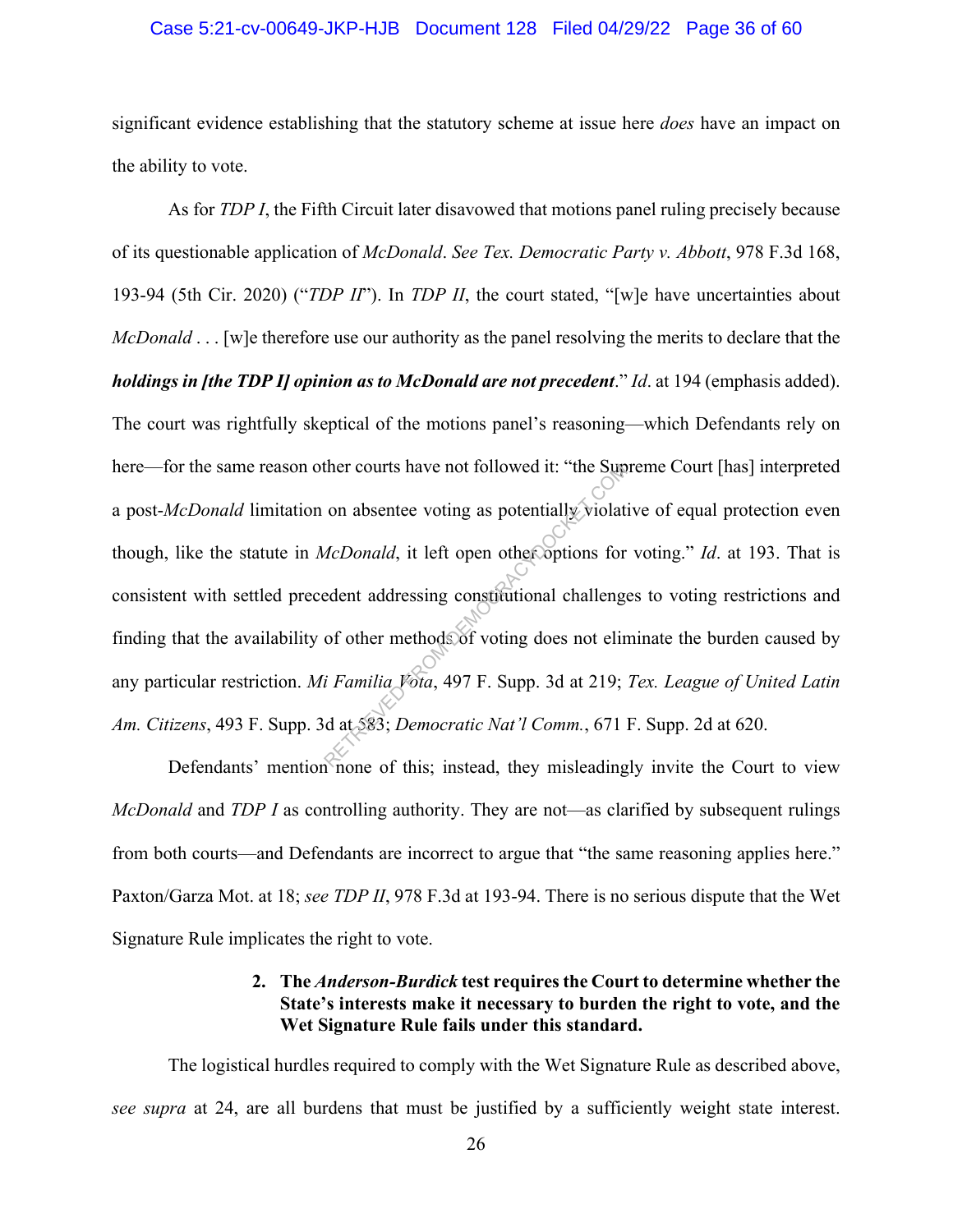#### Case 5:21-cv-00649-JKP-HJB Document 128 Filed 04/29/22 Page 36 of 60

significant evidence establishing that the statutory scheme at issue here *does* have an impact on the ability to vote.

As for *TDP I*, the Fifth Circuit later disavowed that motions panel ruling precisely because of its questionable application of *McDonald*. *See Tex. Democratic Party v. Abbott*, 978 F.3d 168, 193-94 (5th Cir. 2020) ("*TDP II*"). In *TDP II*, the court stated, "[w]e have uncertainties about *McDonald* . . . [w]e therefore use our authority as the panel resolving the merits to declare that the *holdings in [the TDP I] opinion as to McDonald are not precedent*." *Id*. at 194 (emphasis added). The court was rightfully skeptical of the motions panel's reasoning—which Defendants rely on here—for the same reason other courts have not followed it: "the Supreme Court [has] interpreted a post-*McDonald* limitation on absentee voting as potentially violative of equal protection even though, like the statute in *McDonald*, it left open other options for voting." *Id*. at 193. That is consistent with settled precedent addressing constitutional challenges to voting restrictions and finding that the availability of other methods of voting does not eliminate the burden caused by any particular restriction. *Mi Familia Vota*, 497 F. Supp. 3d at 219; *Tex. League of United Latin Am. Citizens*, 493 F. Supp. 3d at 583; *Democratic Nat'l Comm.*, 671 F. Supp. 2d at 620. ther courts have not followed it: "the Sup<br>on absentee voting as potentially violat<br>*AcDonald*, it left open other options for<br>edent addressing constitutional challenge<br>of other methods of voting does not elir<br>i Familia Vo

Defendants' mention none of this; instead, they misleadingly invite the Court to view *McDonald* and *TDP I* as controlling authority. They are not—as clarified by subsequent rulings from both courts—and Defendants are incorrect to argue that "the same reasoning applies here." Paxton/Garza Mot. at 18; *see TDP II*, 978 F.3d at 193-94. There is no serious dispute that the Wet Signature Rule implicates the right to vote.

## **2. The** *Anderson-Burdick* **test requires the Court to determine whether the State's interests make it necessary to burden the right to vote, and the Wet Signature Rule fails under this standard.**

The logistical hurdles required to comply with the Wet Signature Rule as described above, *see supra* at 24, are all burdens that must be justified by a sufficiently weight state interest.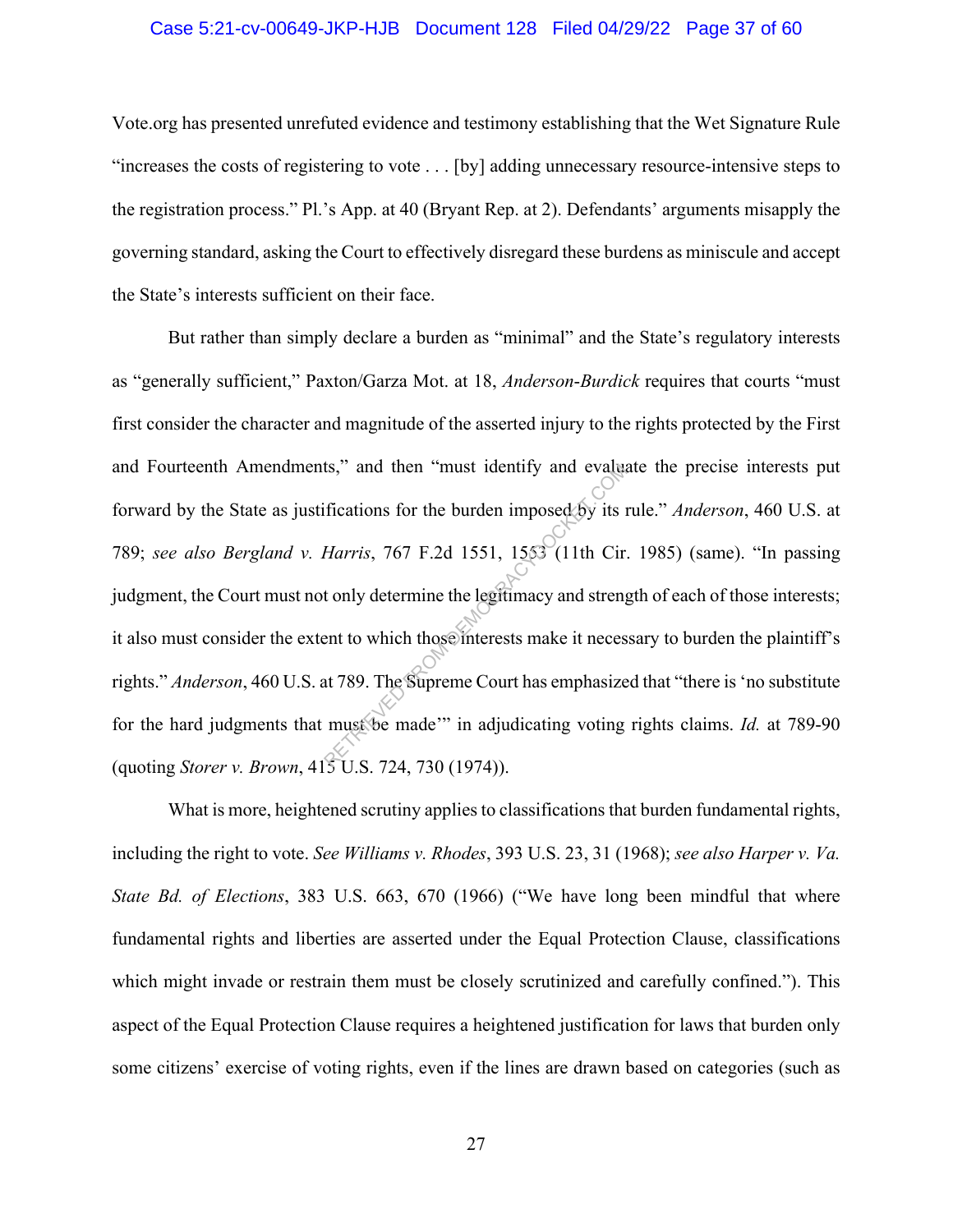#### Case 5:21-cv-00649-JKP-HJB Document 128 Filed 04/29/22 Page 37 of 60

Vote.org has presented unrefuted evidence and testimony establishing that the Wet Signature Rule "increases the costs of registering to vote . . . [by] adding unnecessary resource-intensive steps to the registration process." Pl.'s App. at 40 (Bryant Rep. at 2). Defendants' arguments misapply the governing standard, asking the Court to effectively disregard these burdens as miniscule and accept the State's interests sufficient on their face.

But rather than simply declare a burden as "minimal" and the State's regulatory interests as "generally sufficient," Paxton/Garza Mot. at 18, *Anderson*-*Burdick* requires that courts "must first consider the character and magnitude of the asserted injury to the rights protected by the First and Fourteenth Amendments," and then "must identify and evaluate the precise interests put forward by the State as justifications for the burden imposed by its rule." *Anderson*, 460 U.S. at 789; *see also Bergland v. Harris*, 767 F.2d 1551, 1553 (11th Cir. 1985) (same). "In passing judgment, the Court must not only determine the legitimacy and strength of each of those interests; it also must consider the extent to which those interests make it necessary to burden the plaintiff's rights." *Anderson*, 460 U.S. at 789. The Supreme Court has emphasized that "there is 'no substitute for the hard judgments that must be made'" in adjudicating voting rights claims. *Id.* at 789-90 (quoting *Storer v. Brown*, 415 U.S. 724, 730 (1974)). ts," and then "must identity and evaluation"<br>
ifications for the burden imposed by its in<br>
Harris, 767 F.2d 1551, 1553 (11th Cir.<br>
t only determine the legitimacy and streng<br>
ent to which those interests make it neces<br>
at

What is more, heightened scrutiny applies to classifications that burden fundamental rights, including the right to vote. *See Williams v. Rhodes*, 393 U.S. 23, 31 (1968); *see also Harper v. Va. State Bd. of Elections*, 383 U.S. 663, 670 (1966) ("We have long been mindful that where fundamental rights and liberties are asserted under the Equal Protection Clause, classifications which might invade or restrain them must be closely scrutinized and carefully confined."). This aspect of the Equal Protection Clause requires a heightened justification for laws that burden only some citizens' exercise of voting rights, even if the lines are drawn based on categories (such as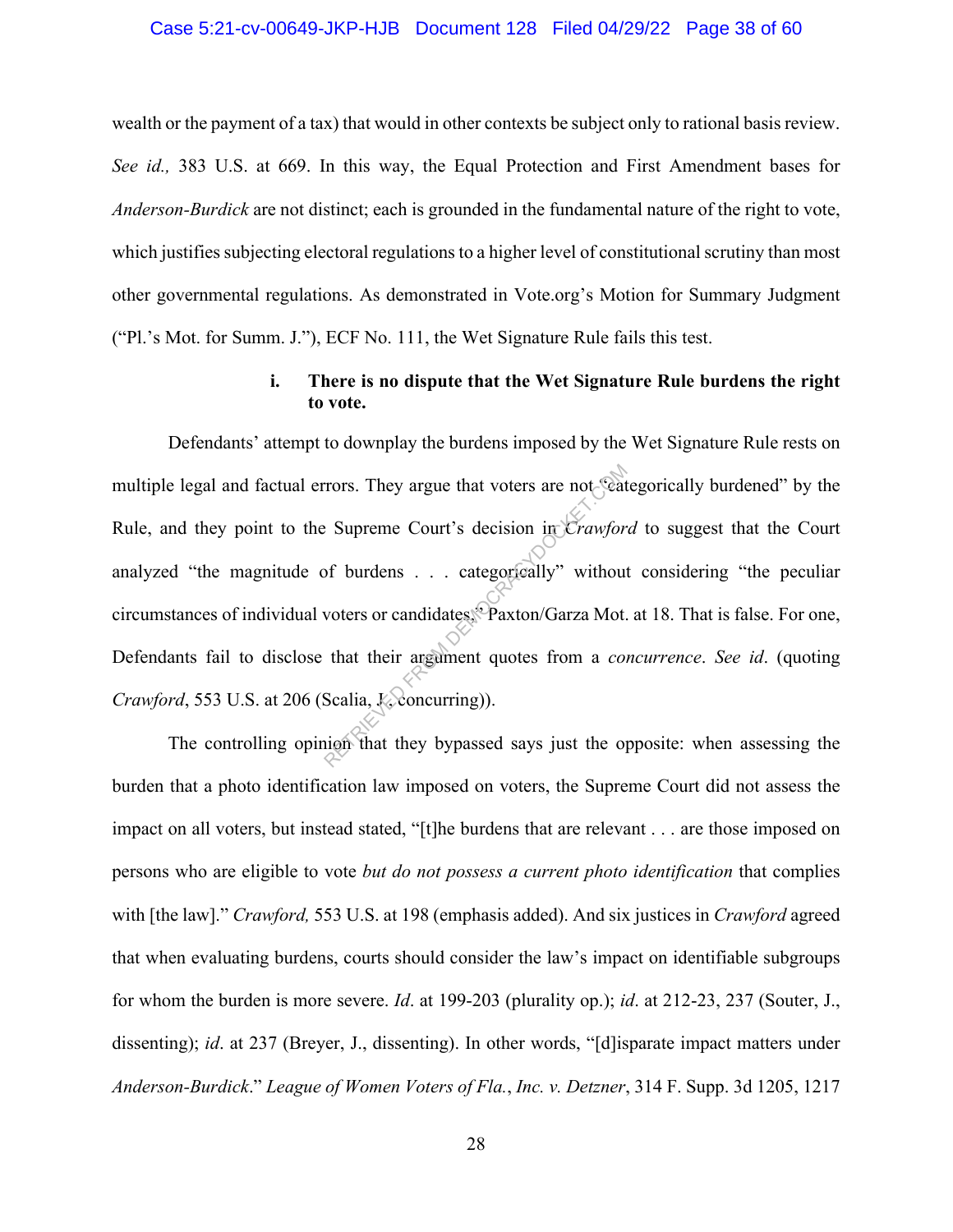#### Case 5:21-cv-00649-JKP-HJB Document 128 Filed 04/29/22 Page 38 of 60

wealth or the payment of a tax) that would in other contexts be subject only to rational basis review. *See id.,* 383 U.S. at 669. In this way, the Equal Protection and First Amendment bases for *Anderson-Burdick* are not distinct; each is grounded in the fundamental nature of the right to vote, which justifies subjecting electoral regulations to a higher level of constitutional scrutiny than most other governmental regulations. As demonstrated in Vote.org's Motion for Summary Judgment ("Pl.'s Mot. for Summ. J."), ECF No. 111, the Wet Signature Rule fails this test.

## **i. There is no dispute that the Wet Signature Rule burdens the right to vote.**

Defendants' attempt to downplay the burdens imposed by the Wet Signature Rule rests on multiple legal and factual errors. They argue that voters are not "categorically burdened" by the Rule, and they point to the Supreme Court's decision in *Crawford* to suggest that the Court analyzed "the magnitude of burdens . . . categorically" without considering "the peculiar circumstances of individual voters or candidates," Paxton/Garza Mot. at 18. That is false. For one, Defendants fail to disclose that their argument quotes from a *concurrence*. *See id*. (quoting *Crawford*, 553 U.S. at 206 (Scalia,  $\&\&\&\,$ ). Trors. They argue that voters are not Seat:<br>
Expreme Court's decision in *Crawfor*<br>
of burdens . . . categorically" withous<br>
voters or candidates. Paxton/Garza Mot.<br>
that their argument quotes from a *con*<br>
Scalia, *K*, co

The controlling opinion that they bypassed says just the opposite: when assessing the burden that a photo identification law imposed on voters, the Supreme Court did not assess the impact on all voters, but instead stated, "[t]he burdens that are relevant . . . are those imposed on persons who are eligible to vote *but do not possess a current photo identification* that complies with [the law]." *Crawford,* 553 U.S. at 198 (emphasis added). And six justices in *Crawford* agreed that when evaluating burdens, courts should consider the law's impact on identifiable subgroups for whom the burden is more severe. *Id*. at 199-203 (plurality op.); *id*. at 212-23, 237 (Souter, J., dissenting); *id*. at 237 (Breyer, J., dissenting). In other words, "[d]isparate impact matters under *Anderson-Burdick*." *League of Women Voters of Fla.*, *Inc. v. Detzner*, 314 F. Supp. 3d 1205, 1217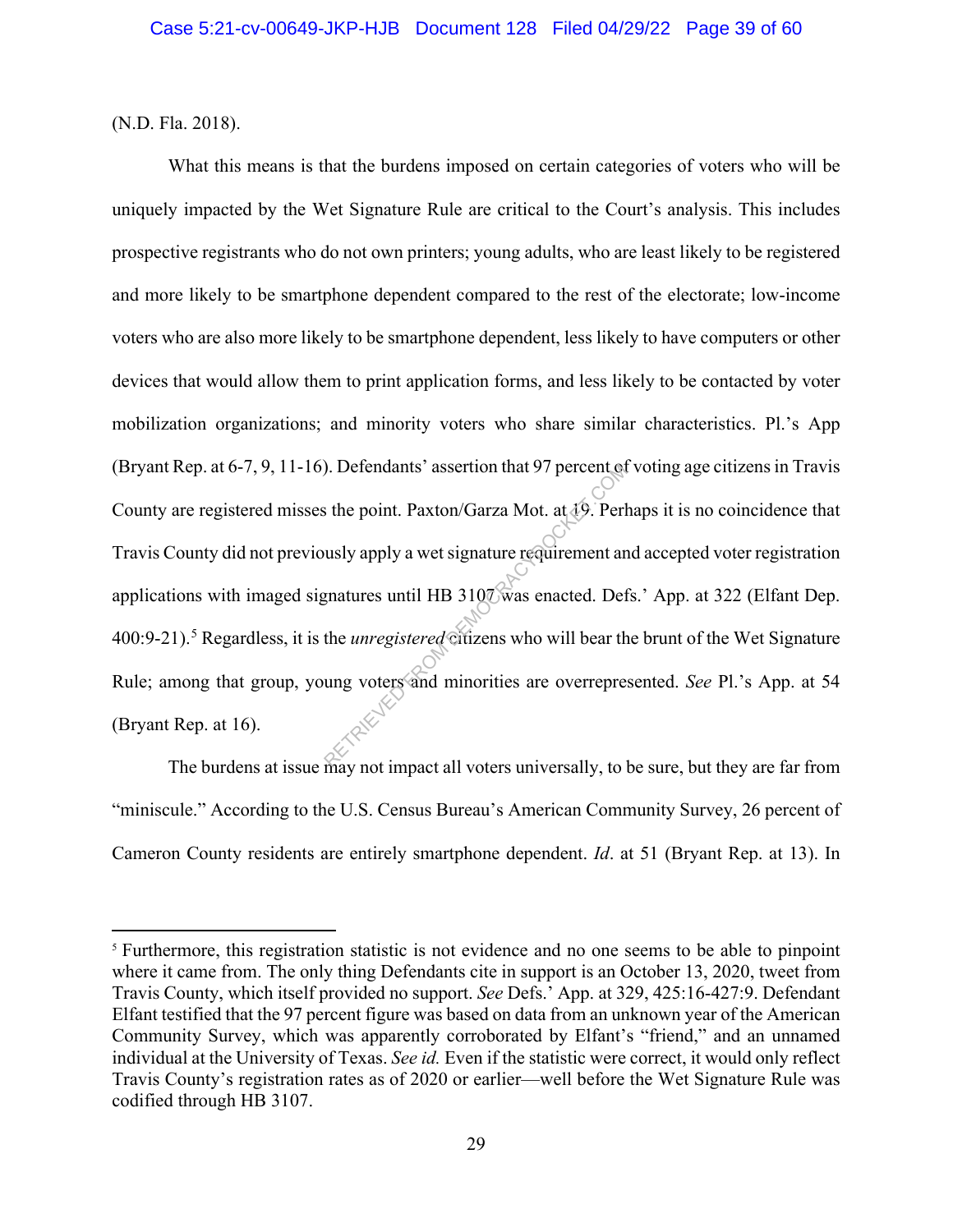(N.D. Fla. 2018).

What this means is that the burdens imposed on certain categories of voters who will be uniquely impacted by the Wet Signature Rule are critical to the Court's analysis. This includes prospective registrants who do not own printers; young adults, who are least likely to be registered and more likely to be smartphone dependent compared to the rest of the electorate; low-income voters who are also more likely to be smartphone dependent, less likely to have computers or other devices that would allow them to print application forms, and less likely to be contacted by voter mobilization organizations; and minority voters who share similar characteristics. Pl.'s App (Bryant Rep. at 6-7, 9, 11-16). Defendants' assertion that 97 percent of voting age citizens in Travis County are registered misses the point. Paxton/Garza Mot. at 19. Perhaps it is no coincidence that Travis County did not previously apply a wet signature requirement and accepted voter registration applications with imaged signatures until HB 3107 was enacted. Defs.' App. at 322 (Elfant Dep. 400:9-21).<sup>5</sup> Regardless, it is the *unregistered* citizens who will bear the brunt of the Wet Signature Rule; among that group, young voters and minorities are overrepresented. *See* Pl.'s App. at 54 (Bryant Rep. at 16). Referred to that 97 percent of<br>the point. Paxton/Garza Mot. at  $\frac{1}{2}$ . Perl<br>usly apply a wet signature requirement are<br>gnatures until HB 3107 was enacted. Def<br>the *unregistered* citizens who will bear th<br>ung voters and

The burdens at issue may not impact all voters universally, to be sure, but they are far from "miniscule." According to the U.S. Census Bureau's American Community Survey, 26 percent of Cameron County residents are entirely smartphone dependent. *Id*. at 51 (Bryant Rep. at 13). In

<sup>&</sup>lt;sup>5</sup> Furthermore, this registration statistic is not evidence and no one seems to be able to pinpoint where it came from. The only thing Defendants cite in support is an October 13, 2020, tweet from Travis County, which itself provided no support. *See* Defs.' App. at 329, 425:16-427:9. Defendant Elfant testified that the 97 percent figure was based on data from an unknown year of the American Community Survey, which was apparently corroborated by Elfant's "friend," and an unnamed individual at the University of Texas. *See id.* Even if the statistic were correct, it would only reflect Travis County's registration rates as of 2020 or earlier—well before the Wet Signature Rule was codified through HB 3107.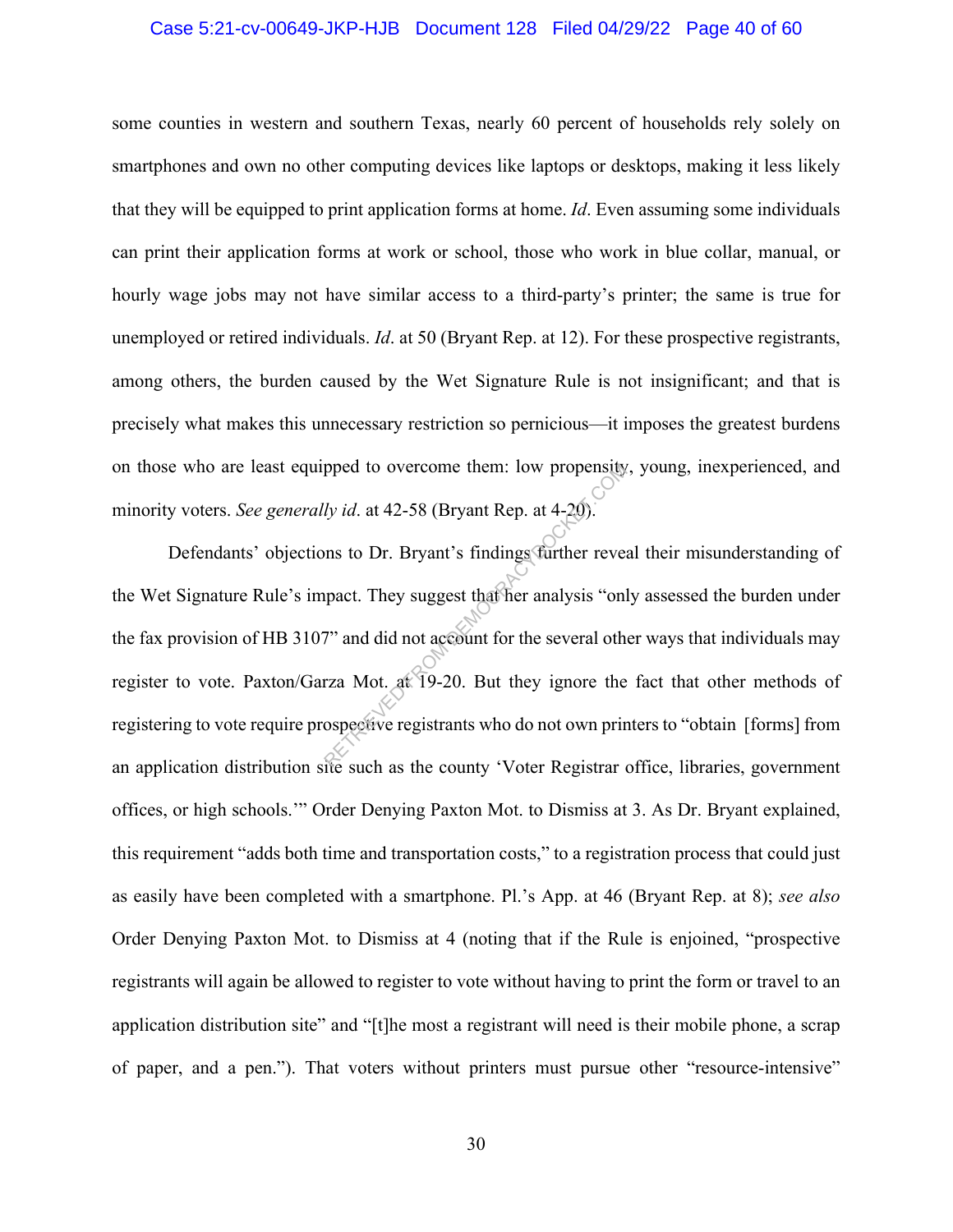#### Case 5:21-cv-00649-JKP-HJB Document 128 Filed 04/29/22 Page 40 of 60

some counties in western and southern Texas, nearly 60 percent of households rely solely on smartphones and own no other computing devices like laptops or desktops, making it less likely that they will be equipped to print application forms at home. *Id*. Even assuming some individuals can print their application forms at work or school, those who work in blue collar, manual, or hourly wage jobs may not have similar access to a third-party's printer; the same is true for unemployed or retired individuals. *Id*. at 50 (Bryant Rep. at 12). For these prospective registrants, among others, the burden caused by the Wet Signature Rule is not insignificant; and that is precisely what makes this unnecessary restriction so pernicious—it imposes the greatest burdens on those who are least equipped to overcome them: low propensity, young, inexperienced, and minority voters. *See generally id*. at 42-58 (Bryant Rep. at 4-20).

Defendants' objections to Dr. Bryant's findings further reveal their misunderstanding of the Wet Signature Rule's impact. They suggest that her analysis "only assessed the burden under the fax provision of HB 3107" and did not account for the several other ways that individuals may register to vote. Paxton/Garza Mot. at 19-20. But they ignore the fact that other methods of registering to vote require prospective registrants who do not own printers to "obtain [forms] from an application distribution site such as the county 'Voter Registrar office, libraries, government offices, or high schools.'" Order Denying Paxton Mot. to Dismiss at 3. As Dr. Bryant explained, this requirement "adds both time and transportation costs," to a registration process that could just as easily have been completed with a smartphone. Pl.'s App. at 46 (Bryant Rep. at 8); *see also*  Order Denying Paxton Mot. to Dismiss at 4 (noting that if the Rule is enjoined, "prospective registrants will again be allowed to register to vote without having to print the form or travel to an application distribution site" and "[t]he most a registrant will need is their mobile phone, a scrap of paper, and a pen."). That voters without printers must pursue other "resource-intensive" pped to overcome them: low propensity<br>ly id. at 42-58 (Bryant Rep. at 4-20).<br>ms to Dr. Bryant's findings further revearing<br>pact. They suggest that her analysis "only"<br>and did not account for the several oth<br>rza Mot. at 19-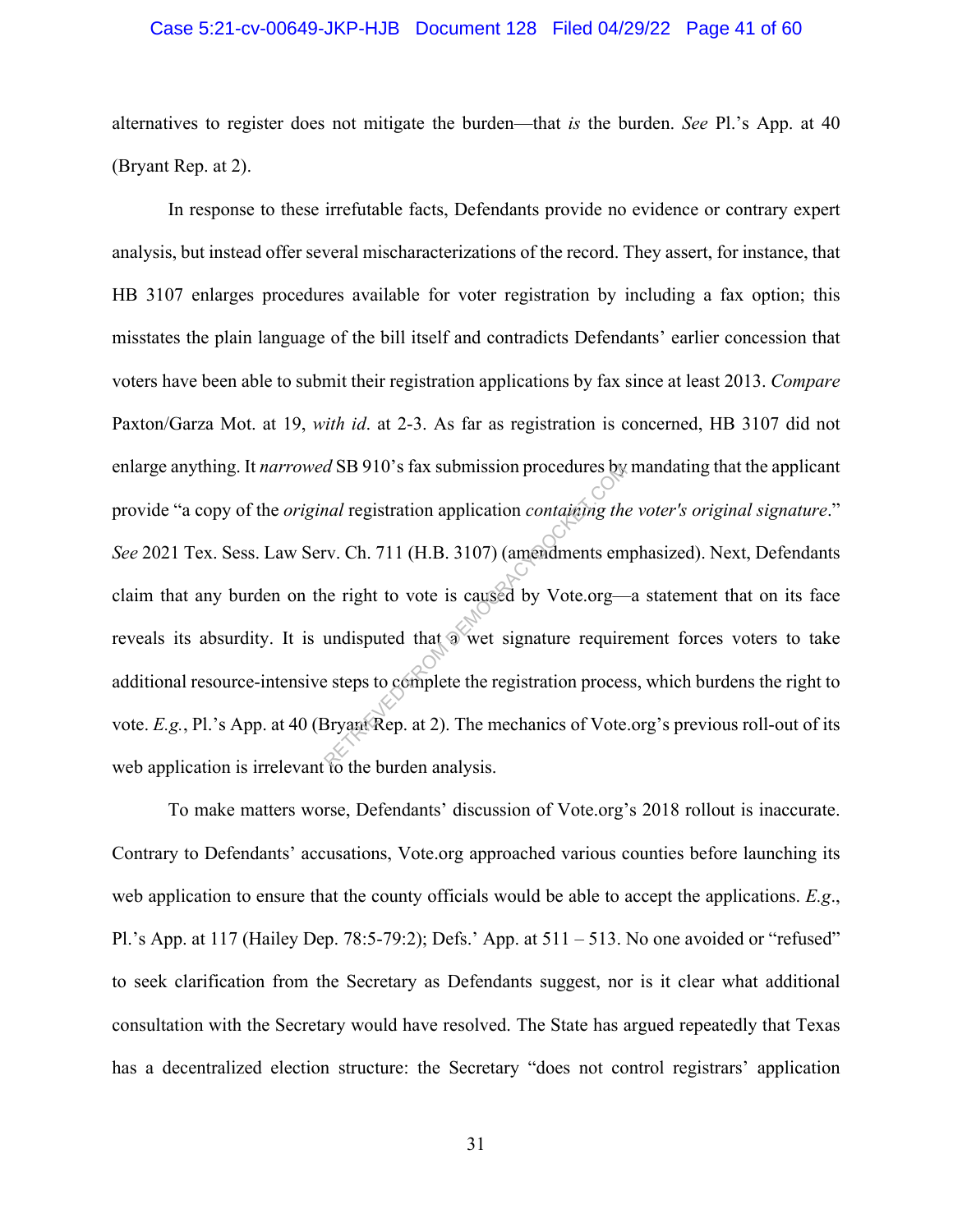#### Case 5:21-cv-00649-JKP-HJB Document 128 Filed 04/29/22 Page 41 of 60

alternatives to register does not mitigate the burden—that *is* the burden. *See* Pl.'s App. at 40 (Bryant Rep. at 2).

In response to these irrefutable facts, Defendants provide no evidence or contrary expert analysis, but instead offer several mischaracterizations of the record. They assert, for instance, that HB 3107 enlarges procedures available for voter registration by including a fax option; this misstates the plain language of the bill itself and contradicts Defendants' earlier concession that voters have been able to submit their registration applications by fax since at least 2013. *Compare*  Paxton/Garza Mot. at 19, *with id*. at 2-3. As far as registration is concerned, HB 3107 did not enlarge anything. It *narrowed* SB 910's fax submission procedures by mandating that the applicant provide "a copy of the *original* registration application *containing the voter's original signature*." *See* 2021 Tex. Sess. Law Serv. Ch. 711 (H.B. 3107) (amendments emphasized). Next, Defendants claim that any burden on the right to vote is caused by Vote.org—a statement that on its face reveals its absurdity. It is undisputed that  $\circledast$  wet signature requirement forces voters to take additional resource-intensive steps to complete the registration process, which burdens the right to vote. *E.g.*, Pl.'s App. at 40 (Bryant Rep. at 2). The mechanics of Vote.org's previous roll-out of its web application is irrelevant to the burden analysis. *d* SB 910's fax submission procedures by<br> *nal* registration application *containing the*<br>
ev. Ch. 711 (H.B. 3107) (amendments em<br>
ne right to vote is caused by Vote.org—<br>
undisputed that a wet signature require<br>
esteps t

To make matters worse, Defendants' discussion of Vote.org's 2018 rollout is inaccurate. Contrary to Defendants' accusations, Vote.org approached various counties before launching its web application to ensure that the county officials would be able to accept the applications. *E.g*., Pl.'s App. at 117 (Hailey Dep. 78:5-79:2); Defs.' App. at 511 – 513. No one avoided or "refused" to seek clarification from the Secretary as Defendants suggest, nor is it clear what additional consultation with the Secretary would have resolved. The State has argued repeatedly that Texas has a decentralized election structure: the Secretary "does not control registrars' application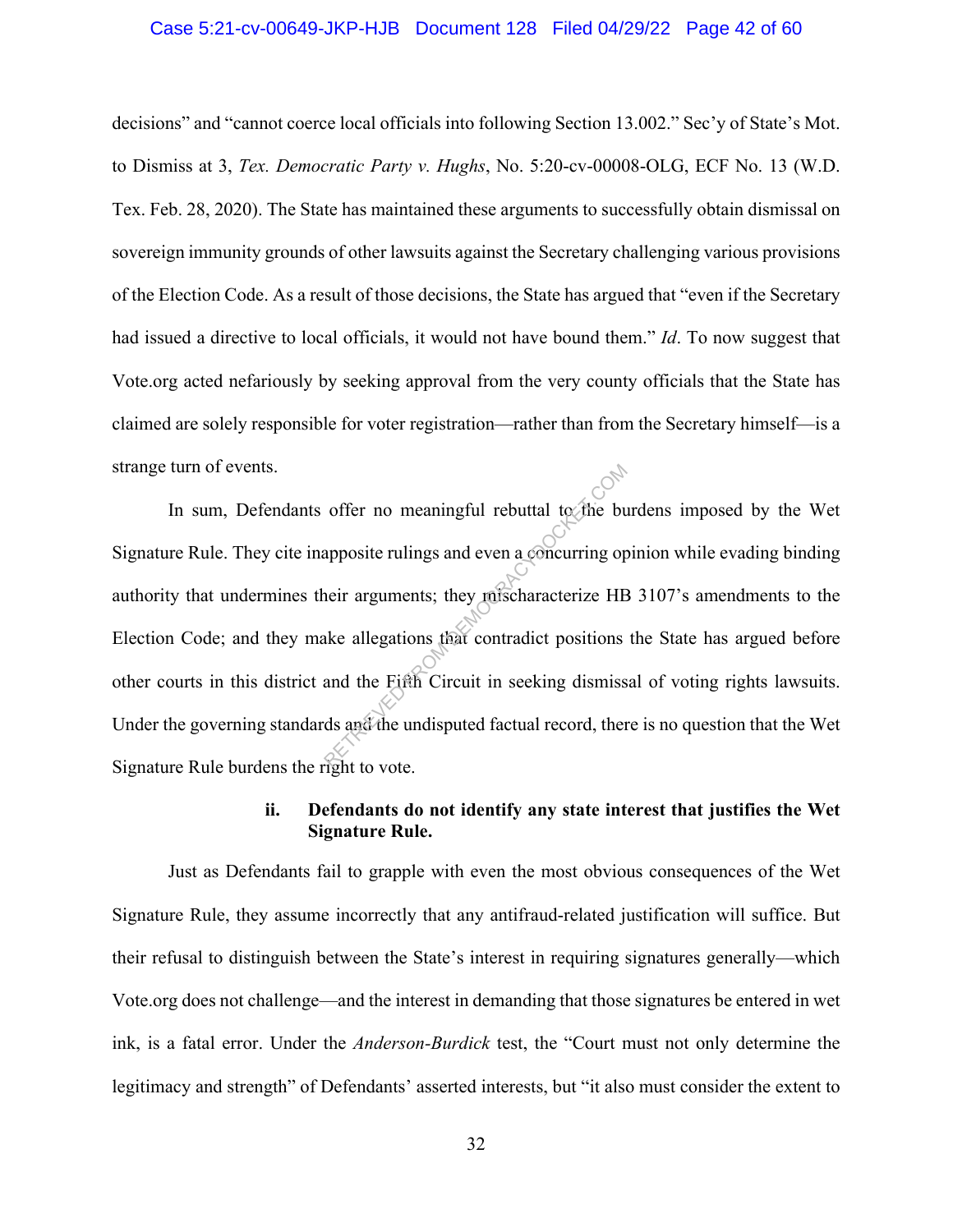#### Case 5:21-cv-00649-JKP-HJB Document 128 Filed 04/29/22 Page 42 of 60

decisions" and "cannot coerce local officials into following Section 13.002." Sec'y of State's Mot. to Dismiss at 3, *Tex. Democratic Party v. Hughs*, No. 5:20-cv-00008-OLG, ECF No. 13 (W.D. Tex. Feb. 28, 2020). The State has maintained these arguments to successfully obtain dismissal on sovereign immunity grounds of other lawsuits against the Secretary challenging various provisions of the Election Code. As a result of those decisions, the State has argued that "even if the Secretary had issued a directive to local officials, it would not have bound them." *Id*. To now suggest that Vote.org acted nefariously by seeking approval from the very county officials that the State has claimed are solely responsible for voter registration—rather than from the Secretary himself—is a strange turn of events.

In sum, Defendants offer no meaningful rebuttal to the burdens imposed by the Wet Signature Rule. They cite inapposite rulings and even a concurring opinion while evading binding authority that undermines their arguments; they mischaracterize HB 3107's amendments to the Election Code; and they make allegations that contradict positions the State has argued before other courts in this district and the Fifth Circuit in seeking dismissal of voting rights lawsuits. Under the governing standards and the undisputed factual record, there is no question that the Wet Signature Rule burdens the right to vote. offer no meaningful rebuttal to the buar<br>apposite rulings and even a concurring op-<br>neir arguments; they mischaracterize HE<br>ake allegations that contradict positions<br>and the Fifth Circuit in seeking dismiss<br>ds and the undi

### **ii. Defendants do not identify any state interest that justifies the Wet Signature Rule.**

Just as Defendants fail to grapple with even the most obvious consequences of the Wet Signature Rule, they assume incorrectly that any antifraud-related justification will suffice. But their refusal to distinguish between the State's interest in requiring signatures generally—which Vote.org does not challenge—and the interest in demanding that those signatures be entered in wet ink, is a fatal error. Under the *Anderson-Burdick* test, the "Court must not only determine the legitimacy and strength" of Defendants' asserted interests, but "it also must consider the extent to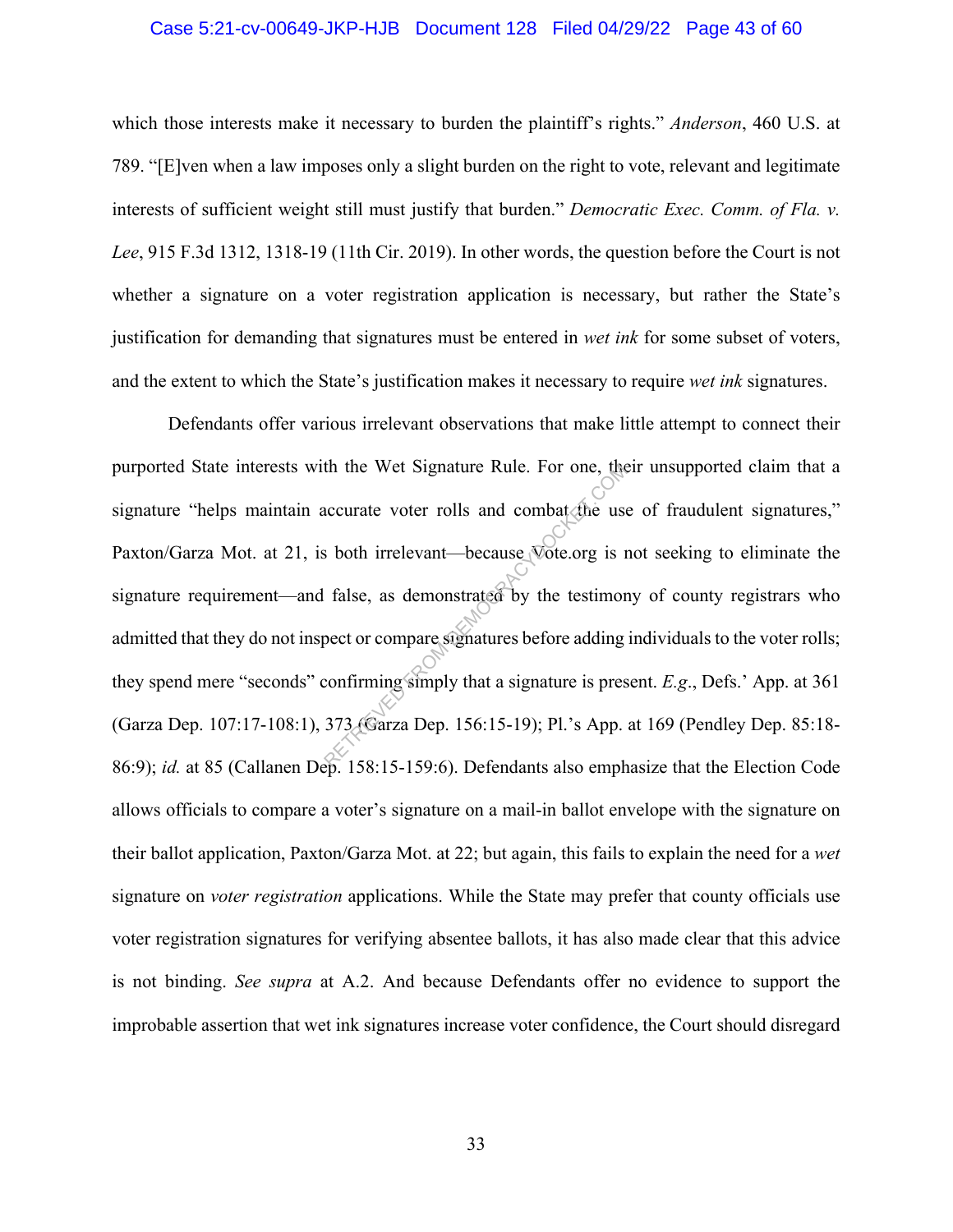#### Case 5:21-cv-00649-JKP-HJB Document 128 Filed 04/29/22 Page 43 of 60

which those interests make it necessary to burden the plaintiff's rights." *Anderson*, 460 U.S. at 789. "[E]ven when a law imposes only a slight burden on the right to vote, relevant and legitimate interests of sufficient weight still must justify that burden." *Democratic Exec. Comm. of Fla. v. Lee*, 915 F.3d 1312, 1318-19 (11th Cir. 2019). In other words, the question before the Court is not whether a signature on a voter registration application is necessary, but rather the State's justification for demanding that signatures must be entered in *wet ink* for some subset of voters, and the extent to which the State's justification makes it necessary to require *wet ink* signatures.

Defendants offer various irrelevant observations that make little attempt to connect their purported State interests with the Wet Signature Rule. For one, their unsupported claim that a signature "helps maintain accurate voter rolls and combat the use of fraudulent signatures," Paxton/Garza Mot. at 21, is both irrelevant—because Vote.org is not seeking to eliminate the signature requirement—and false, as demonstrated by the testimony of county registrars who admitted that they do not inspect or compare signatures before adding individuals to the voter rolls; they spend mere "seconds" confirming simply that a signature is present. *E.g*., Defs.' App. at 361 (Garza Dep. 107:17-108:1), 373 (Garza Dep. 156:15-19); Pl.'s App. at 169 (Pendley Dep. 85:18- 86:9); *id.* at 85 (Callanen Dep. 158:15-159:6). Defendants also emphasize that the Election Code allows officials to compare a voter's signature on a mail-in ballot envelope with the signature on their ballot application, Paxton/Garza Mot. at 22; but again, this fails to explain the need for a *wet* signature on *voter registration* applications. While the State may prefer that county officials use voter registration signatures for verifying absentee ballots, it has also made clear that this advice is not binding. *See supra* at A.2. And because Defendants offer no evidence to support the improbable assertion that wet ink signatures increase voter confidence, the Court should disregard th the Wet Signature Rule. For one, the<br>accurate voter rolls and combat the use<br>s both irrelevant—because Vote.org is r<br>false, as demonstrated by the testimor<br>pect or compare signatures before adding<br>confirming simply that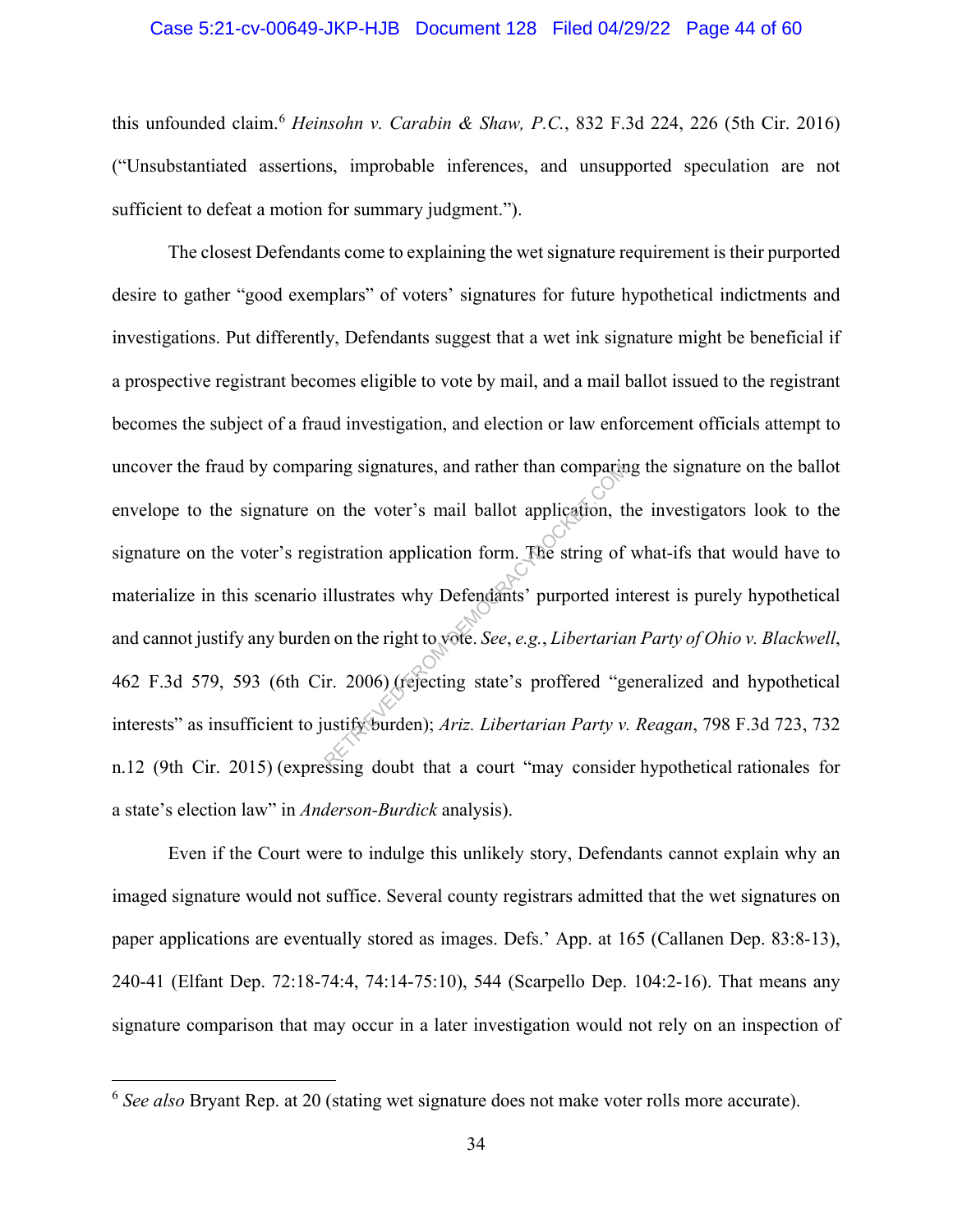#### Case 5:21-cv-00649-JKP-HJB Document 128 Filed 04/29/22 Page 44 of 60

this unfounded claim.<sup>6</sup> *Heinsohn v. Carabin & Shaw, P.C.*, 832 F.3d 224, 226 (5th Cir. 2016) ("Unsubstantiated assertions, improbable inferences, and unsupported speculation are not sufficient to defeat a motion for summary judgment.").

The closest Defendants come to explaining the wet signature requirement is their purported desire to gather "good exemplars" of voters' signatures for future hypothetical indictments and investigations. Put differently, Defendants suggest that a wet ink signature might be beneficial if a prospective registrant becomes eligible to vote by mail, and a mail ballot issued to the registrant becomes the subject of a fraud investigation, and election or law enforcement officials attempt to uncover the fraud by comparing signatures, and rather than comparing the signature on the ballot envelope to the signature on the voter's mail ballot application, the investigators look to the signature on the voter's registration application form. The string of what-ifs that would have to materialize in this scenario illustrates why Defendants' purported interest is purely hypothetical and cannot justify any burden on the right to vote. *See*, *e.g.*, *Libertarian Party of Ohio v. Blackwell*, 462 F.3d 579, 593 (6th Cir. 2006) (rejecting state's proffered "generalized and hypothetical interests" as insufficient to justify burden); *Ariz. Libertarian Party v. Reagan*, 798 F.3d 723, 732 n.12 (9th Cir. 2015) (expressing doubt that a court "may consider hypothetical rationales for a state's election law" in *Anderson-Burdick* analysis). ring signatures, and rather than comparing<br>
on the voter's mail ballot application, the<br>
istration application form. The string of<br>
illustrates why Defendants' purported in<br>
n on the right to vote. See, e.g., Libertaria<br>
i

Even if the Court were to indulge this unlikely story, Defendants cannot explain why an imaged signature would not suffice. Several county registrars admitted that the wet signatures on paper applications are eventually stored as images. Defs.' App. at 165 (Callanen Dep. 83:8-13), 240-41 (Elfant Dep. 72:18-74:4, 74:14-75:10), 544 (Scarpello Dep. 104:2-16). That means any signature comparison that may occur in a later investigation would not rely on an inspection of

<sup>6</sup> *See also* Bryant Rep. at 20 (stating wet signature does not make voter rolls more accurate).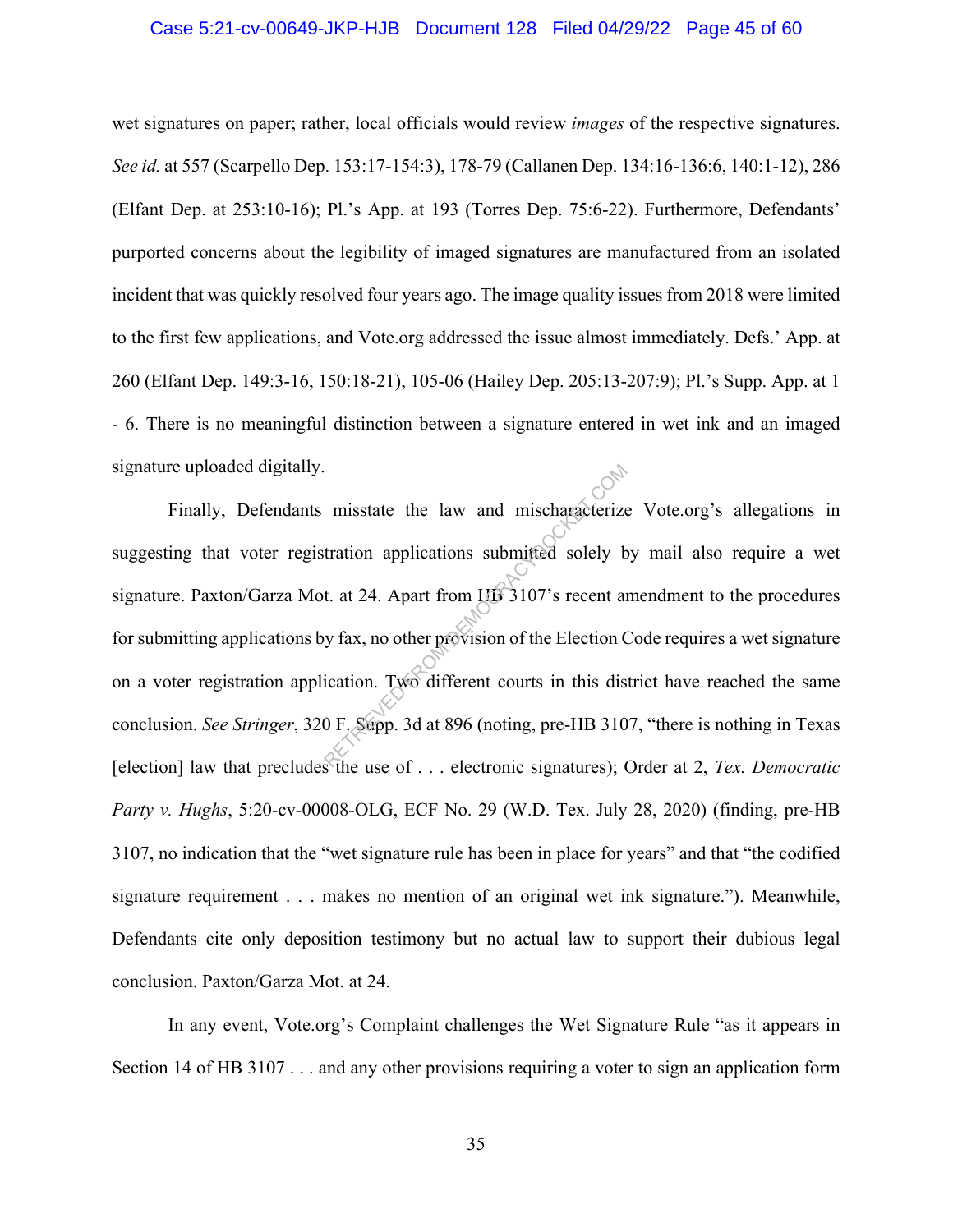#### Case 5:21-cv-00649-JKP-HJB Document 128 Filed 04/29/22 Page 45 of 60

wet signatures on paper; rather, local officials would review *images* of the respective signatures. *See id.* at 557 (Scarpello Dep. 153:17-154:3), 178-79 (Callanen Dep. 134:16-136:6, 140:1-12), 286 (Elfant Dep. at 253:10-16); Pl.'s App. at 193 (Torres Dep. 75:6-22). Furthermore, Defendants' purported concerns about the legibility of imaged signatures are manufactured from an isolated incident that was quickly resolved four years ago. The image quality issues from 2018 were limited to the first few applications, and Vote.org addressed the issue almost immediately. Defs.' App. at 260 (Elfant Dep. 149:3-16, 150:18-21), 105-06 (Hailey Dep. 205:13-207:9); Pl.'s Supp. App. at 1 - 6. There is no meaningful distinction between a signature entered in wet ink and an imaged signature uploaded digitally.

Finally, Defendants misstate the law and mischaracterize Vote.org's allegations in suggesting that voter registration applications submitted solely by mail also require a wet signature. Paxton/Garza Mot. at 24. Apart from HB 3107's recent amendment to the procedures for submitting applications by fax, no other provision of the Election Code requires a wet signature on a voter registration application. Two different courts in this district have reached the same conclusion. *See Stringer*, 320 F. Supp. 3d at 896 (noting, pre-HB 3107, "there is nothing in Texas [election] law that precludes the use of . . . electronic signatures); Order at 2, *Tex. Democratic Party v. Hughs*, 5:20-cv-00008-OLG, ECF No. 29 (W.D. Tex. July 28, 2020) (finding, pre-HB 3107, no indication that the "wet signature rule has been in place for years" and that "the codified signature requirement . . . makes no mention of an original wet ink signature."). Meanwhile, Defendants cite only deposition testimony but no actual law to support their dubious legal conclusion. Paxton/Garza Mot. at 24. misstate the law and mischaracterize<br>tration applications submitted solely b<br>t. at 24. Apart from HB 3107's recent an<br>y fax, no other provision of the Election C<br>ication. Two different courts in this dis<br>0 F. Supp. 3d at 8

In any event, Vote.org's Complaint challenges the Wet Signature Rule "as it appears in Section 14 of HB 3107 . . . and any other provisions requiring a voter to sign an application form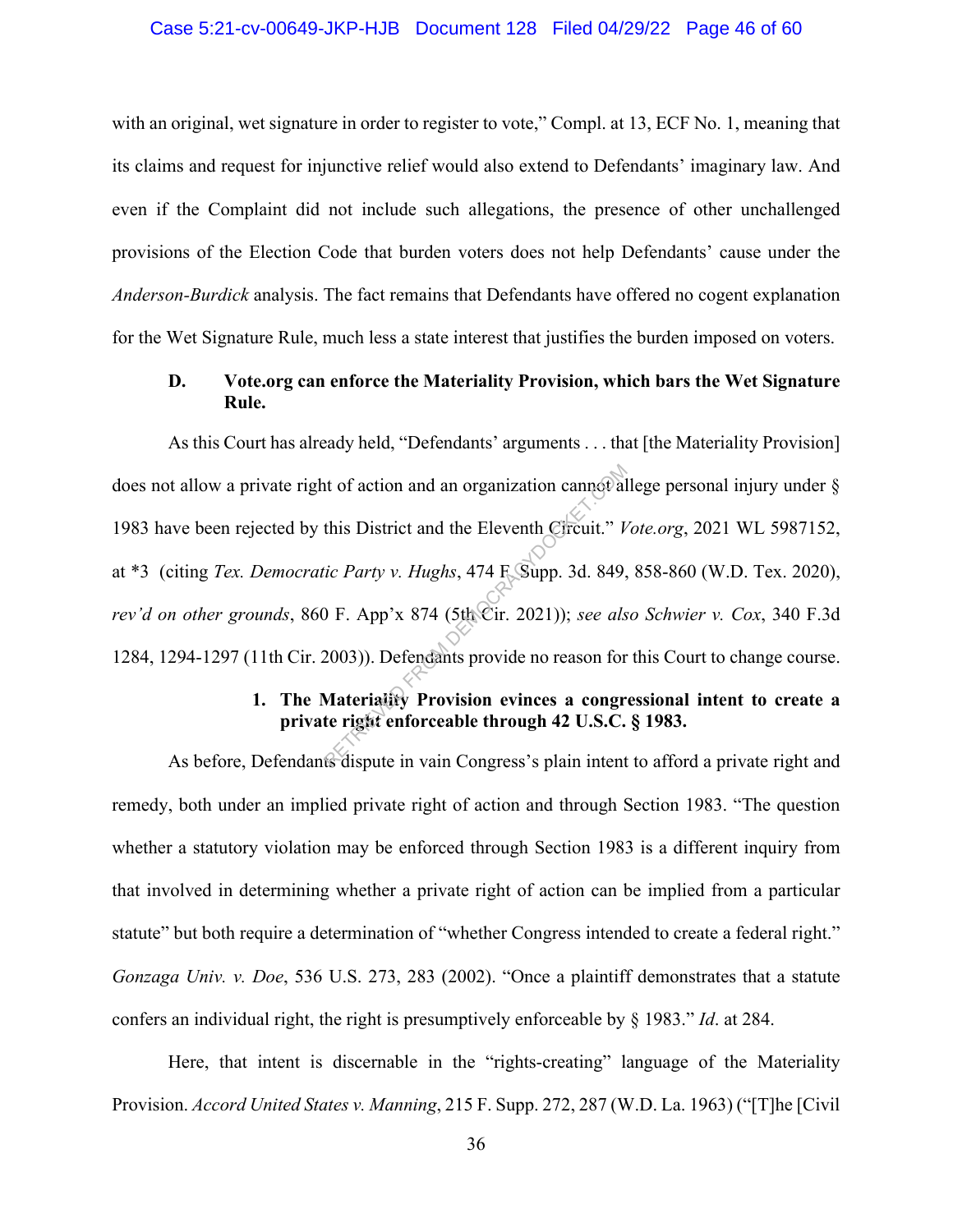#### Case 5:21-cv-00649-JKP-HJB Document 128 Filed 04/29/22 Page 46 of 60

with an original, wet signature in order to register to vote," Compl. at 13, ECF No. 1, meaning that its claims and request for injunctive relief would also extend to Defendants' imaginary law. And even if the Complaint did not include such allegations, the presence of other unchallenged provisions of the Election Code that burden voters does not help Defendants' cause under the *Anderson-Burdick* analysis. The fact remains that Defendants have offered no cogent explanation for the Wet Signature Rule, much less a state interest that justifies the burden imposed on voters.

## **D. Vote.org can enforce the Materiality Provision, which bars the Wet Signature Rule.**

As this Court has already held, "Defendants' arguments . . . that [the Materiality Provision] does not allow a private right of action and an organization cannot allege personal injury under § 1983 have been rejected by this District and the Eleventh Circuit." *Vote.org*, 2021 WL 5987152, at \*3 (citing *Tex. Democratic Party v. Hughs*, 474 F. Supp. 3d. 849, 858-860 (W.D. Tex. 2020), *rev'd on other grounds*, 860 F. App'x 874 (5th Cir. 2021)); *see also Schwier v. Cox*, 340 F.3d 1284, 1294-1297 (11th Cir. 2003)). Defendants provide no reason for this Court to change course. this District and the Eleventh Circuit." *V*<br>tic Party v. Hughs, 474 F. Supp. 3d. 849,<br>D. F. App'x 874 (5th Cir. 2021)); *see als*<br>2003)). Defendants provide no reason for<br>**Materiality Provision evinces a congr<br>te right en** 

## **1. The Materiality Provision evinces a congressional intent to create a private right enforceable through 42 U.S.C. § 1983.**

As before, Defendants dispute in vain Congress's plain intent to afford a private right and remedy, both under an implied private right of action and through Section 1983. "The question whether a statutory violation may be enforced through Section 1983 is a different inquiry from that involved in determining whether a private right of action can be implied from a particular statute" but both require a determination of "whether Congress intended to create a federal right." *Gonzaga Univ. v. Doe*, 536 U.S. 273, 283 (2002). "Once a plaintiff demonstrates that a statute confers an individual right, the right is presumptively enforceable by § 1983." *Id*. at 284.

Here, that intent is discernable in the "rights-creating" language of the Materiality Provision. *Accord United States v. Manning*, 215 F. Supp. 272, 287 (W.D. La. 1963) ("[T]he [Civil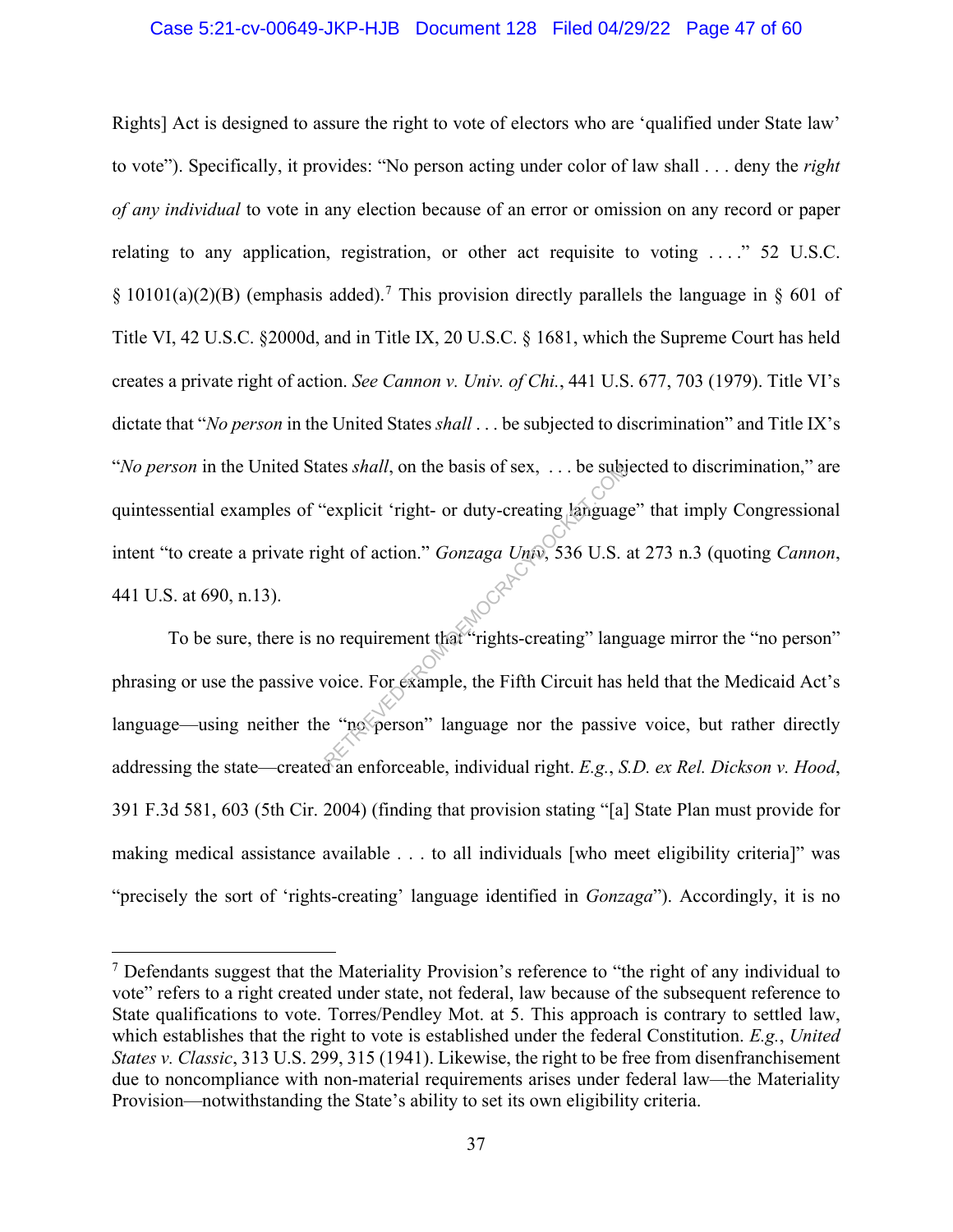#### Case 5:21-cv-00649-JKP-HJB Document 128 Filed 04/29/22 Page 47 of 60

Rights] Act is designed to assure the right to vote of electors who are 'qualified under State law' to vote"). Specifically, it provides: "No person acting under color of law shall . . . deny the *right of any individual* to vote in any election because of an error or omission on any record or paper relating to any application, registration, or other act requisite to voting ...." 52 U.S.C.  $\S$  10101(a)(2)(B) (emphasis added).<sup>7</sup> This provision directly parallels the language in  $\S$  601 of Title VI, 42 U.S.C. §2000d, and in Title IX, 20 U.S.C. § 1681, which the Supreme Court has held creates a private right of action. *See Cannon v. Univ. of Chi.*, 441 U.S. 677, 703 (1979). Title VI's dictate that "*No person* in the United States *shall* . . . be subjected to discrimination" and Title IX's "*No person* in the United States *shall*, on the basis of sex, . . . be subjected to discrimination," are quintessential examples of "explicit 'right- or duty-creating language" that imply Congressional intent "to create a private right of action." *Gonzaga Univ*, 536 U.S. at 273 n.3 (quoting *Cannon*, 441 U.S. at 690, n.13). retes *shall*, on the basis of sex, ... be subset<br>
"explicit 'right- or duty-creating language<br>
ght of action." *Gonzaga Univ*, 536 U.S.<br>
"o requirement that "rights-creating" language<br>
voice. For example, the Fifth Circui

To be sure, there is no requirement that "rights-creating" language mirror the "no person" phrasing or use the passive voice. For example, the Fifth Circuit has held that the Medicaid Act's language—using neither the "no person" language nor the passive voice, but rather directly addressing the state—created an enforceable, individual right. *E.g.*, *S.D. ex Rel. Dickson v. Hood*, 391 F.3d 581, 603 (5th Cir. 2004) (finding that provision stating "[a] State Plan must provide for making medical assistance available . . . to all individuals [who meet eligibility criteria]" was "precisely the sort of 'rights-creating' language identified in *Gonzaga*"). Accordingly, it is no

<sup>&</sup>lt;sup>7</sup> Defendants suggest that the Materiality Provision's reference to "the right of any individual to" vote" refers to a right created under state, not federal, law because of the subsequent reference to State qualifications to vote. Torres/Pendley Mot. at 5. This approach is contrary to settled law, which establishes that the right to vote is established under the federal Constitution. *E.g.*, *United States v. Classic*, 313 U.S. 299, 315 (1941). Likewise, the right to be free from disenfranchisement due to noncompliance with non-material requirements arises under federal law—the Materiality Provision—notwithstanding the State's ability to set its own eligibility criteria.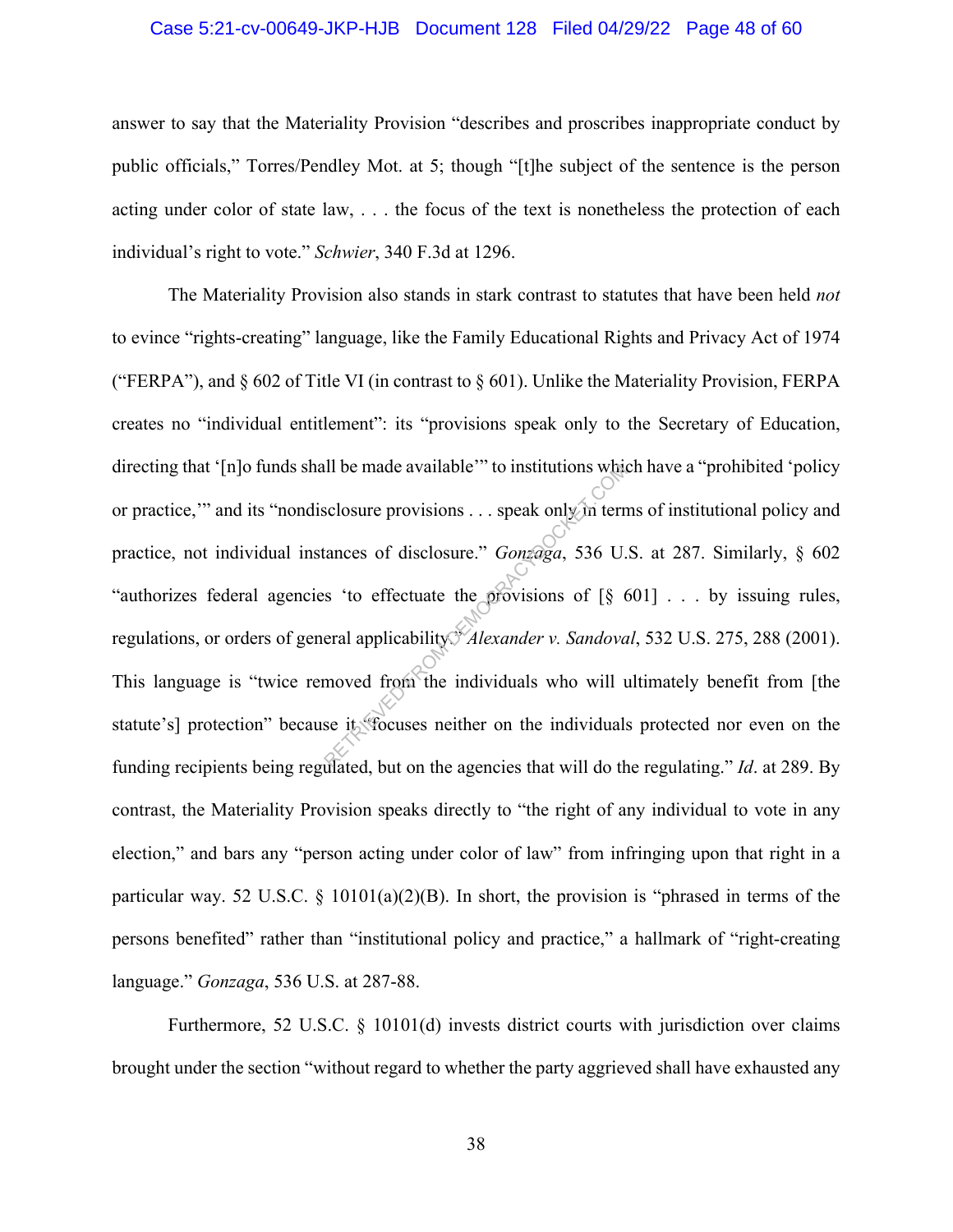#### Case 5:21-cv-00649-JKP-HJB Document 128 Filed 04/29/22 Page 48 of 60

answer to say that the Materiality Provision "describes and proscribes inappropriate conduct by public officials," Torres/Pendley Mot. at 5; though "[t]he subject of the sentence is the person acting under color of state law, . . . the focus of the text is nonetheless the protection of each individual's right to vote." *Schwier*, 340 F.3d at 1296.

The Materiality Provision also stands in stark contrast to statutes that have been held *not* to evince "rights-creating" language, like the Family Educational Rights and Privacy Act of 1974 ("FERPA"), and  $\S 602$  of Title VI (in contrast to  $\S 601$ ). Unlike the Materiality Provision, FERPA creates no "individual entitlement": its "provisions speak only to the Secretary of Education, directing that '[n]o funds shall be made available'" to institutions which have a "prohibited 'policy or practice,'" and its "nondisclosure provisions . . . speak only in terms of institutional policy and practice, not individual instances of disclosure." *Gonzaga*, 536 U.S. at 287. Similarly, § 602 "authorizes federal agencies 'to effectuate the provisions of [§ 601] . . . by issuing rules, regulations, or orders of general applicability. *Alexander v. Sandoval*, 532 U.S. 275, 288 (2001). This language is "twice removed from the individuals who will ultimately benefit from [the statute's] protection" because it "focuses neither on the individuals protected nor even on the funding recipients being regulated, but on the agencies that will do the regulating." *Id*. at 289. By contrast, the Materiality Provision speaks directly to "the right of any individual to vote in any election," and bars any "person acting under color of law" from infringing upon that right in a particular way. 52 U.S.C.  $\S$  10101(a)(2)(B). In short, the provision is "phrased in terms of the persons benefited" rather than "institutional policy and practice," a hallmark of "right-creating language." *Gonzaga*, 536 U.S. at 287-88. Reflectuate the provisions of the trances of disclosure." *Gonzaga*, 536 U.<br>
Section of disclosure." *Gonzaga*, 536 U.<br>
Section of the provisions of [§ 6<br>
eral applicability. *Alexander v. Sandova*<br>
moved from the individu

Furthermore, 52 U.S.C. § 10101(d) invests district courts with jurisdiction over claims brought under the section "without regard to whether the party aggrieved shall have exhausted any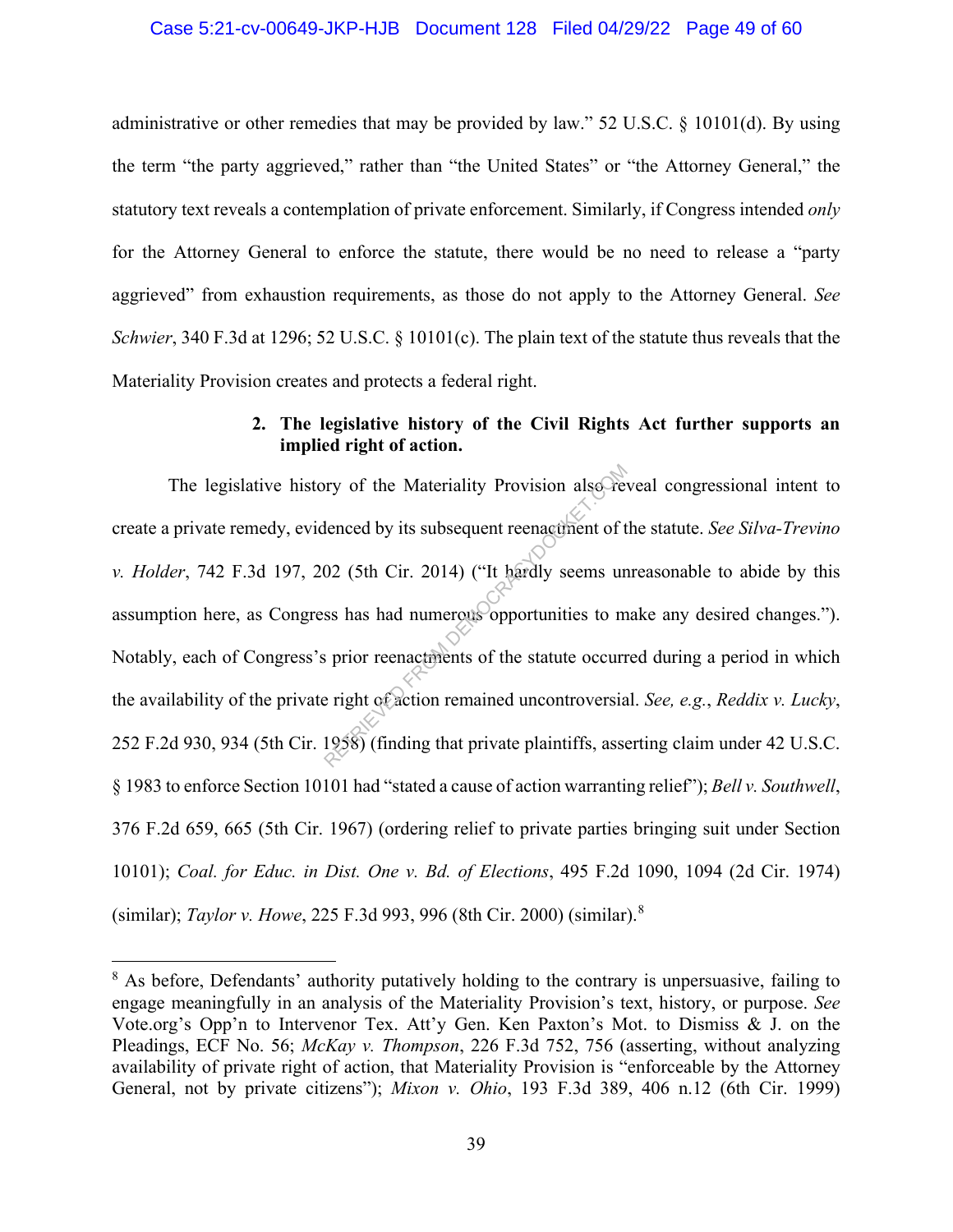#### Case 5:21-cv-00649-JKP-HJB Document 128 Filed 04/29/22 Page 49 of 60

administrative or other remedies that may be provided by law." 52 U.S.C. § 10101(d). By using the term "the party aggrieved," rather than "the United States" or "the Attorney General," the statutory text reveals a contemplation of private enforcement. Similarly, if Congress intended *only*  for the Attorney General to enforce the statute, there would be no need to release a "party aggrieved" from exhaustion requirements, as those do not apply to the Attorney General. *See Schwier*, 340 F.3d at 1296; 52 U.S.C. § 10101(c). The plain text of the statute thus reveals that the Materiality Provision creates and protects a federal right.

### **2. The legislative history of the Civil Rights Act further supports an implied right of action.**

The legislative history of the Materiality Provision also reveal congressional intent to create a private remedy, evidenced by its subsequent reenactment of the statute. *See Silva-Trevino v. Holder*, 742 F.3d 197, 202 (5th Cir. 2014) ("It hardly seems unreasonable to abide by this assumption here, as Congress has had numerous opportunities to make any desired changes."). Notably, each of Congress's prior reenactments of the statute occurred during a period in which the availability of the private right of action remained uncontroversial. *See, e.g.*, *Reddix v. Lucky*, 252 F.2d 930, 934 (5th Cir. 1958) (finding that private plaintiffs, asserting claim under 42 U.S.C. § 1983 to enforce Section 10101 had "stated a cause of action warranting relief"); *Bell v. Southwell*, 376 F.2d 659, 665 (5th Cir. 1967) (ordering relief to private parties bringing suit under Section 10101); *Coal. for Educ. in Dist. One v. Bd. of Elections*, 495 F.2d 1090, 1094 (2d Cir. 1974) (similar); *Taylor v. Howe*, 225 F.3d 993, 996 (8th Cir. 2000) (similar).<sup>8</sup> ry of the Materiality Provision also Fe<br>lenced by its subsequent reenactment of t<br>02 (5th Cir. 2014) ("It hardly seems un<br>ss has had numerous opportunities to m<br>is prior reenactments of the statute occurr<br>e right of action

<sup>&</sup>lt;sup>8</sup> As before, Defendants' authority putatively holding to the contrary is unpersuasive, failing to engage meaningfully in an analysis of the Materiality Provision's text, history, or purpose. *See*  Vote.org's Opp'n to Intervenor Tex. Att'y Gen. Ken Paxton's Mot. to Dismiss & J. on the Pleadings, ECF No. 56; *McKay v. Thompson*, 226 F.3d 752, 756 (asserting, without analyzing availability of private right of action, that Materiality Provision is "enforceable by the Attorney General, not by private citizens"); *Mixon v. Ohio*, 193 F.3d 389, 406 n.12 (6th Cir. 1999)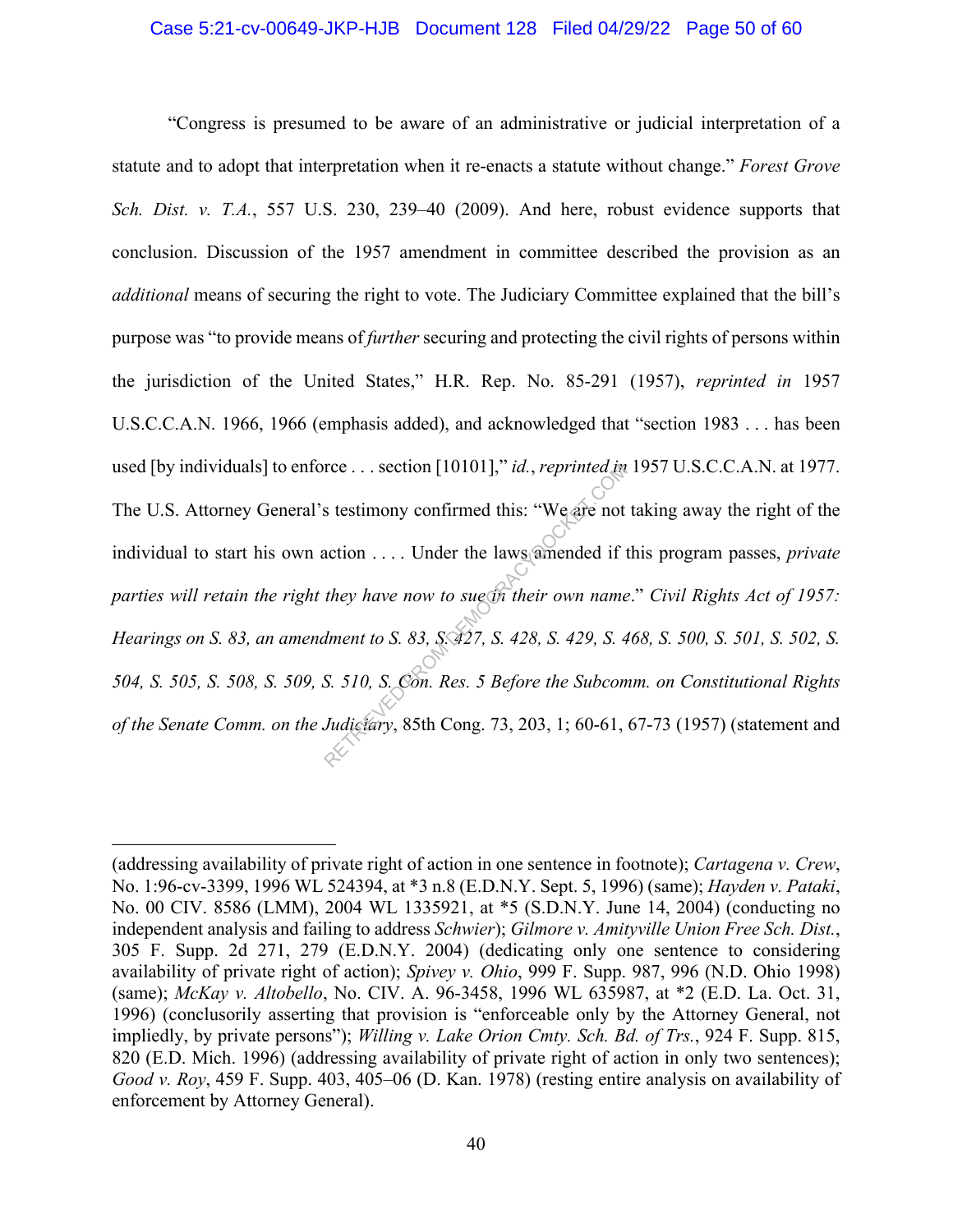#### Case 5:21-cv-00649-JKP-HJB Document 128 Filed 04/29/22 Page 50 of 60

"Congress is presumed to be aware of an administrative or judicial interpretation of a statute and to adopt that interpretation when it re-enacts a statute without change." *Forest Grove Sch. Dist. v. T.A.*, 557 U.S. 230, 239–40 (2009). And here, robust evidence supports that conclusion. Discussion of the 1957 amendment in committee described the provision as an *additional* means of securing the right to vote. The Judiciary Committee explained that the bill's purpose was "to provide means of *further* securing and protecting the civil rights of persons within the jurisdiction of the United States," H.R. Rep. No. 85-291 (1957), *reprinted in* 1957 U.S.C.C.A.N. 1966, 1966 (emphasis added), and acknowledged that "section 1983 . . . has been used [by individuals] to enforce . . . section [10101]," *id.*, *reprinted in* 1957 U.S.C.C.A.N. at 1977. The U.S. Attorney General's testimony confirmed this: "We are not taking away the right of the individual to start his own action . . . . Under the laws amended if this program passes, *private parties will retain the right they have now to sue in their own name*." *Civil Rights Act of 1957: Hearings on S. 83, an amendment to S. 83, S. 427, S. 428, S. 429, S. 468, S. 500, S. 501, S. 502, S. 504, S. 505, S. 508, S. 509, S. 510, S. Con. Res. 5 Before the Subcomm. on Constitutional Rights of the Senate Comm. on the Judiciary*, 85th Cong. 73, 203, 1; 60-61, 67-73 (1957) (statement and retries... section [10101]," *id.*, reprinted in section station of the laws and action .... Under the laws and all they have now to sugare their own name dment to S. 83, S. 427, S. 428, S. 429, S. 48. S. 510, S. Con. Res

<sup>(</sup>addressing availability of private right of action in one sentence in footnote); *Cartagena v. Crew*, No. 1:96-cv-3399, 1996 WL 524394, at \*3 n.8 (E.D.N.Y. Sept. 5, 1996) (same); *Hayden v. Pataki*, No. 00 CIV. 8586 (LMM), 2004 WL 1335921, at \*5 (S.D.N.Y. June 14, 2004) (conducting no independent analysis and failing to address *Schwier*); *Gilmore v. Amityville Union Free Sch. Dist.*, 305 F. Supp. 2d 271, 279 (E.D.N.Y. 2004) (dedicating only one sentence to considering availability of private right of action); *Spivey v. Ohio*, 999 F. Supp. 987, 996 (N.D. Ohio 1998) (same); *McKay v. Altobello*, No. CIV. A. 96-3458, 1996 WL 635987, at \*2 (E.D. La. Oct. 31, 1996) (conclusorily asserting that provision is "enforceable only by the Attorney General, not impliedly, by private persons"); *Willing v. Lake Orion Cmty. Sch. Bd. of Trs.*, 924 F. Supp. 815, 820 (E.D. Mich. 1996) (addressing availability of private right of action in only two sentences); *Good v. Roy*, 459 F. Supp. 403, 405–06 (D. Kan. 1978) (resting entire analysis on availability of enforcement by Attorney General).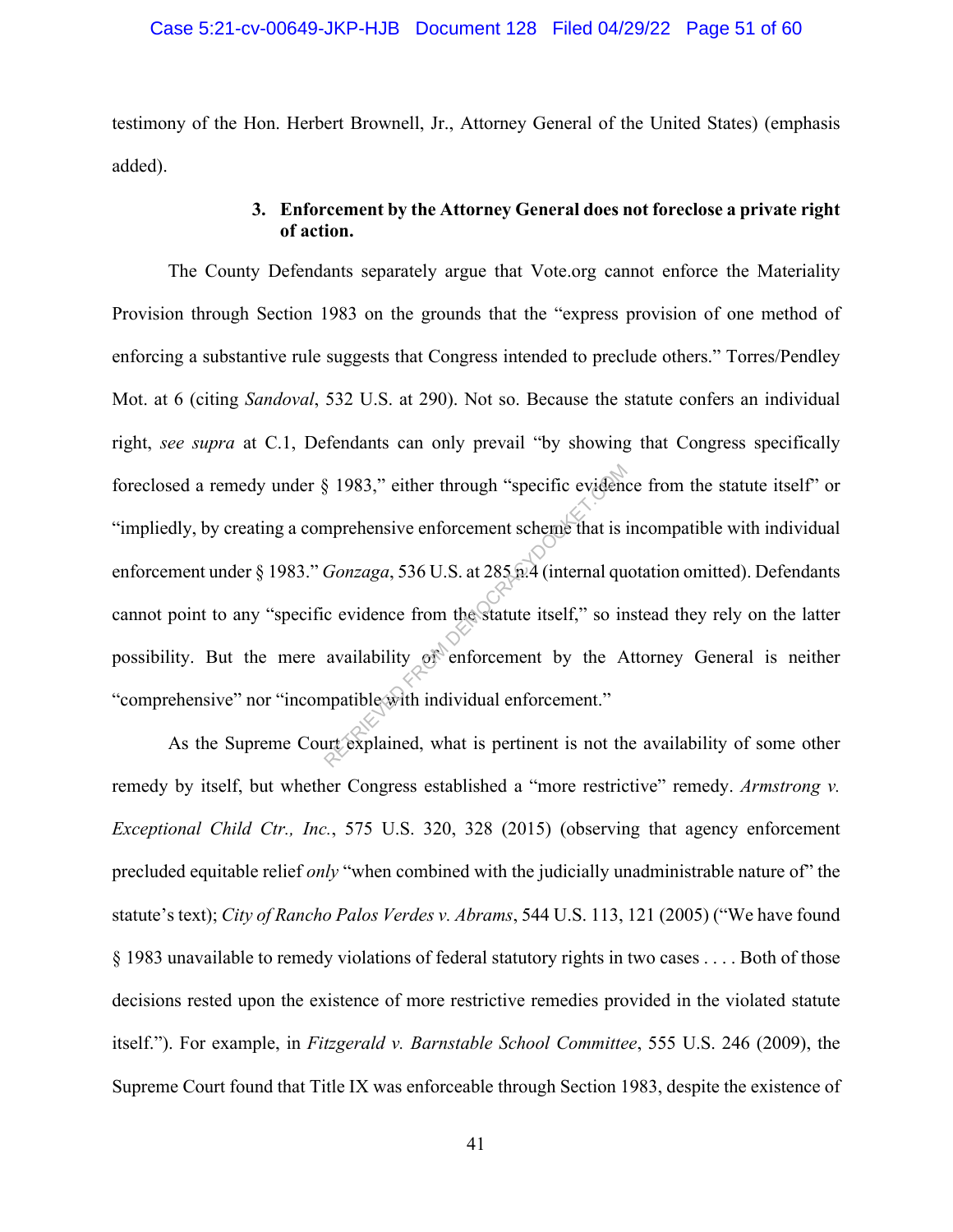testimony of the Hon. Herbert Brownell, Jr., Attorney General of the United States) (emphasis added).

## **3. Enforcement by the Attorney General does not foreclose a private right of action.**

The County Defendants separately argue that Vote.org cannot enforce the Materiality Provision through Section 1983 on the grounds that the "express provision of one method of enforcing a substantive rule suggests that Congress intended to preclude others." Torres/Pendley Mot. at 6 (citing *Sandoval*, 532 U.S. at 290). Not so. Because the statute confers an individual right, *see supra* at C.1, Defendants can only prevail "by showing that Congress specifically foreclosed a remedy under § 1983," either through "specific evidence from the statute itself" or "impliedly, by creating a comprehensive enforcement scheme that is incompatible with individual enforcement under § 1983." *Gonzaga*, 536 U.S. at 285 n.4 (internal quotation omitted). Defendants cannot point to any "specific evidence from the statute itself," so instead they rely on the latter possibility. But the mere availability of enforcement by the Attorney General is neither "comprehensive" nor "incompatible with individual enforcement." S 1983," either through "specific evident<br>mprehensive enforcement scheme that is is<br>Gonzaga, 536 U.S. at 285 m.4 (internal qu<br>c evidence from the statute itself," so in<br>availability of enforcement by the A<br>mpatible with i

As the Supreme Court explained, what is pertinent is not the availability of some other remedy by itself, but whether Congress established a "more restrictive" remedy. *Armstrong v. Exceptional Child Ctr., Inc.*, 575 U.S. 320, 328 (2015) (observing that agency enforcement precluded equitable relief *only* "when combined with the judicially unadministrable nature of" the statute's text); *City of Rancho Palos Verdes v. Abrams*, 544 U.S. 113, 121 (2005) ("We have found § 1983 unavailable to remedy violations of federal statutory rights in two cases . . . . Both of those decisions rested upon the existence of more restrictive remedies provided in the violated statute itself."). For example, in *Fitzgerald v. Barnstable School Committee*, 555 U.S. 246 (2009), the Supreme Court found that Title IX was enforceable through Section 1983, despite the existence of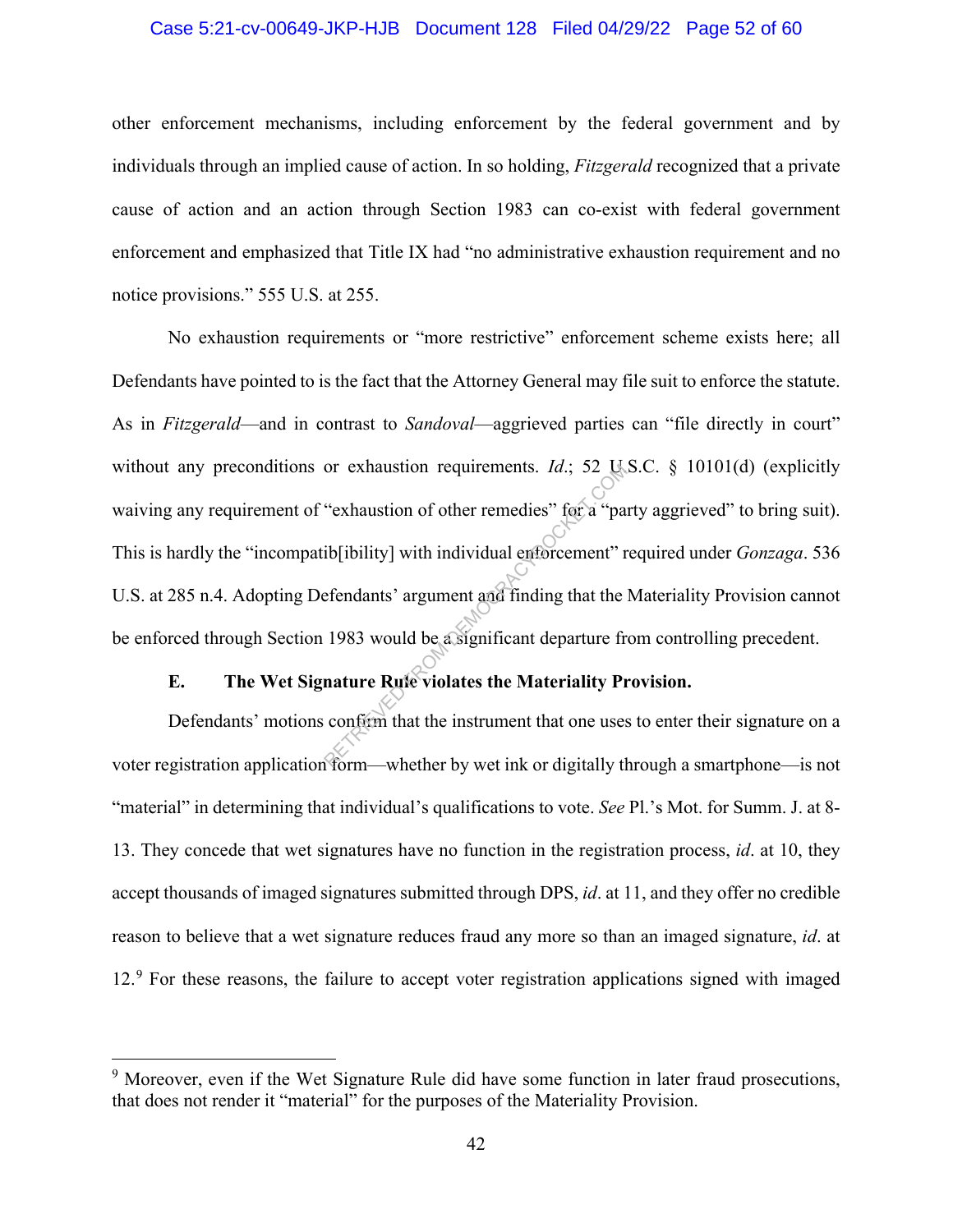#### Case 5:21-cv-00649-JKP-HJB Document 128 Filed 04/29/22 Page 52 of 60

other enforcement mechanisms, including enforcement by the federal government and by individuals through an implied cause of action. In so holding, *Fitzgerald* recognized that a private cause of action and an action through Section 1983 can co-exist with federal government enforcement and emphasized that Title IX had "no administrative exhaustion requirement and no notice provisions." 555 U.S. at 255.

No exhaustion requirements or "more restrictive" enforcement scheme exists here; all Defendants have pointed to is the fact that the Attorney General may file suit to enforce the statute. As in *Fitzgerald*—and in contrast to *Sandoval*—aggrieved parties can "file directly in court" without any preconditions or exhaustion requirements. *Id.*; 52 U.S.C. § 10101(d) (explicitly waiving any requirement of "exhaustion of other remedies" for a "party aggrieved" to bring suit). This is hardly the "incompatib[ibility] with individual enforcement" required under *Gonzaga*. 536 U.S. at 285 n.4. Adopting Defendants' argument and finding that the Materiality Provision cannot be enforced through Section 1983 would be a significant departure from controlling precedent. or exhaustion requirements.  $Id$ ; 52 C.<br>
"exhaustion of other remedies" for a "pair<br>
ib[ibility] with individual enforcement" r<br>
efendants' argument and finding that the<br>
1983 would be a significant departure fr<br> **nature R** 

## **E. The Wet Signature Rule violates the Materiality Provision.**

Defendants' motions confirm that the instrument that one uses to enter their signature on a voter registration application form—whether by wet ink or digitally through a smartphone—is not "material" in determining that individual's qualifications to vote. *See* Pl.'s Mot. for Summ. J. at 8- 13. They concede that wet signatures have no function in the registration process, *id*. at 10, they accept thousands of imaged signatures submitted through DPS, *id*. at 11, and they offer no credible reason to believe that a wet signature reduces fraud any more so than an imaged signature, *id*. at 12.<sup>9</sup> For these reasons, the failure to accept voter registration applications signed with imaged

 $9$  Moreover, even if the Wet Signature Rule did have some function in later fraud prosecutions, that does not render it "material" for the purposes of the Materiality Provision.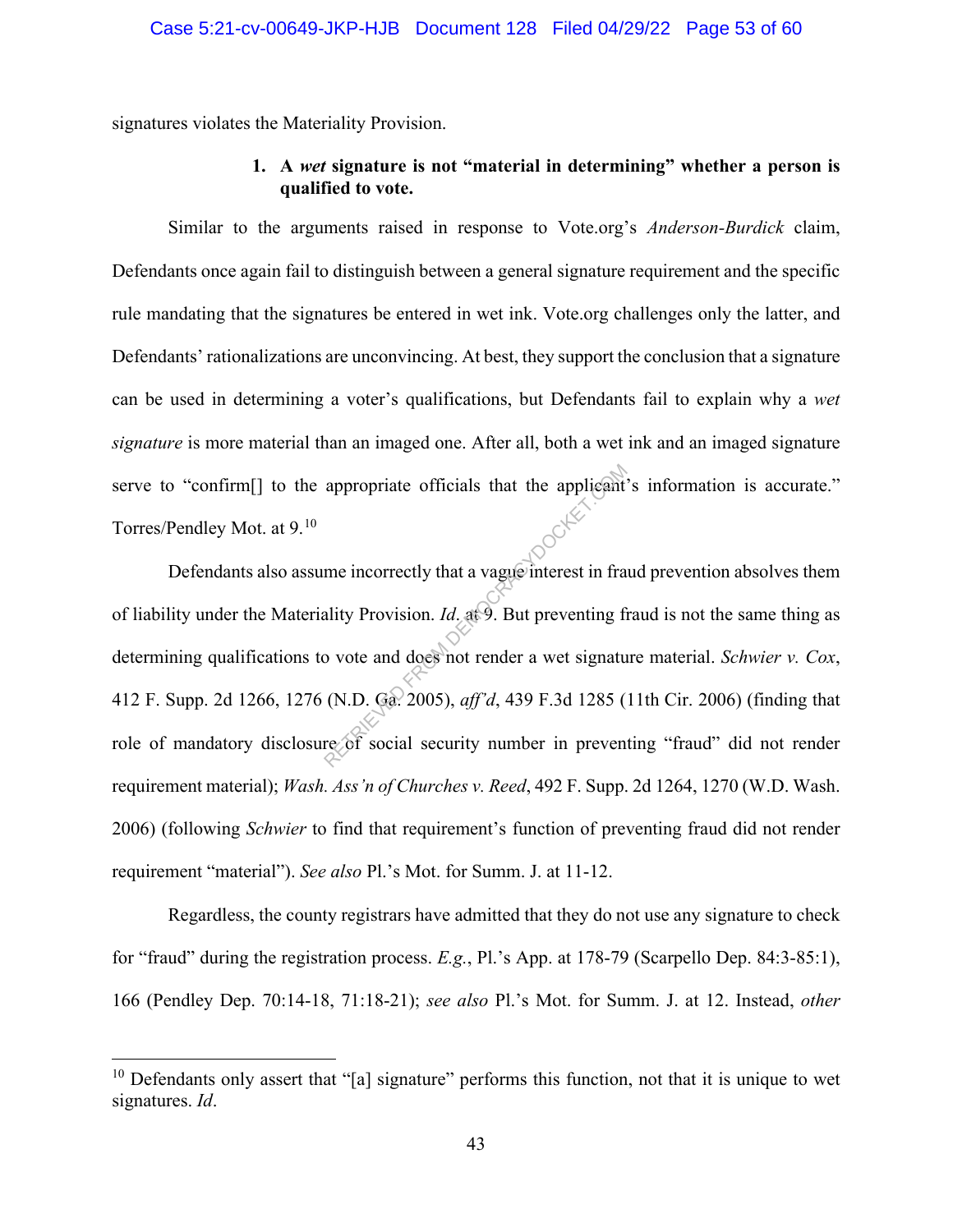signatures violates the Materiality Provision.

## **1. A** *wet* **signature is not "material in determining" whether a person is qualified to vote.**

Similar to the arguments raised in response to Vote.org's *Anderson-Burdick* claim, Defendants once again fail to distinguish between a general signature requirement and the specific rule mandating that the signatures be entered in wet ink. Vote.org challenges only the latter, and Defendants' rationalizations are unconvincing. At best, they support the conclusion that a signature can be used in determining a voter's qualifications, but Defendants fail to explain why a *wet signature* is more material than an imaged one. After all, both a wet ink and an imaged signature serve to "confirm[] to the appropriate officials that the applicant's information is accurate." Torres/Pendley Mot. at 9.10

Defendants also assume incorrectly that a vague interest in fraud prevention absolves them of liability under the Materiality Provision. *Id*. at 9. But preventing fraud is not the same thing as determining qualifications to vote and does not render a wet signature material. *Schwier v. Cox*, 412 F. Supp. 2d 1266, 1276 (N.D. Ga. 2005), *aff'd*, 439 F.3d 1285 (11th Cir. 2006) (finding that role of mandatory disclosure of social security number in preventing "fraud" did not render requirement material); *Wash. Ass'n of Churches v. Reed*, 492 F. Supp. 2d 1264, 1270 (W.D. Wash. 2006) (following *Schwier* to find that requirement's function of preventing fraud did not render requirement "material"). *See also* Pl.'s Mot. for Summ. J. at 11-12. appropriate officials that the applicant<br>
me incorrectly that a vague interest in fra<br>
ality Provision. *Id.* at 9. But preventing fi<br>
b vote and does not render a wet signatu<br>
(N.D. Ga. 2005), *aff'd*, 439 F.3d 1285 (<br>
r

Regardless, the county registrars have admitted that they do not use any signature to check for "fraud" during the registration process. *E.g.*, Pl.'s App. at 178-79 (Scarpello Dep. 84:3-85:1), 166 (Pendley Dep. 70:14-18, 71:18-21); *see also* Pl.'s Mot. for Summ. J. at 12. Instead, *other*

 $10$  Defendants only assert that "[a] signature" performs this function, not that it is unique to wet signatures. *Id*.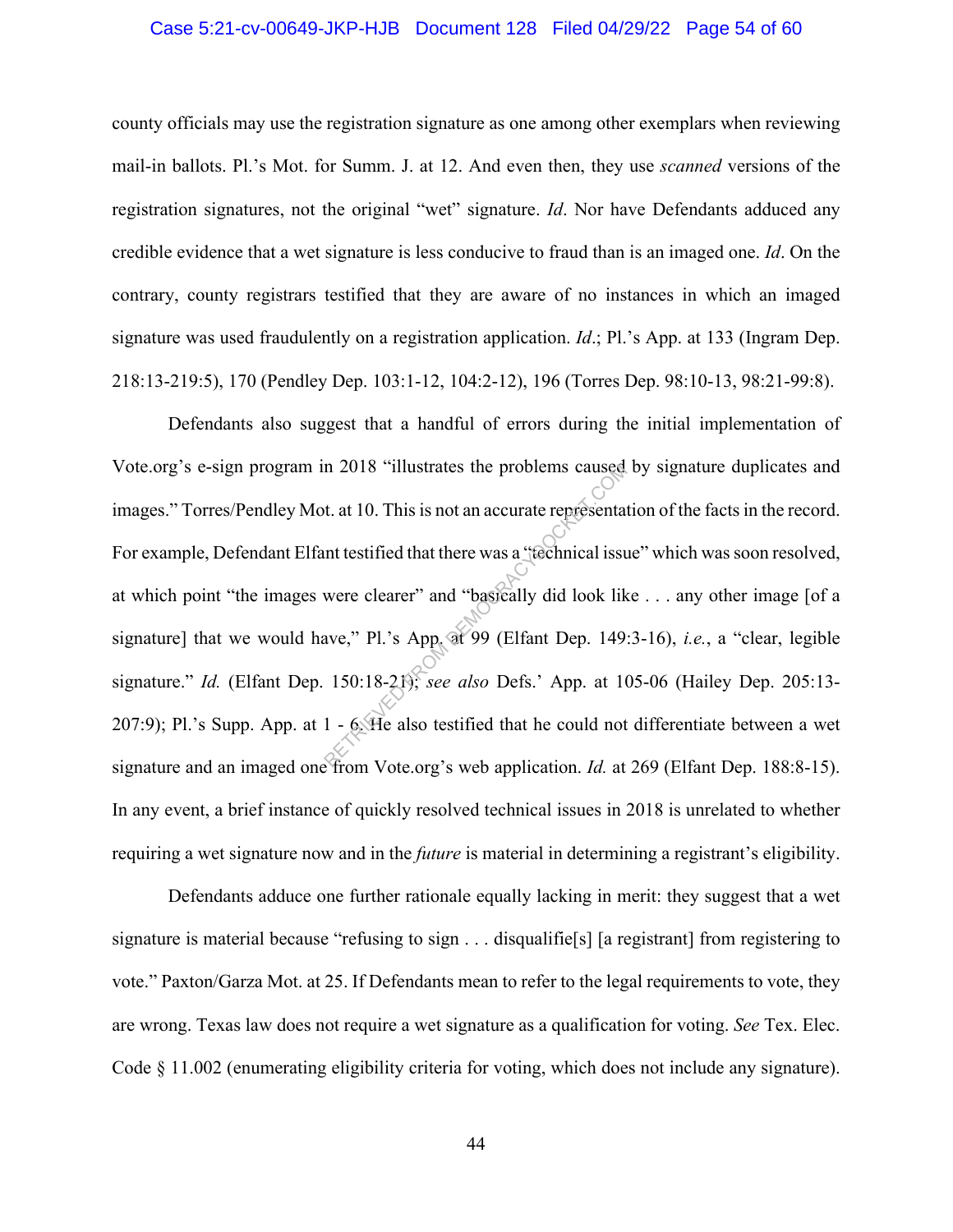#### Case 5:21-cv-00649-JKP-HJB Document 128 Filed 04/29/22 Page 54 of 60

county officials may use the registration signature as one among other exemplars when reviewing mail-in ballots. Pl.'s Mot. for Summ. J. at 12. And even then, they use *scanned* versions of the registration signatures, not the original "wet" signature. *Id*. Nor have Defendants adduced any credible evidence that a wet signature is less conducive to fraud than is an imaged one. *Id*. On the contrary, county registrars testified that they are aware of no instances in which an imaged signature was used fraudulently on a registration application. *Id*.; Pl.'s App. at 133 (Ingram Dep. 218:13-219:5), 170 (Pendley Dep. 103:1-12, 104:2-12), 196 (Torres Dep. 98:10-13, 98:21-99:8).

Defendants also suggest that a handful of errors during the initial implementation of Vote.org's e-sign program in 2018 "illustrates the problems caused by signature duplicates and images." Torres/Pendley Mot. at 10. This is not an accurate representation of the facts in the record. For example, Defendant Elfant testified that there was a "technical issue" which was soon resolved, at which point "the images were clearer" and "basically did look like . . . any other image [of a signature] that we would have," Pl.'s App. at 99 (Elfant Dep. 149:3-16), *i.e.*, a "clear, legible signature." *Id.* (Elfant Dep. 150:18-21); *see also* Defs.' App. at 105-06 (Hailey Dep. 205:13- 207:9); Pl.'s Supp. App. at 1 - 6. He also testified that he could not differentiate between a wet signature and an imaged one from Vote.org's web application. *Id.* at 269 (Elfant Dep. 188:8-15). In any event, a brief instance of quickly resolved technical issues in 2018 is unrelated to whether requiring a wet signature now and in the *future* is material in determining a registrant's eligibility. m 2018 "illustrates the problems caused<br>t. at 10. This is not an accurate representation<br>the testified that there was a "technical issue<br>were clearer" and "basically did look lik<br>ave," Pl.'s App. at 99 (Elfant Dep. 149<br>15

Defendants adduce one further rationale equally lacking in merit: they suggest that a wet signature is material because "refusing to sign . . . disqualifie<sup>[s]</sup> [a registrant] from registering to vote." Paxton/Garza Mot. at 25. If Defendants mean to refer to the legal requirements to vote, they are wrong. Texas law does not require a wet signature as a qualification for voting. *See* Tex. Elec. Code § 11.002 (enumerating eligibility criteria for voting, which does not include any signature).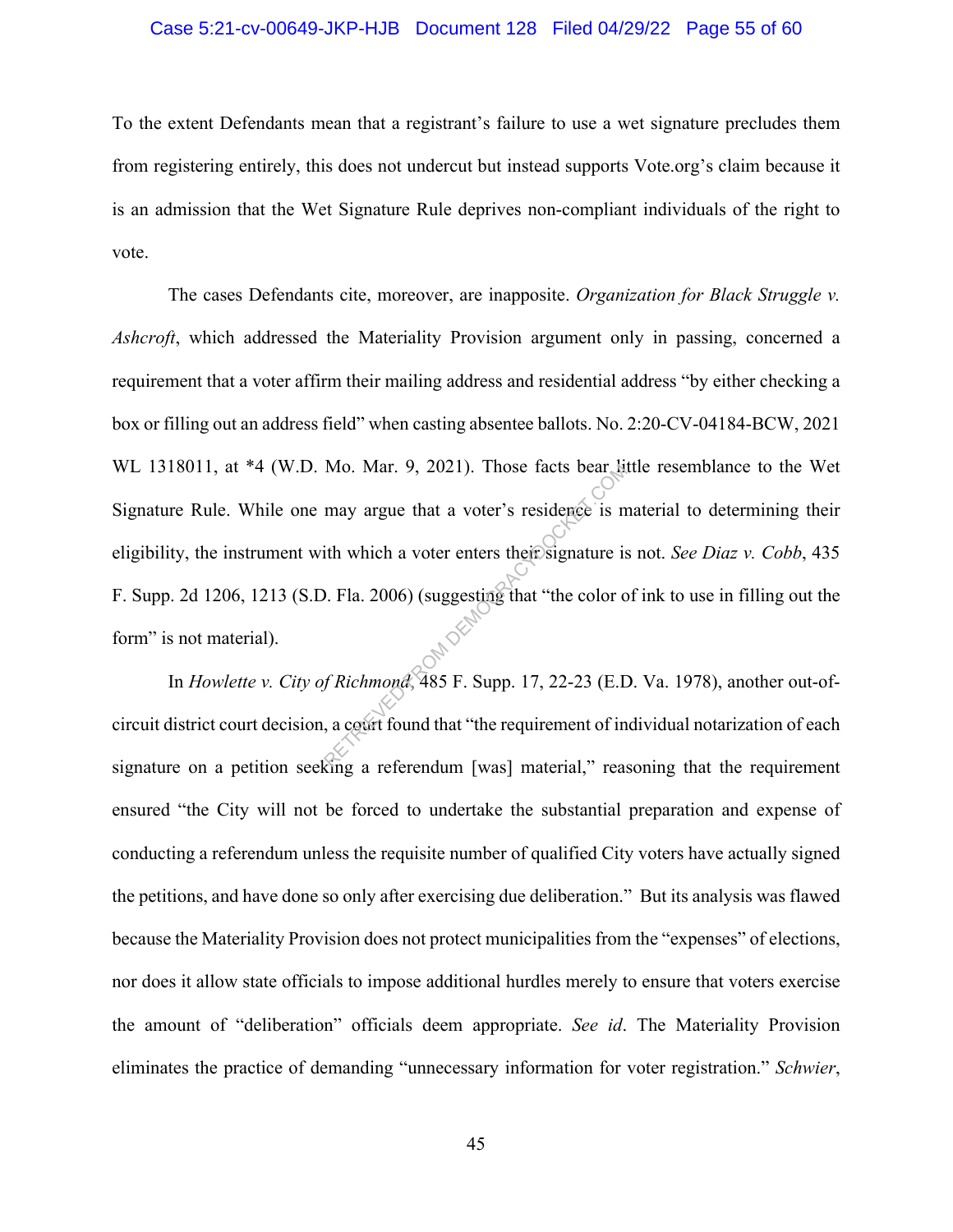#### Case 5:21-cv-00649-JKP-HJB Document 128 Filed 04/29/22 Page 55 of 60

To the extent Defendants mean that a registrant's failure to use a wet signature precludes them from registering entirely, this does not undercut but instead supports Vote.org's claim because it is an admission that the Wet Signature Rule deprives non-compliant individuals of the right to vote.

The cases Defendants cite, moreover, are inapposite. *Organization for Black Struggle v. Ashcroft*, which addressed the Materiality Provision argument only in passing, concerned a requirement that a voter affirm their mailing address and residential address "by either checking a box or filling out an address field" when casting absentee ballots. No. 2:20-CV-04184-BCW, 2021 WL 1318011, at \*4 (W.D. Mo. Mar. 9, 2021). Those facts bear little resemblance to the Wet Signature Rule. While one may argue that a voter's residence is material to determining their eligibility, the instrument with which a voter enters their signature is not. *See Diaz v. Cobb*, 435 F. Supp. 2d 1206, 1213 (S.D. Fla. 2006) (suggesting that "the color of ink to use in filling out the form" is not material). Mo. Mar. 9, 2021). Those facts bear in<br>may argue that a voter's residence is n<br>ith which a voter enters their signature is<br>0. Fla. 2006) (suggesting that "the color compared").<br> $\frac{1}{2}$ <br>*Richmond*, 485 F. Supp. 17, 22-23

In *Howlette v. City of Richmond*, 485 F. Supp. 17, 22-23 (E.D. Va. 1978), another out-ofcircuit district court decision, a court found that "the requirement of individual notarization of each signature on a petition seeking a referendum [was] material," reasoning that the requirement ensured "the City will not be forced to undertake the substantial preparation and expense of conducting a referendum unless the requisite number of qualified City voters have actually signed the petitions, and have done so only after exercising due deliberation." But its analysis was flawed because the Materiality Provision does not protect municipalities from the "expenses" of elections, nor does it allow state officials to impose additional hurdles merely to ensure that voters exercise the amount of "deliberation" officials deem appropriate. *See id*. The Materiality Provision eliminates the practice of demanding "unnecessary information for voter registration." *Schwier*,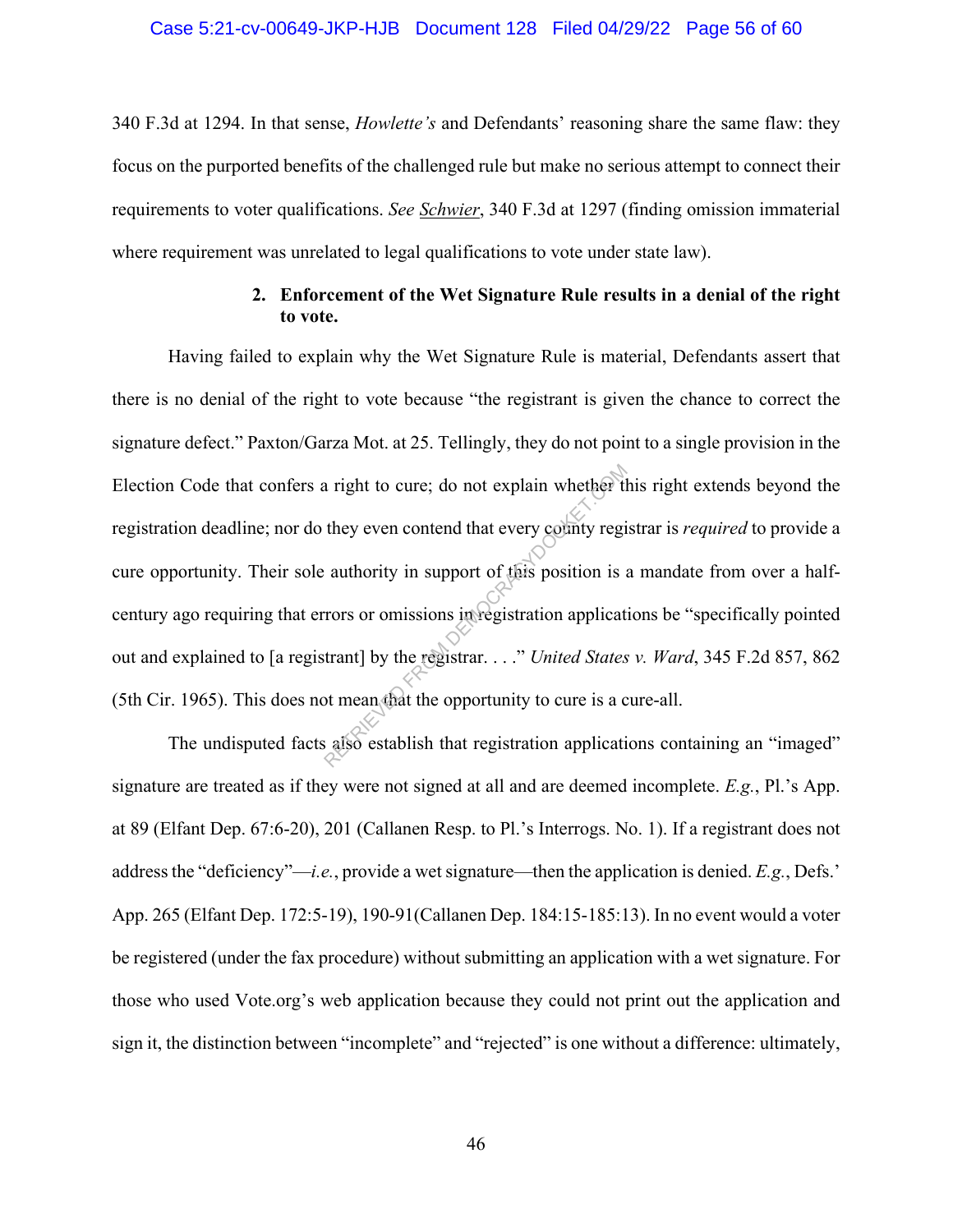#### Case 5:21-cv-00649-JKP-HJB Document 128 Filed 04/29/22 Page 56 of 60

340 F.3d at 1294. In that sense, *Howlette's* and Defendants' reasoning share the same flaw: they focus on the purported benefits of the challenged rule but make no serious attempt to connect their requirements to voter qualifications. *See Schwier*, 340 F.3d at 1297 (finding omission immaterial where requirement was unrelated to legal qualifications to vote under state law).

### **2. Enforcement of the Wet Signature Rule results in a denial of the right to vote.**

Having failed to explain why the Wet Signature Rule is material, Defendants assert that there is no denial of the right to vote because "the registrant is given the chance to correct the signature defect." Paxton/Garza Mot. at 25. Tellingly, they do not point to a single provision in the Election Code that confers a right to cure; do not explain whether this right extends beyond the registration deadline; nor do they even contend that every county registrar is *required* to provide a cure opportunity. Their sole authority in support of this position is a mandate from over a halfcentury ago requiring that errors or omissions in registration applications be "specifically pointed out and explained to [a registrant] by the registrar. . . ." *United States v. Ward*, 345 F.2d 857, 862 (5th Cir. 1965). This does not mean that the opportunity to cure is a cure-all. a right to cure; do not explain whether they even contend that every county regional that every county regional authority in support of this position is a cross or omissions in registration applicat trant] by the registrar

The undisputed facts also establish that registration applications containing an "imaged" signature are treated as if they were not signed at all and are deemed incomplete. *E.g.*, Pl.'s App. at 89 (Elfant Dep. 67:6-20), 201 (Callanen Resp. to Pl.'s Interrogs. No. 1). If a registrant does not address the "deficiency"—*i.e.*, provide a wet signature—then the application is denied. *E.g.*, Defs.' App. 265 (Elfant Dep. 172:5-19), 190-91(Callanen Dep. 184:15-185:13). In no event would a voter be registered (under the fax procedure) without submitting an application with a wet signature. For those who used Vote.org's web application because they could not print out the application and sign it, the distinction between "incomplete" and "rejected" is one without a difference: ultimately,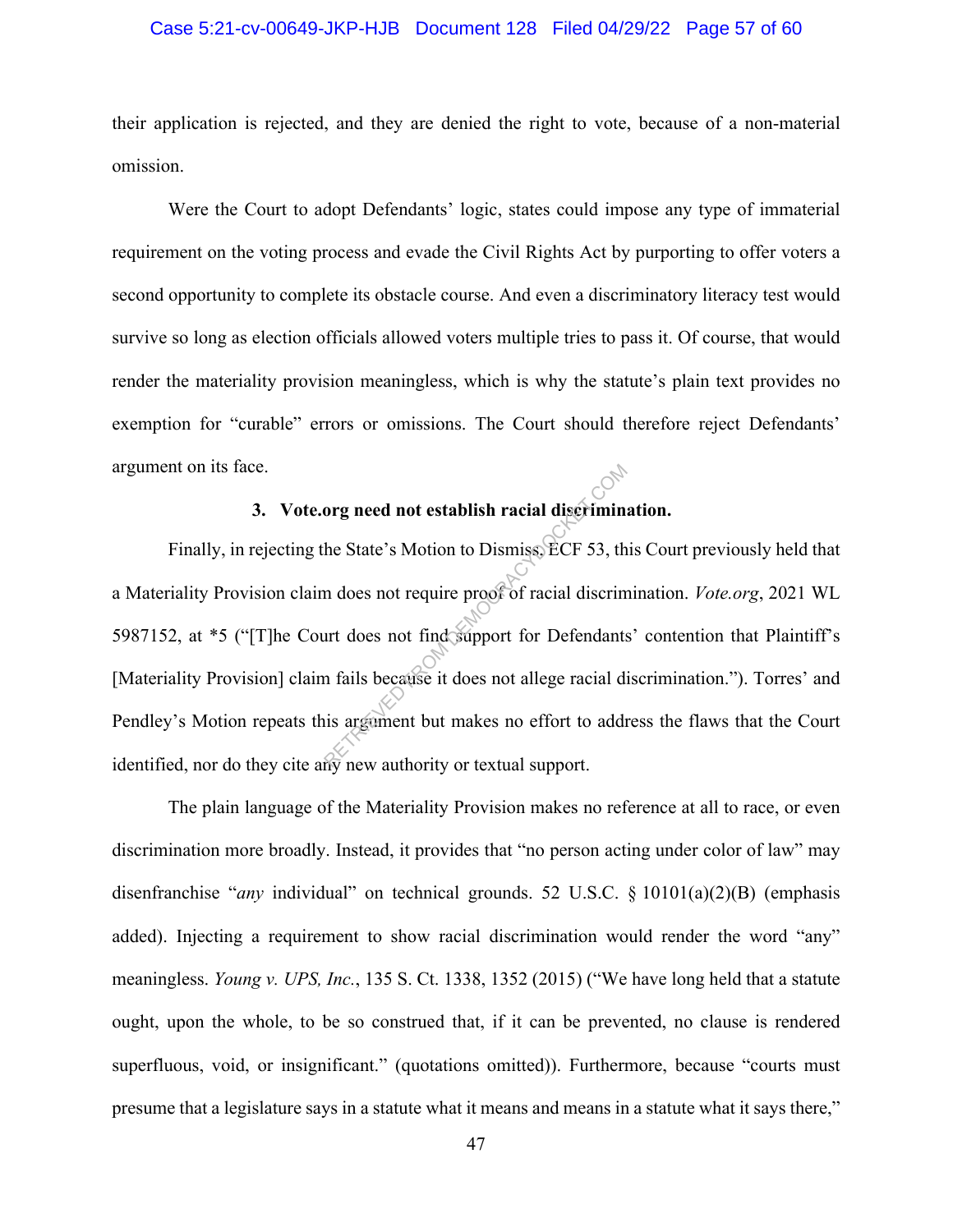#### Case 5:21-cv-00649-JKP-HJB Document 128 Filed 04/29/22 Page 57 of 60

their application is rejected, and they are denied the right to vote, because of a non-material omission.

Were the Court to adopt Defendants' logic, states could impose any type of immaterial requirement on the voting process and evade the Civil Rights Act by purporting to offer voters a second opportunity to complete its obstacle course. And even a discriminatory literacy test would survive so long as election officials allowed voters multiple tries to pass it. Of course, that would render the materiality provision meaningless, which is why the statute's plain text provides no exemption for "curable" errors or omissions. The Court should therefore reject Defendants' argument on its face.

## **3. Vote.org need not establish racial discrimination.**

Finally, in rejecting the State's Motion to Dismiss, ECF 53, this Court previously held that a Materiality Provision claim does not require proof of racial discrimination. *Vote.org*, 2021 WL 5987152, at \*5 ("[T]he Court does not find support for Defendants' contention that Plaintiff's [Materiality Provision] claim fails because it does not allege racial discrimination."). Torres' and Pendley's Motion repeats this argument but makes no effort to address the flaws that the Court identified, nor do they cite any new authority or textual support. org need not establish racial discriminations in the State's Motion to Dismiss, ECF 53, the does not require proof of racial discriment does not find support for Defendants in fails because it does not allege racial disarg

The plain language of the Materiality Provision makes no reference at all to race, or even discrimination more broadly. Instead, it provides that "no person acting under color of law" may disenfranchise "*any* individual" on technical grounds. 52 U.S.C. § 10101(a)(2)(B) (emphasis added). Injecting a requirement to show racial discrimination would render the word "any" meaningless. *Young v. UPS, Inc.*, 135 S. Ct. 1338, 1352 (2015) ("We have long held that a statute ought, upon the whole, to be so construed that, if it can be prevented, no clause is rendered superfluous, void, or insignificant." (quotations omitted)). Furthermore, because "courts must presume that a legislature says in a statute what it means and means in a statute what it says there,"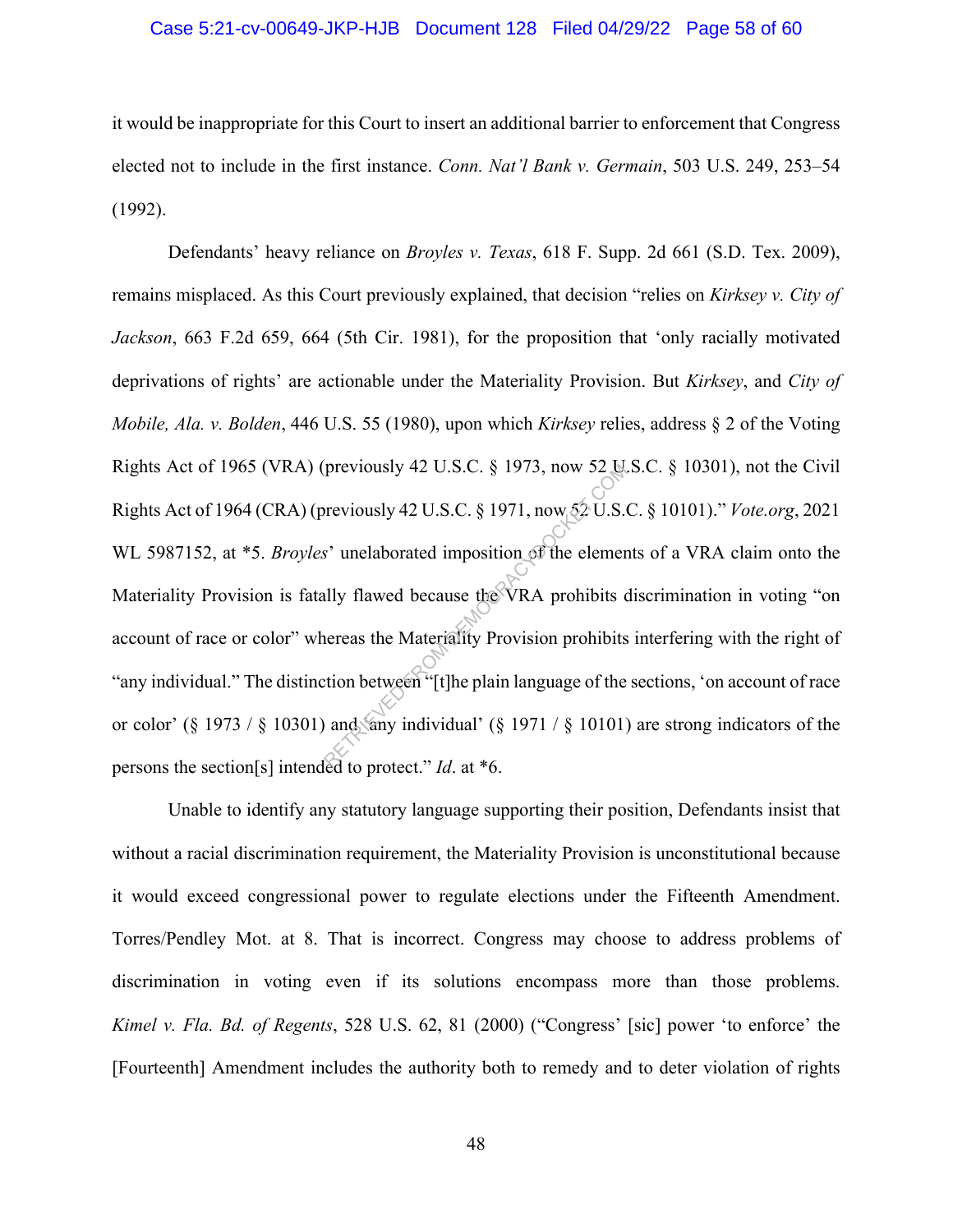#### Case 5:21-cv-00649-JKP-HJB Document 128 Filed 04/29/22 Page 58 of 60

it would be inappropriate for this Court to insert an additional barrier to enforcement that Congress elected not to include in the first instance. *Conn. Nat'l Bank v. Germain*, 503 U.S. 249, 253–54 (1992).

Defendants' heavy reliance on *Broyles v. Texas*, 618 F. Supp. 2d 661 (S.D. Tex. 2009), remains misplaced. As this Court previously explained, that decision "relies on *Kirksey v. City of Jackson*, 663 F.2d 659, 664 (5th Cir. 1981), for the proposition that 'only racially motivated deprivations of rights' are actionable under the Materiality Provision. But *Kirksey*, and *City of Mobile, Ala. v. Bolden*, 446 U.S. 55 (1980), upon which *Kirksey* relies, address § 2 of the Voting Rights Act of 1965 (VRA) (previously 42 U.S.C. § 1973, now 52 U.S.C. § 10301), not the Civil Rights Act of 1964 (CRA) (previously 42 U.S.C. § 1971, now 52 U.S.C. § 10101)." *Vote.org*, 2021 WL 5987152, at \*5. *Broyles*' unelaborated imposition of the elements of a VRA claim onto the Materiality Provision is fatally flawed because the VRA prohibits discrimination in voting "on account of race or color" whereas the Materiality Provision prohibits interfering with the right of "any individual." The distinction between "[t]he plain language of the sections, 'on account of race or color' (§ 1973 / § 10301) and 'any individual' (§ 1971 / § 10101) are strong indicators of the persons the section[s] intended to protect." *Id*. at \*6. previously 42 U.S.C. § 1973, now 52 Q.<br>
reviously 42 U.S.C. § 1971, now 52 U.S.<br>
s' unelaborated imposition of the element<br>
lly flawed because the VRA prohibits<br>
ereas the Materiality Provision prohibits<br>
tion between "[t

Unable to identify any statutory language supporting their position, Defendants insist that without a racial discrimination requirement, the Materiality Provision is unconstitutional because it would exceed congressional power to regulate elections under the Fifteenth Amendment. Torres/Pendley Mot. at 8. That is incorrect. Congress may choose to address problems of discrimination in voting even if its solutions encompass more than those problems. *Kimel v. Fla. Bd. of Regents*, 528 U.S. 62, 81 (2000) ("Congress' [sic] power 'to enforce' the [Fourteenth] Amendment includes the authority both to remedy and to deter violation of rights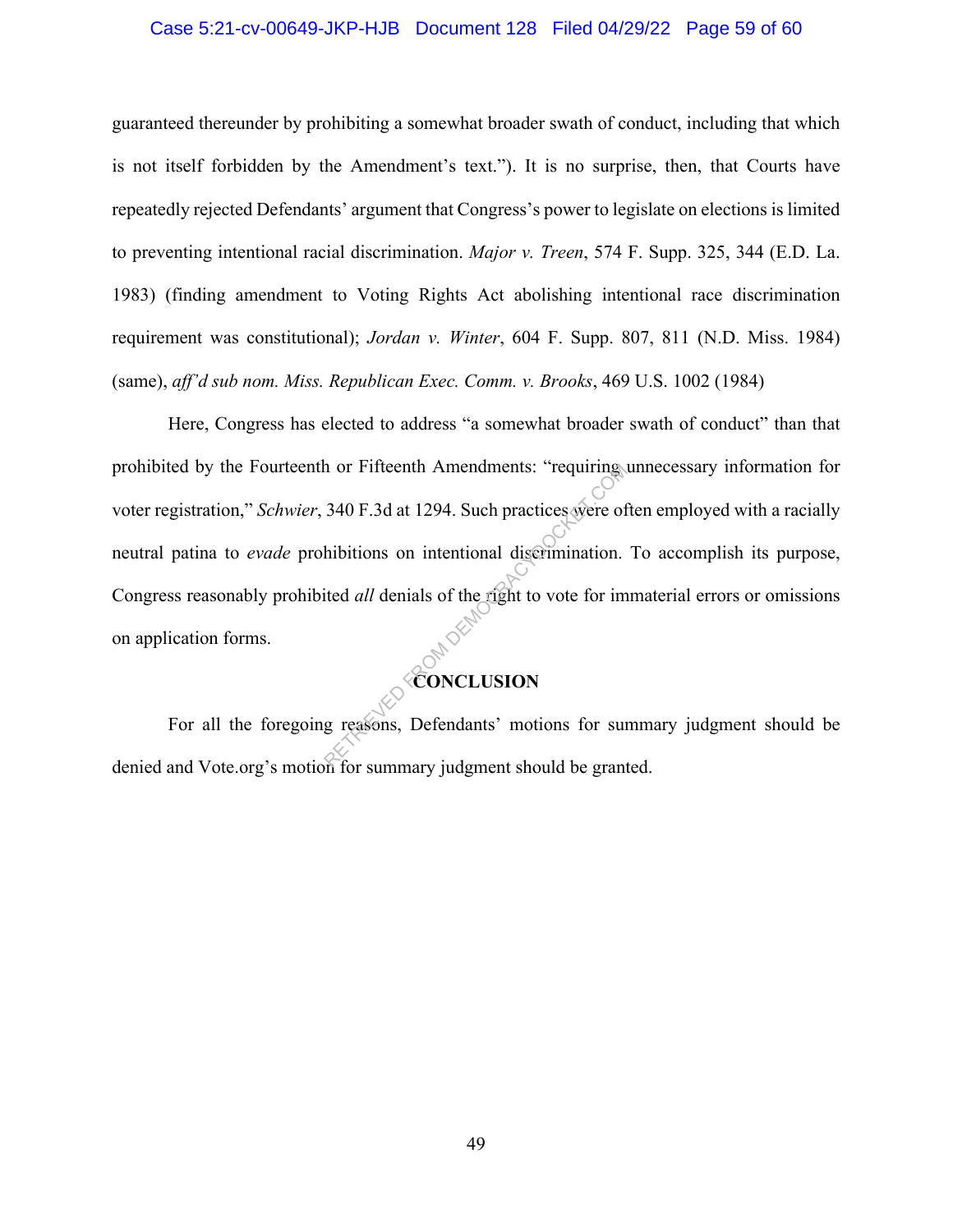#### Case 5:21-cv-00649-JKP-HJB Document 128 Filed 04/29/22 Page 59 of 60

guaranteed thereunder by prohibiting a somewhat broader swath of conduct, including that which is not itself forbidden by the Amendment's text."). It is no surprise, then, that Courts have repeatedly rejected Defendants' argument that Congress's power to legislate on elections is limited to preventing intentional racial discrimination. *Major v. Treen*, 574 F. Supp. 325, 344 (E.D. La. 1983) (finding amendment to Voting Rights Act abolishing intentional race discrimination requirement was constitutional); *Jordan v. Winter*, 604 F. Supp. 807, 811 (N.D. Miss. 1984) (same), *aff'd sub nom. Miss. Republican Exec. Comm. v. Brooks*, 469 U.S. 1002 (1984)

Here, Congress has elected to address "a somewhat broader swath of conduct" than that prohibited by the Fourteenth or Fifteenth Amendments: "requiring unnecessary information for voter registration," *Schwier*, 340 F.3d at 1294. Such practices were often employed with a racially neutral patina to *evade* prohibitions on intentional discrimination. To accomplish its purpose, Congress reasonably prohibited *all* denials of the right to vote for immaterial errors or omissions on application forms. In or Fifteenth Amendments: "requiring."<br>
340 F.3d at 1294. Such practices were of<br>
hibitions on intentional discrimination.<br>
ited *all* denials of the right to vote for im<br> **CONCLUSION**<br>
g reasons, Defendants' motions for

## **CONCLUSION**

For all the foregoing reasons, Defendants' motions for summary judgment should be denied and Vote.org's motion for summary judgment should be granted.